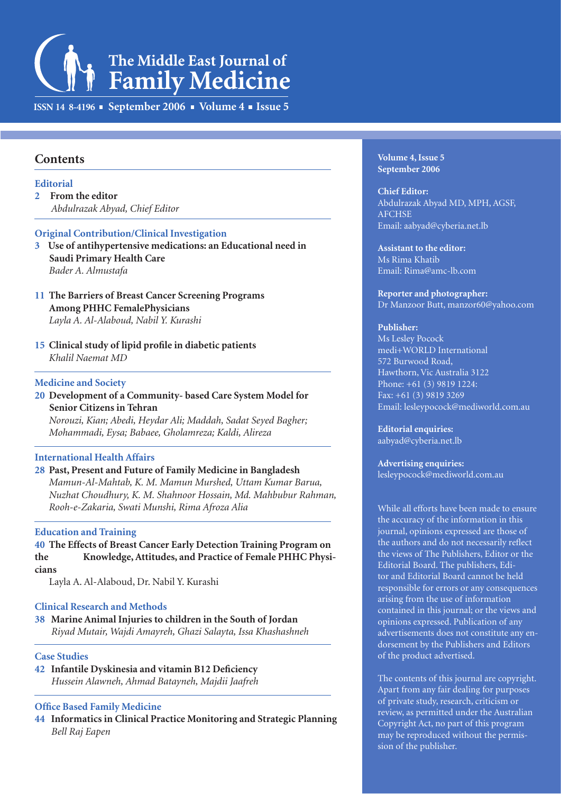# The Middle East Journal of **Family Medicine**

**ISSN 14 8-4196 • September 2006 • Volume 4 • Issue 5** 

# **Contents**

#### **Editorial**

**2 From the editor**  *Abdulrazak Abyad, Chief Editor* 

#### **Original Contribution/Clinical Investigation**

- **3 Use of antihypertensive medications: an Educational need in Saudi Primary Health Care**  *Bader A. Almustafa*
- **11 The Barriers of Breast Cancer Screening Programs Among PHHC FemalePhysicians**  *Layla A. Al-Alaboud, Nabil Y. Kurashi*
- **15 Clinical study of lipid profile in diabetic patients**  *Khalil Naemat MD*

#### **Medicine and Society**

**20 Development of a Community- based Care System Model for Senior Citizens in Tehran**

 *Norouzi, Kian; Abedi, Heydar Ali; Maddah, Sadat Seyed Bagher; Mohammadi, Eysa; Babaee, Gholamreza; Kaldi, Alireza*

#### **International Health Affairs**

**28 Past, Present and Future of Family Medicine in Bangladesh**  *Mamun-Al-Mahtab, K. M. Mamun Murshed, Uttam Kumar Barua, Nuzhat Choudhury, K. M. Shahnoor Hossain, Md. Mahbubur Rahman, Rooh-e-Zakaria, Swati Munshi, Rima Afroza Alia*

#### **Education and Training**

#### **40 The Effects of Breast Cancer Early Detection Training Program on the Knowledge, Attitudes, and Practice of Female PHHC Physicians**

Layla A. Al-Alaboud, Dr. Nabil Y. Kurashi

#### **Clinical Research and Methods**

**38 Marine Animal Injuries to children in the South of Jordan**   *Riyad Mutair, Wajdi Amayreh, Ghazi Salayta, Issa Khashashneh*

#### **Case Studies**

**42 Infantile Dyskinesia and vitamin B12 Deficiency**  *Hussein Alawneh, Ahmad Batayneh, Majdii Jaafreh*

#### **Office Based Family Medicine**

**44 Informatics in Clinical Practice Monitoring and Strategic Planning**  *Bell Raj Eapen*

**Volume 4, Issue 5 September 2006**

**Chief Editor:** Abdulrazak Abyad MD, MPH, AGSF, **AFCHSE** Email: aabyad@cyberia.net.lb

**Assistant to the editor:** Ms Rima Khatib Email: Rima@amc-lb.com

**Reporter and photographer:**  Dr Manzoor Butt, manzor60@yahoo.com

#### **Publisher:**

Ms Lesley Pocock medi+WORLD International 572 Burwood Road, Hawthorn, Vic Australia 3122 Phone: +61 (3) 9819 1224: Fax: +61 (3) 9819 3269 Email: lesleypocock@mediworld.com.au

**Editorial enquiries:**  aabyad@cyberia.net.lb

**Advertising enquiries:**  lesleypocock@mediworld.com.au

While all efforts have been made to ensure the accuracy of the information in this journal, opinions expressed are those of the authors and do not necessarily reflect the views of The Publishers, Editor or the Editorial Board. The publishers, Editor and Editorial Board cannot be held responsible for errors or any consequences arising from the use of information contained in this journal; or the views and opinions expressed. Publication of any advertisements does not constitute any endorsement by the Publishers and Editors of the product advertised.

The contents of this journal are copyright. Apart from any fair dealing for purposes of private study, research, criticism or review, as permitted under the Australian Copyright Act, no part of this program may be reproduced without the permission of the publisher.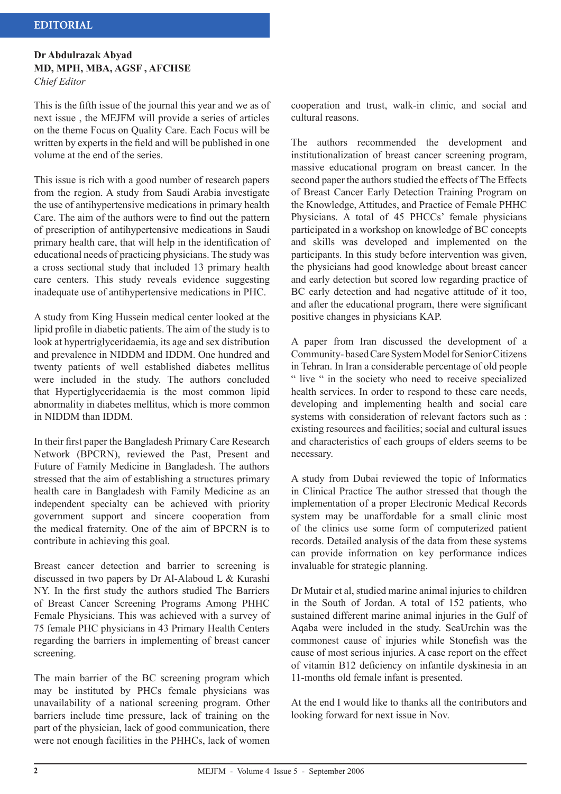#### **Dr Abdulrazak Abyad MD, MPH, MBA, AGSF , AFCHSE** *Chief Editor*

This is the fifth issue of the journal this year and we as of next issue , the MEJFM will provide a series of articles on the theme Focus on Quality Care. Each Focus will be written by experts in the field and will be published in one volume at the end of the series.

This issue is rich with a good number of research papers from the region. A study from Saudi Arabia investigate the use of antihypertensive medications in primary health Care. The aim of the authors were to find out the pattern of prescription of antihypertensive medications in Saudi primary health care, that will help in the identification of educational needs of practicing physicians. The study was a cross sectional study that included 13 primary health care centers. This study reveals evidence suggesting inadequate use of antihypertensive medications in PHC.

A study from King Hussein medical center looked at the lipid profile in diabetic patients. The aim of the study is to look at hypertriglyceridaemia, its age and sex distribution and prevalence in NIDDM and IDDM. One hundred and twenty patients of well established diabetes mellitus were included in the study. The authors concluded that Hypertiglyceridaemia is the most common lipid abnormality in diabetes mellitus, which is more common in NIDDM than IDDM.

In their first paper the Bangladesh Primary Care Research Network (BPCRN), reviewed the Past, Present and Future of Family Medicine in Bangladesh. The authors stressed that the aim of establishing a structures primary health care in Bangladesh with Family Medicine as an independent specialty can be achieved with priority government support and sincere cooperation from the medical fraternity. One of the aim of BPCRN is to contribute in achieving this goal.

Breast cancer detection and barrier to screening is discussed in two papers by Dr Al-Alaboud L & Kurashi NY. In the first study the authors studied The Barriers of Breast Cancer Screening Programs Among PHHC Female Physicians. This was achieved with a survey of 75 female PHC physicians in 43 Primary Health Centers regarding the barriers in implementing of breast cancer screening.

The main barrier of the BC screening program which may be instituted by PHCs female physicians was unavailability of a national screening program. Other barriers include time pressure, lack of training on the part of the physician, lack of good communication, there were not enough facilities in the PHHCs, lack of women cooperation and trust, walk-in clinic, and social and cultural reasons.

The authors recommended the development and institutionalization of breast cancer screening program, massive educational program on breast cancer. In the second paper the authors studied the effects of The Effects of Breast Cancer Early Detection Training Program on the Knowledge, Attitudes, and Practice of Female PHHC Physicians. A total of 45 PHCCs' female physicians participated in a workshop on knowledge of BC concepts and skills was developed and implemented on the participants. In this study before intervention was given, the physicians had good knowledge about breast cancer and early detection but scored low regarding practice of BC early detection and had negative attitude of it too, and after the educational program, there were significant positive changes in physicians KAP.

A paper from Iran discussed the development of a Community- based Care System Model for Senior Citizens in Tehran. In Iran a considerable percentage of old people " live " in the society who need to receive specialized health services. In order to respond to these care needs, developing and implementing health and social care systems with consideration of relevant factors such as : existing resources and facilities; social and cultural issues and characteristics of each groups of elders seems to be necessary.

A study from Dubai reviewed the topic of Informatics in Clinical Practice The author stressed that though the implementation of a proper Electronic Medical Records system may be unaffordable for a small clinic most of the clinics use some form of computerized patient records. Detailed analysis of the data from these systems can provide information on key performance indices invaluable for strategic planning.

Dr Mutair et al, studied marine animal injuries to children in the South of Jordan. A total of 152 patients, who sustained different marine animal injuries in the Gulf of Aqaba were included in the study. SeaUrchin was the commonest cause of injuries while Stonefish was the cause of most serious injuries. A case report on the effect of vitamin B12 deficiency on infantile dyskinesia in an 11-months old female infant is presented.

At the end I would like to thanks all the contributors and looking forward for next issue in Nov.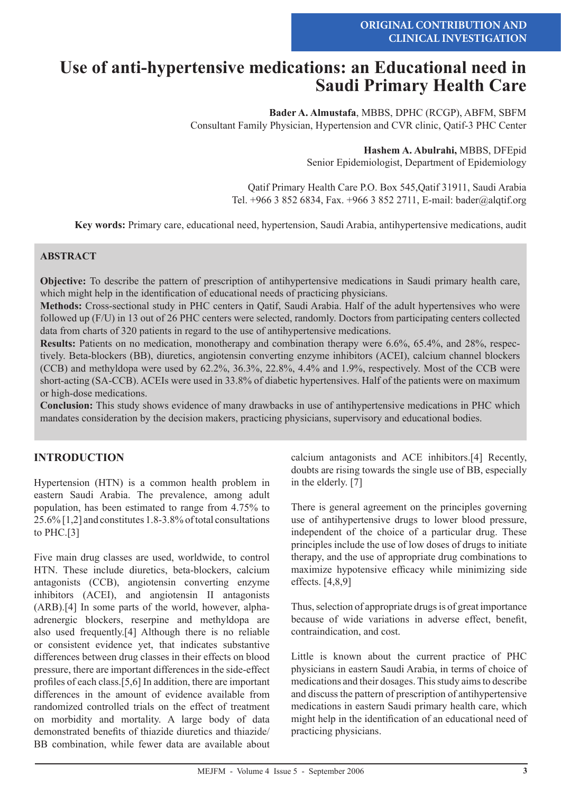# **Use of anti-hypertensive medications: an Educational need in Saudi Primary Health Care**

**Bader A. Almustafa**, MBBS, DPHC (RCGP), ABFM, SBFM Consultant Family Physician, Hypertension and CVR clinic, Qatif-3 PHC Center

> **Hashem A. Abulrahi,** MBBS, DFEpid Senior Epidemiologist, Department of Epidemiology

Qatif Primary Health Care P.O. Box 545,Qatif 31911, Saudi Arabia Tel. +966 3 852 6834, Fax. +966 3 852 2711, E-mail: bader@alqtif.org

**Key words:** Primary care, educational need, hypertension, Saudi Arabia, antihypertensive medications, audit

#### **ABSTRACT**

**Objective:** To describe the pattern of prescription of antihypertensive medications in Saudi primary health care, which might help in the identification of educational needs of practicing physicians.

**Methods:** Cross-sectional study in PHC centers in Qatif, Saudi Arabia. Half of the adult hypertensives who were followed up (F/U) in 13 out of 26 PHC centers were selected, randomly. Doctors from participating centers collected data from charts of 320 patients in regard to the use of antihypertensive medications.

**Results:** Patients on no medication, monotherapy and combination therapy were 6.6%, 65.4%, and 28%, respectively. Beta-blockers (BB), diuretics, angiotensin converting enzyme inhibitors (ACEI), calcium channel blockers (CCB) and methyldopa were used by 62.2%, 36.3%, 22.8%, 4.4% and 1.9%, respectively. Most of the CCB were short-acting (SA-CCB). ACEIs were used in 33.8% of diabetic hypertensives. Half of the patients were on maximum or high-dose medications.

**Conclusion:** This study shows evidence of many drawbacks in use of antihypertensive medications in PHC which mandates consideration by the decision makers, practicing physicians, supervisory and educational bodies.

# **INTRODUCTION**

Hypertension (HTN) is a common health problem in eastern Saudi Arabia. The prevalence, among adult population, has been estimated to range from 4.75% to 25.6% [1,2] and constitutes 1.8-3.8% of total consultations to PHC.[3]

Five main drug classes are used, worldwide, to control HTN. These include diuretics, beta-blockers, calcium antagonists (CCB), angiotensin converting enzyme inhibitors (ACEI), and angiotensin II antagonists (ARB).[4] In some parts of the world, however, alphaadrenergic blockers, reserpine and methyldopa are also used frequently.[4] Although there is no reliable or consistent evidence yet, that indicates substantive differences between drug classes in their effects on blood pressure, there are important differences in the side-effect profiles of each class.[5,6] In addition, there are important differences in the amount of evidence available from randomized controlled trials on the effect of treatment on morbidity and mortality. A large body of data demonstrated benefits of thiazide diuretics and thiazide/ BB combination, while fewer data are available about calcium antagonists and ACE inhibitors.[4] Recently, doubts are rising towards the single use of BB, especially in the elderly. [7]

There is general agreement on the principles governing use of antihypertensive drugs to lower blood pressure, independent of the choice of a particular drug. These principles include the use of low doses of drugs to initiate therapy, and the use of appropriate drug combinations to maximize hypotensive efficacy while minimizing side effects. [4,8,9]

Thus, selection of appropriate drugs is of great importance because of wide variations in adverse effect, benefit, contraindication, and cost.

Little is known about the current practice of PHC physicians in eastern Saudi Arabia, in terms of choice of medications and their dosages. This study aims to describe and discuss the pattern of prescription of antihypertensive medications in eastern Saudi primary health care, which might help in the identification of an educational need of practicing physicians.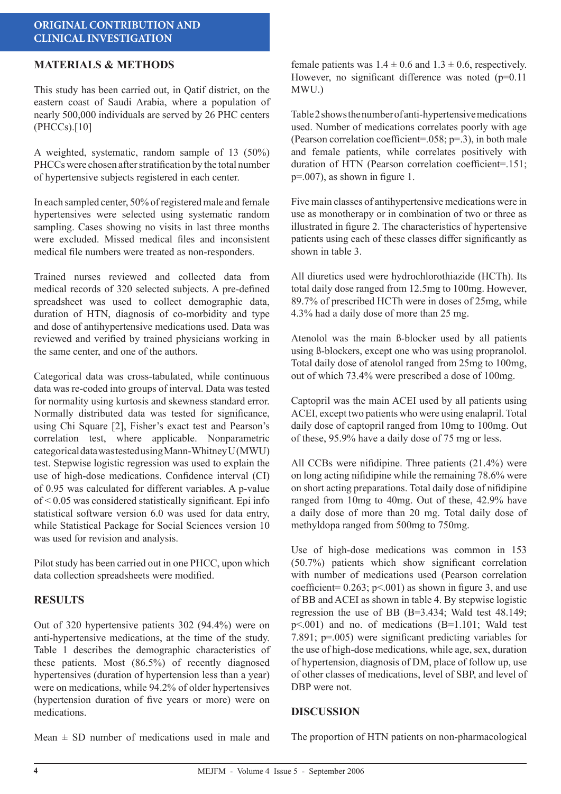### **ORIGINAL CONTRIBUTION AND CLINICAL INVESTIGATION**

# **MATERIALS & METHODS**

This study has been carried out, in Qatif district, on the eastern coast of Saudi Arabia, where a population of nearly 500,000 individuals are served by 26 PHC centers (PHCCs).[10]

A weighted, systematic, random sample of 13 (50%) PHCCs were chosen after stratification by the total number of hypertensive subjects registered in each center.

In each sampled center, 50% of registered male and female hypertensives were selected using systematic random sampling. Cases showing no visits in last three months were excluded. Missed medical files and inconsistent medical file numbers were treated as non-responders.

Trained nurses reviewed and collected data from medical records of 320 selected subjects. A pre-defined spreadsheet was used to collect demographic data, duration of HTN, diagnosis of co-morbidity and type and dose of antihypertensive medications used. Data was reviewed and verified by trained physicians working in the same center, and one of the authors.

Categorical data was cross-tabulated, while continuous data was re-coded into groups of interval. Data was tested for normality using kurtosis and skewness standard error. Normally distributed data was tested for significance, using Chi Square [2], Fisher's exact test and Pearson's correlation test, where applicable. Nonparametric categorical data was tested using Mann-Whitney U (MWU) test. Stepwise logistic regression was used to explain the use of high-dose medications. Confidence interval (CI) of 0.95 was calculated for different variables. A p-value of < 0.05 was considered statistically significant. Epi info statistical software version 6.0 was used for data entry, while Statistical Package for Social Sciences version 10 was used for revision and analysis.

Pilot study has been carried out in one PHCC, upon which data collection spreadsheets were modified.

#### **RESULTS**

Out of 320 hypertensive patients 302 (94.4%) were on anti-hypertensive medications, at the time of the study. Table 1 describes the demographic characteristics of these patients. Most (86.5%) of recently diagnosed hypertensives (duration of hypertension less than a year) were on medications, while 94.2% of older hypertensives (hypertension duration of five years or more) were on medications.

female patients was  $1.4 \pm 0.6$  and  $1.3 \pm 0.6$ , respectively. However, no significant difference was noted (p=0.11) MWU.)

Table 2 shows the number of anti-hypertensive medications used. Number of medications correlates poorly with age (Pearson correlation coefficient=.058;  $p=3$ ), in both male and female patients, while correlates positively with duration of HTN (Pearson correlation coefficient=.151; p=.007), as shown in figure 1.

Five main classes of antihypertensive medications were in use as monotherapy or in combination of two or three as illustrated in figure 2. The characteristics of hypertensive patients using each of these classes differ significantly as shown in table 3.

All diuretics used were hydrochlorothiazide (HCTh). Its total daily dose ranged from 12.5mg to 100mg. However, 89.7% of prescribed HCTh were in doses of 25mg, while 4.3% had a daily dose of more than 25 mg.

Atenolol was the main ß-blocker used by all patients using ß-blockers, except one who was using propranolol. Total daily dose of atenolol ranged from 25mg to 100mg, out of which 73.4% were prescribed a dose of 100mg.

Captopril was the main ACEI used by all patients using ACEI, except two patients who were using enalapril. Total daily dose of captopril ranged from 10mg to 100mg. Out of these, 95.9% have a daily dose of 75 mg or less.

All CCBs were nifidipine. Three patients (21.4%) were on long acting nifidipine while the remaining 78.6% were on short acting preparations. Total daily dose of nifidipine ranged from 10mg to 40mg. Out of these, 42.9% have a daily dose of more than 20 mg. Total daily dose of methyldopa ranged from 500mg to 750mg.

Use of high-dose medications was common in 153 (50.7%) patients which show significant correlation with number of medications used (Pearson correlation coefficient=  $0.263$ ; p<.001) as shown in figure 3, and use of BB and ACEI as shown in table 4. By stepwise logistic regression the use of BB (B=3.434; Wald test 48.149; p<.001) and no. of medications (B=1.101; Wald test 7.891; p=.005) were significant predicting variables for the use of high-dose medications, while age, sex, duration of hypertension, diagnosis of DM, place of follow up, use of other classes of medications, level of SBP, and level of DBP were not.

#### **DISCUSSION**

Mean  $\pm$  SD number of medications used in male and

The proportion of HTN patients on non-pharmacological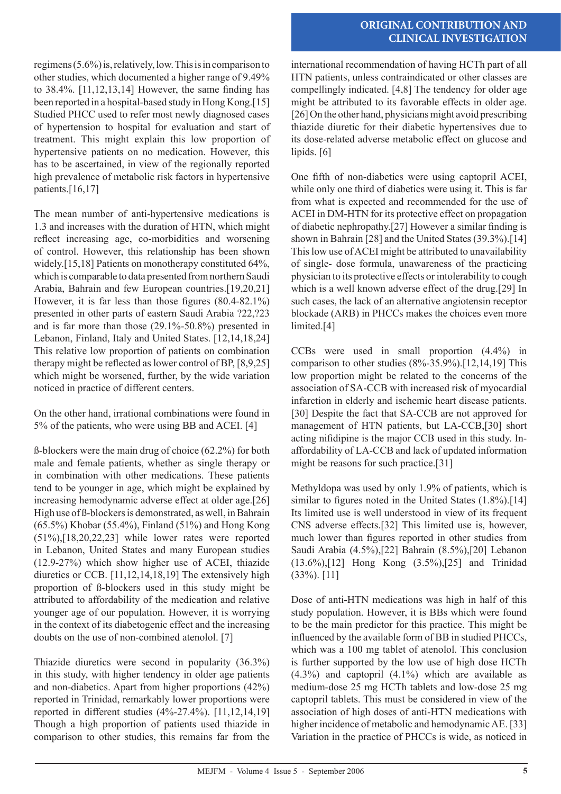# **ORIGINAL CONTRIBUTION AND CLINICAL INVESTIGATION**

regimens (5.6%) is, relatively, low. This is in comparison to other studies, which documented a higher range of 9.49% to 38.4%. [11,12,13,14] However, the same finding has been reported in a hospital-based study in Hong Kong.[15] Studied PHCC used to refer most newly diagnosed cases of hypertension to hospital for evaluation and start of treatment. This might explain this low proportion of hypertensive patients on no medication. However, this has to be ascertained, in view of the regionally reported high prevalence of metabolic risk factors in hypertensive patients.<sup>[16,17]</sup>

The mean number of anti-hypertensive medications is 1.3 and increases with the duration of HTN, which might reflect increasing age, co-morbidities and worsening of control. However, this relationship has been shown widely.[15,18] Patients on monotherapy constituted 64%, which is comparable to data presented from northern Saudi Arabia, Bahrain and few European countries.[19,20,21] However, it is far less than those figures (80.4-82.1%) presented in other parts of eastern Saudi Arabia ?22,?23 and is far more than those (29.1%-50.8%) presented in Lebanon, Finland, Italy and United States. [12,14,18,24] This relative low proportion of patients on combination therapy might be reflected as lower control of BP, [8,9,25] which might be worsened, further, by the wide variation noticed in practice of different centers.

On the other hand, irrational combinations were found in 5% of the patients, who were using BB and ACEI. [4]

ß-blockers were the main drug of choice (62.2%) for both male and female patients, whether as single therapy or in combination with other medications. These patients tend to be younger in age, which might be explained by increasing hemodynamic adverse effect at older age.[26] High use of ß-blockers is demonstrated, as well, in Bahrain (65.5%) Khobar (55.4%), Finland (51%) and Hong Kong (51%),[18,20,22,23] while lower rates were reported in Lebanon, United States and many European studies (12.9-27%) which show higher use of ACEI, thiazide diuretics or CCB. [11,12,14,18,19] The extensively high proportion of ß-blockers used in this study might be attributed to affordability of the medication and relative younger age of our population. However, it is worrying in the context of its diabetogenic effect and the increasing doubts on the use of non-combined atenolol. [7]

Thiazide diuretics were second in popularity (36.3%) in this study, with higher tendency in older age patients and non-diabetics. Apart from higher proportions (42%) reported in Trinidad, remarkably lower proportions were reported in different studies (4%-27.4%). [11,12,14,19] Though a high proportion of patients used thiazide in comparison to other studies, this remains far from the international recommendation of having HCTh part of all HTN patients, unless contraindicated or other classes are compellingly indicated. [4,8] The tendency for older age might be attributed to its favorable effects in older age. [26] On the other hand, physicians might avoid prescribing thiazide diuretic for their diabetic hypertensives due to its dose-related adverse metabolic effect on glucose and lipids. [6]

One fifth of non-diabetics were using captopril ACEI, while only one third of diabetics were using it. This is far from what is expected and recommended for the use of ACEI in DM-HTN for its protective effect on propagation of diabetic nephropathy.[27] However a similar finding is shown in Bahrain [28] and the United States (39.3%).[14] This low use of ACEI might be attributed to unavailability of single- dose formula, unawareness of the practicing physician to its protective effects or intolerability to cough which is a well known adverse effect of the drug.[29] In such cases, the lack of an alternative angiotensin receptor blockade (ARB) in PHCCs makes the choices even more limited.[4]

CCBs were used in small proportion (4.4%) in comparison to other studies (8%-35.9%).[12,14,19] This low proportion might be related to the concerns of the association of SA-CCB with increased risk of myocardial infarction in elderly and ischemic heart disease patients. [30] Despite the fact that SA-CCB are not approved for management of HTN patients, but LA-CCB,[30] short acting nifidipine is the major CCB used in this study. Inaffordability of LA-CCB and lack of updated information might be reasons for such practice.[31]

Methyldopa was used by only 1.9% of patients, which is similar to figures noted in the United States  $(1.8\%)$ .[14] Its limited use is well understood in view of its frequent CNS adverse effects.[32] This limited use is, however, much lower than figures reported in other studies from Saudi Arabia (4.5%),[22] Bahrain (8.5%),[20] Lebanon (13.6%),[12] Hong Kong (3.5%),[25] and Trinidad (33%). [11]

Dose of anti-HTN medications was high in half of this study population. However, it is BBs which were found to be the main predictor for this practice. This might be influenced by the available form of BB in studied PHCCs, which was a 100 mg tablet of atenolol. This conclusion is further supported by the low use of high dose HCTh (4.3%) and captopril (4.1%) which are available as medium-dose 25 mg HCTh tablets and low-dose 25 mg captopril tablets. This must be considered in view of the association of high doses of anti-HTN medications with higher incidence of metabolic and hemodynamic AE. [33] Variation in the practice of PHCCs is wide, as noticed in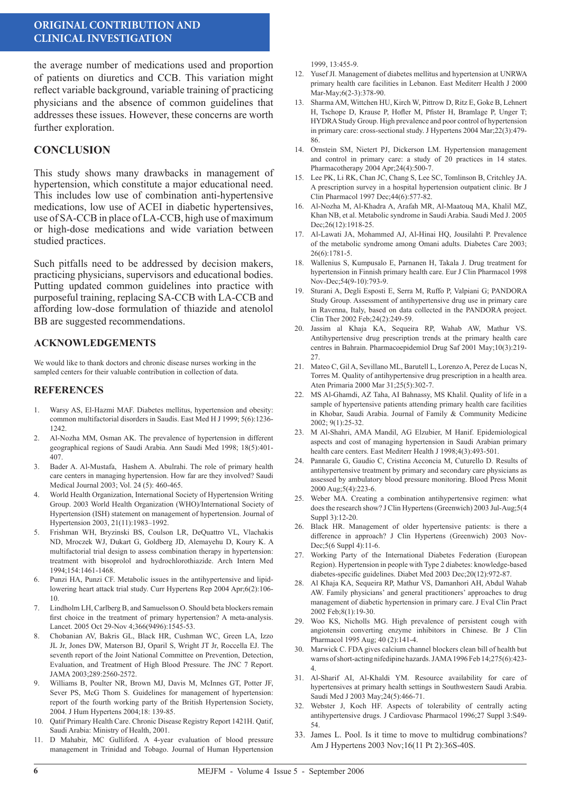### **ORIGINAL CONTRIBUTION AND CLINICAL INVESTIGATION**

the average number of medications used and proportion of patients on diuretics and CCB. This variation might reflect variable background, variable training of practicing physicians and the absence of common guidelines that addresses these issues. However, these concerns are worth further exploration.

# **CONCLUSION**

This study shows many drawbacks in management of hypertension, which constitute a major educational need. This includes low use of combination anti-hypertensive medications, low use of ACEI in diabetic hypertensives, use of SA-CCB in place of LA-CCB, high use of maximum or high-dose medications and wide variation between studied practices.

Such pitfalls need to be addressed by decision makers, practicing physicians, supervisors and educational bodies. Putting updated common guidelines into practice with purposeful training, replacing SA-CCB with LA-CCB and affording low-dose formulation of thiazide and atenolol BB are suggested recommendations.

#### **ACKNOWLEDGEMENTS**

We would like to thank doctors and chronic disease nurses working in the sampled centers for their valuable contribution in collection of data.

#### **REFERENCES**

- Warsy AS, El-Hazmi MAF. Diabetes mellitus, hypertension and obesity: common multifactorial disorders in Saudis. East Med H J 1999; 5(6):1236- 1242.
- 2. Al-Nozha MM, Osman AK. The prevalence of hypertension in different geographical regions of Saudi Arabia. Ann Saudi Med 1998; 18(5):401- 407.
- 3. Bader A. Al-Mustafa, Hashem A. Abulrahi. The role of primary health care centers in managing hypertension. How far are they involved? Saudi Medical Journal 2003; Vol. 24 (5): 460-465.
- 4. World Health Organization, International Society of Hypertension Writing Group. 2003 World Health Organization (WHO)/International Society of Hypertension (ISH) statement on management of hypertension. Journal of Hypertension 2003, 21(11):1983–1992.
- 5. Frishman WH, Bryzinski BS, Coulson LR, DeQuattro VL, Vlachakis ND, Mroczek WJ, Dukart G, Goldberg JD, Alemayehu D, Koury K. A multifactorial trial design to assess combination therapy in hypertension: treatment with bisoprolol and hydrochlorothiazide. Arch Intern Med 1994;154:1461-1468.
- Punzi HA, Punzi CF. Metabolic issues in the antihypertensive and lipidlowering heart attack trial study. Curr Hypertens Rep 2004 Apr;6(2):106- 10.
- Lindholm LH, Carlberg B, and Samuelsson O. Should beta blockers remain first choice in the treatment of primary hypertension? A meta-analysis. Lancet. 2005 Oct 29-Nov 4;366(9496):1545-53.
- 8. Chobanian AV, Bakris GL, Black HR, Cushman WC, Green LA, Izzo JL Jr, Jones DW, Materson BJ, Oparil S, Wright JT Jr, Roccella EJ. The seventh report of the Joint National Committee on Prevention, Detection, Evaluation, and Treatment of High Blood Pressure. The JNC 7 Report. JAMA 2003;289:2560-2572.
- 9. Williams B, Poulter NR, Brown MJ, Davis M, McInnes GT, Potter JF, Sever PS, McG Thom S. Guidelines for management of hypertension: report of the fourth working party of the British Hypertension Society, 2004. J Hum Hypertens 2004;18: 139-85.
- 10. Qatif Primary Health Care. Chronic Disease Registry Report 1421H. Qatif, Saudi Arabia: Ministry of Health, 2001.
- 11. D Mahabir, MC Gulliford. A 4-year evaluation of blood pressure management in Trinidad and Tobago. Journal of Human Hypertension

1999, 13:455-9.

- 12. Yusef JI. Management of diabetes mellitus and hypertension at UNRWA primary health care facilities in Lebanon. East Mediterr Health J 2000 Mar-May;6(2-3):378-90.
- 13. Sharma AM, Wittchen HU, Kirch W, Pittrow D, Ritz E, Goke B, Lehnert H, Tschope D, Krause P, Hofler M, Pfister H, Bramlage P, Unger T; HYDRA Study Group. High prevalence and poor control of hypertension in primary care: cross-sectional study. J Hypertens 2004 Mar;22(3):479- 86.
- 14. Ornstein SM, Nietert PJ, Dickerson LM. Hypertension management and control in primary care: a study of 20 practices in 14 states. Pharmacotherapy 2004 Apr;24(4):500-7.
- 15. Lee PK, Li RK, Chan JC, Chang S, Lee SC, Tomlinson B, Critchley JA. A prescription survey in a hospital hypertension outpatient clinic. Br J Clin Pharmacol 1997 Dec;44(6):577-82.
- 16. Al-Nozha M, Al-Khadra A, Arafah MR, Al-Maatouq MA, Khalil MZ, Khan NB, et al. Metabolic syndrome in Saudi Arabia. Saudi Med J. 2005 Dec; 26(12): 1918-25.
- 17. Al-Lawati JA, Mohammed AJ, Al-Hinai HQ, Jousilahti P. Prevalence of the metabolic syndrome among Omani adults. Diabetes Care 2003; 26(6):1781-5.
- 18. Wallenius S, Kumpusalo E, Parnanen H, Takala J. Drug treatment for hypertension in Finnish primary health care. Eur J Clin Pharmacol 1998 Nov-Dec;54(9-10):793-9.
- 19. Sturani A, Degli Esposti E, Serra M, Ruffo P, Valpiani G; PANDORA Study Group. Assessment of antihypertensive drug use in primary care in Ravenna, Italy, based on data collected in the PANDORA project. Clin Ther 2002 Feb;24(2):249-59.
- 20. Jassim al Khaja KA, Sequeira RP, Wahab AW, Mathur VS. Antihypertensive drug prescription trends at the primary health care centres in Bahrain. Pharmacoepidemiol Drug Saf 2001 May;10(3):219- 27.
- 21. Mateo C, Gil A, Sevillano ML, Barutell L, Lorenzo A, Perez de Lucas N, Torres M. Quality of antihypertensive drug prescription in a health area. Aten Primaria 2000 Mar 31;25(5):302-7.
- 22. MS Al-Ghamdi, AZ Taha, AI Bahnassy, MS Khalil. Quality of life in a sample of hypertensive patients attending primary health care facilities in Khobar, Saudi Arabia. Journal of Family & Community Medicine 2002; 9(1):25-32.
- 23. M Al-Shahri, AMA Mandil, AG Elzubier, M Hanif. Epidemiological aspects and cost of managing hypertension in Saudi Arabian primary health care centers. East Mediterr Health J 1998;4(3):493-501.
- 24. Pannarale G, Gaudio C, Cristina Acconcia M, Cuturello D. Results of antihypertensive treatment by primary and secondary care physicians as assessed by ambulatory blood pressure monitoring. Blood Press Monit 2000 Aug;5(4):223-6.
- 25. Weber MA. Creating a combination antihypertensive regimen: what does the research show? J Clin Hypertens (Greenwich) 2003 Jul-Aug;5(4 Suppl 3):12-20.
- 26. Black HR. Management of older hypertensive patients: is there a difference in approach? J Clin Hypertens (Greenwich) 2003 Nov-Dec: 5(6 Suppl 4): 11-6.
- 27. Working Party of the International Diabetes Federation (European Region). Hypertension in people with Type 2 diabetes: knowledge-based diabetes-specific guidelines. Diabet Med 2003 Dec;20(12):972-87.
- 28. Al Khaja KA, Sequeira RP, Mathur VS, Damanhori AH, Abdul Wahab AW. Family physicians' and general practitioners' approaches to drug management of diabetic hypertension in primary care. J Eval Clin Pract 2002 Feb;8(1):19-30.
- 29. Woo KS, Nicholls MG. High prevalence of persistent cough with angiotensin converting enzyme inhibitors in Chinese. Br J Clin Pharmacol 1995 Aug; 40 (2):141-4.
- 30. Marwick C. FDA gives calcium channel blockers clean bill of health but warns of short-acting nifedipine hazards. JAMA 1996 Feb 14;275(6):423- 4.
- 31. Al-Sharif AI, Al-Khaldi YM. Resource availability for care of hypertensives at primary health settings in Southwestern Saudi Arabia. Saudi Med J 2003 May;24(5):466-71.
- 32. Webster J, Koch HF. Aspects of tolerability of centrally acting antihypertensive drugs. J Cardiovasc Pharmacol 1996;27 Suppl 3:S49- 54.
- 33. James L. Pool. Is it time to move to multidrug combinations? Am J Hypertens 2003 Nov;16(11 Pt 2):36S-40S.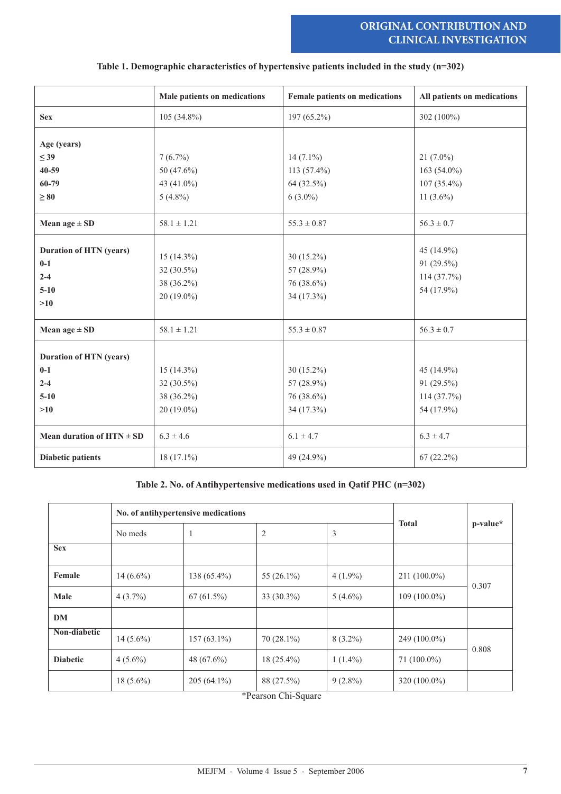# **ORIGINAL CONTRIBUTION AND CLINICAL INVESTIGATION**

|                                                                       | Male patients on medications                             | Female patients on medications                         | All patients on medications                                 |
|-----------------------------------------------------------------------|----------------------------------------------------------|--------------------------------------------------------|-------------------------------------------------------------|
| <b>Sex</b>                                                            | $105(34.8\%)$                                            | 197 (65.2%)                                            | 302 (100%)                                                  |
| Age (years)<br>$\leq$ 39<br>40-59<br>60-79<br>$\geq 80$               | $7(6.7\%)$<br>50 (47.6%)<br>43 (41.0%)<br>$5(4.8\%)$     | $14(7.1\%)$<br>113 (57.4%)<br>64 (32.5%)<br>$6(3.0\%)$ | $21(7.0\%)$<br>163 (54.0%)<br>$107(35.4\%)$<br>11 $(3.6\%)$ |
| Mean age $\pm$ SD                                                     | $58.1 \pm 1.21$                                          | $55.3 \pm 0.87$                                        | $56.3 \pm 0.7$                                              |
| <b>Duration of HTN (years)</b><br>$0-1$<br>$2 - 4$<br>$5 - 10$<br>>10 | $15(14.3\%)$<br>32 (30.5%)<br>38 (36.2%)<br>$20(19.0\%)$ | $30(15.2\%)$<br>57 (28.9%)<br>76 (38.6%)<br>34 (17.3%) | 45 (14.9%)<br>91 (29.5%)<br>$114(37.7\%)$<br>54 (17.9%)     |
| Mean age $\pm$ SD                                                     | $58.1 \pm 1.21$                                          | $55.3 \pm 0.87$                                        | $56.3 \pm 0.7$                                              |
| <b>Duration of HTN (years)</b><br>$0-1$<br>$2 - 4$<br>$5 - 10$<br>>10 | $15(14.3\%)$<br>32 (30.5%)<br>38 (36.2%)<br>$20(19.0\%)$ | 30 (15.2%)<br>57 (28.9%)<br>76 (38.6%)<br>34 (17.3%)   | 45 (14.9%)<br>91 (29.5%)<br>$114(37.7\%)$<br>54 (17.9%)     |
| Mean duration of $HTN \pm SD$                                         | $6.3 \pm 4.6$                                            | $6.1 \pm 4.7$                                          | $6.3 \pm 4.7$                                               |
| <b>Diabetic patients</b>                                              | $18(17.1\%)$                                             | 49 (24.9%)                                             | $67(22.2\%)$                                                |

#### **Table 1. Demographic characteristics of hypertensive patients included in the study (n=302)**

#### **Table 2. No. of Antihypertensive medications used in Qatif PHC (n=302)**

|                 |             | No. of antihypertensive medications |                                     |            |                |          |
|-----------------|-------------|-------------------------------------|-------------------------------------|------------|----------------|----------|
|                 | No meds     | -1                                  | $\overline{2}$                      | 3          | <b>Total</b>   | p-value* |
| <b>Sex</b>      |             |                                     |                                     |            |                |          |
| Female          | $14(6.6\%)$ | $138(65.4\%)$                       | 55 $(26.1\%)$                       | $4(1.9\%)$ | $211(100.0\%)$ | 0.307    |
| Male            | $4(3.7\%)$  | $67(61.5\%)$                        | $33(30.3\%)$                        | $5(4.6\%)$ | $109(100.0\%)$ |          |
| <b>DM</b>       |             |                                     |                                     |            |                |          |
| Non-diabetic    | $14(5.6\%)$ | $157(63.1\%)$                       | $70(28.1\%)$                        | $8(3.2\%)$ | $249(100.0\%)$ |          |
| <b>Diabetic</b> | $4(5.6\%)$  | 48 $(67.6\%)$                       | $18(25.4\%)$                        | $1(1.4\%)$ | $71(100.0\%)$  | 0.808    |
|                 | $18(5.6\%)$ | $205(64.1\%)$                       | 88 (27.5%)<br>$\sim$ $\sim$<br>4.73 | $9(2.8\%)$ | $320(100.0\%)$ |          |

\*Pearson Chi-Square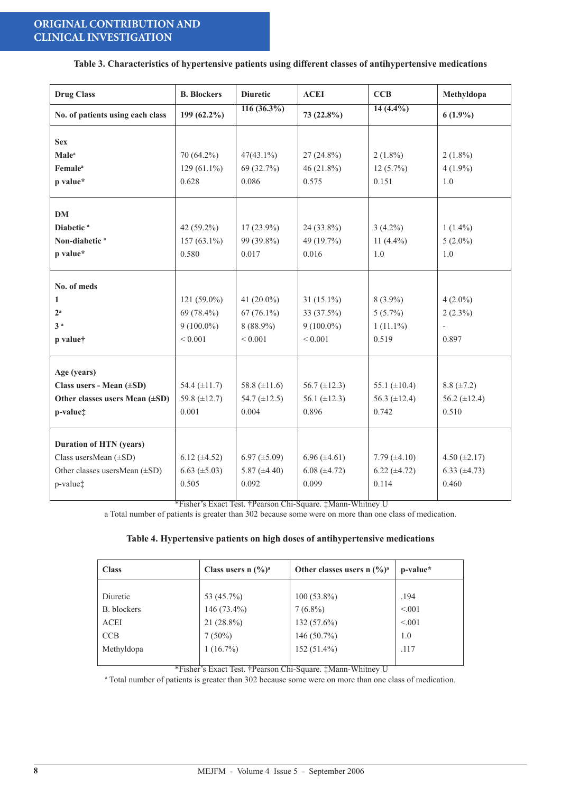#### **Table 3. Characteristics of hypertensive patients using different classes of antihypertensive medications**

| <b>Drug Class</b>                | <b>B.</b> Blockers  | <b>Diuretic</b>           | <b>ACEI</b>         | <b>CCB</b>        | Methyldopa               |
|----------------------------------|---------------------|---------------------------|---------------------|-------------------|--------------------------|
| No. of patients using each class | 199 (62.2%)         | $\overline{116 (36.3\%)}$ | 73 (22.8%)          | $14(4.4\%)$       | $6(1.9\%)$               |
| <b>Sex</b>                       |                     |                           |                     |                   |                          |
| <b>Male</b> <sup>a</sup>         | 70 (64.2%)          | $47(43.1\%)$              | $27(24.8\%)$        | $2(1.8\%)$        | $2(1.8\%)$               |
| <b>Female</b> <sup>a</sup>       | $129(61.1\%)$       | 69 (32.7%)                | 46 $(21.8\%)$       | $12(5.7\%)$       | $4(1.9\%)$               |
| p value*                         | 0.628               | 0.086                     | 0.575               | 0.151             | 1.0                      |
| <b>DM</b>                        |                     |                           |                     |                   |                          |
| Diabetic <sup>a</sup>            | 42 $(59.2\%)$       | $17(23.9\%)$              | 24 (33.8%)          | $3(4.2\%)$        | $1(1.4\%)$               |
| Non-diabetic <sup>a</sup>        | $157(63.1\%)$       | 99 (39.8%)                | 49 (19.7%)          | 11 $(4.4\%)$      | $5(2.0\%)$               |
| p value*                         | 0.580               | 0.017                     | 0.016               | 1.0               | 1.0                      |
| No. of meds                      |                     |                           |                     |                   |                          |
| 1                                | $121(59.0\%)$       | 41 $(20.0\%)$             | $31(15.1\%)$        | $8(3.9\%)$        | $4(2.0\%)$               |
| $2^{\rm a}$                      | 69 (78.4%)          | $67(76.1\%)$              | 33 (37.5%)          | $5(5.7\%)$        | $2(2.3\%)$               |
| 3 <sup>a</sup>                   | $9(100.0\%)$        | $8(88.9\%)$               | $9(100.0\%)$        | $1(11.1\%)$       | $\overline{\phantom{a}}$ |
| p value <sup>†</sup>             | ${}< 0.001$         | ${}< 0.001$               | ${}< 0.001$         | 0.519             | 0.897                    |
| Age (years)                      |                     |                           |                     |                   |                          |
| Class users - Mean (±SD)         | 54.4 $(\pm 11.7)$   | 58.8 $(\pm 11.6)$         | 56.7 $(\pm 12.3)$   | 55.1 $(\pm 10.4)$ | $8.8 (\pm 7.2)$          |
| Other classes users Mean (±SD)   | 59.8 $(\pm 12.7)$   | 54.7 $(\pm 12.5)$         | 56.1 $(\pm 12.3)$   | 56.3 $(\pm 12.4)$ | 56.2 $(\pm 12.4)$        |
| p-value‡                         | 0.001               | 0.004                     | 0.896               | 0.742             | 0.510                    |
| <b>Duration of HTN (years)</b>   |                     |                           |                     |                   |                          |
| Class usersMean (±SD)            | $6.12 (\pm 4.52)$   | $6.97 \ (\pm 5.09)$       | $6.96 \ (\pm 4.61)$ | 7.79 $(\pm 4.10)$ | 4.50 $(\pm 2.17)$        |
| Other classes usersMean (±SD)    | $6.63 \ (\pm 5.03)$ | 5.87 $(\pm 4.40)$         | $6.08 (\pm 4.72)$   | $6.22 (\pm 4.72)$ | $6.33 (\pm 4.73)$        |
| p-value <sup>†</sup>             | 0.505               | 0.092                     | 0.099               | 0.114             | 0.460                    |

\*Fisher's Exact Test. †Pearson Chi-Square. ‡Mann-Whitney U

a Total number of patients is greater than 302 because some were on more than one class of medication.

#### **Table 4. Hypertensive patients on high doses of antihypertensive medications**

| <b>Class</b> | Class users n $(\frac{6}{9})^a$ | Other classes users n $(\frac{6}{9})^a$ | p-value* |
|--------------|---------------------------------|-----------------------------------------|----------|
|              |                                 |                                         |          |
| Diuretic     | 53 (45.7%)                      | $100(53.8\%)$                           | .194     |
| B. blockers  | $146(73.4\%)$                   | $7(6.8\%)$                              | < 0.01   |
| <b>ACEI</b>  | 21 (28.8%)                      | 132 (57.6%)                             | < 0.01   |
| CCB          | $7(50\%)$                       | 146 (50.7%)                             | 1.0      |
| Methyldopa   | $1(16.7\%)$                     | 152 (51.4%)                             | .117     |
|              |                                 |                                         |          |

\*Fisher's Exact Test. †Pearson Chi-Square. ‡Mann-Whitney U

a Total number of patients is greater than 302 because some were on more than one class of medication.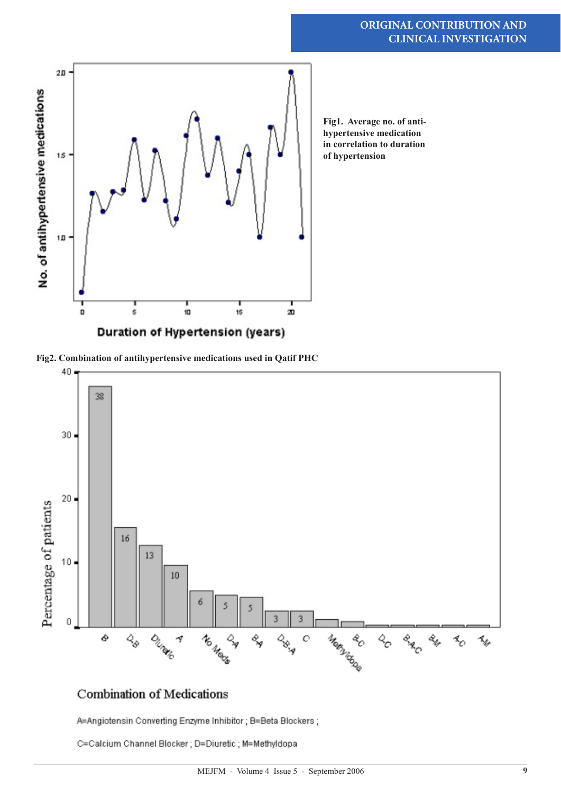

**Fig1. Average no. of antihypertensive medication in correlation to duration of hypertension** 

**Fig2. Combination of antihypertensive medications used in Qatif PHC** 



# Combination of Medications

A=Angiotensin Converting Enzyme Inhibitor ; B=Beta Blockers ;

C=Calcium Channel Blocker; D=Diuretic; M=Methyldopa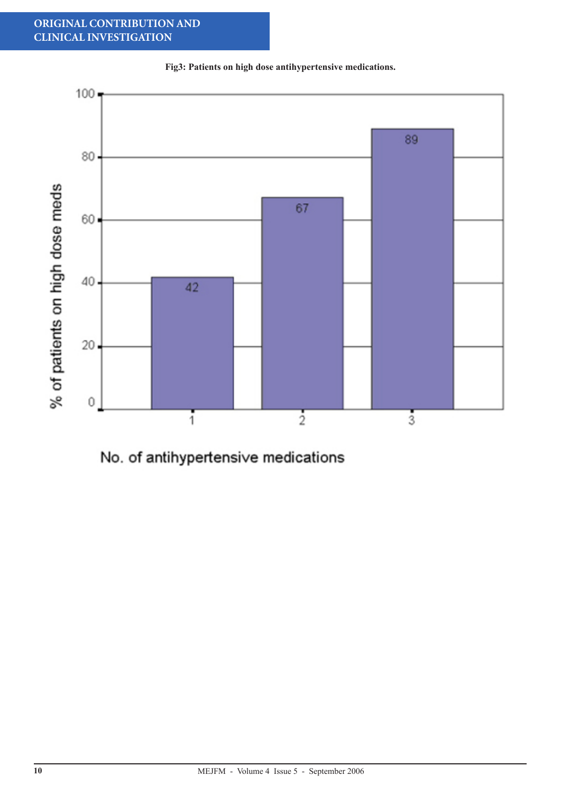# **ORIGINAL CONTRIBUTION AND CLINICAL INVESTIGATION**



**Fig3: Patients on high dose antihypertensive medications.**

No. of antihypertensive medications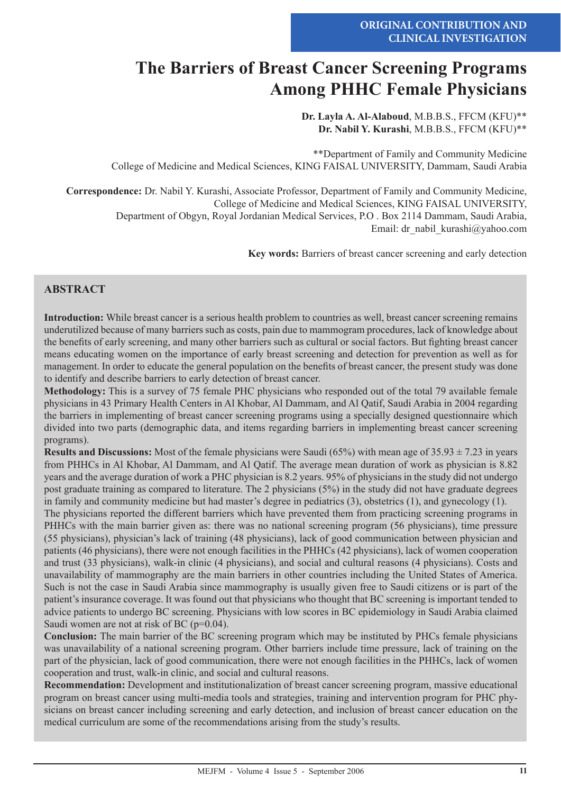# **The Barriers of Breast Cancer Screening Programs Among PHHC Female Physicians**

**Dr. Layla A. Al-Alaboud**, M.B.B.S., FFCM (KFU)\*\* **Dr. Nabil Y. Kurashi**, M.B.B.S., FFCM (KFU)\*\*

\*\*Department of Family and Community Medicine College of Medicine and Medical Sciences, KING FAISAL UNIVERSITY, Dammam, Saudi Arabia

**Correspondence:** Dr. Nabil Y. Kurashi, Associate Professor, Department of Family and Community Medicine, College of Medicine and Medical Sciences, KING FAISAL UNIVERSITY, Department of Obgyn, Royal Jordanian Medical Services, P.O . Box 2114 Dammam, Saudi Arabia, Email: dr\_nabil\_kurashi@yahoo.com

**Key words:** Barriers of breast cancer screening and early detection

# **ABSTRACT**

**Introduction:** While breast cancer is a serious health problem to countries as well, breast cancer screening remains underutilized because of many barriers such as costs, pain due to mammogram procedures, lack of knowledge about the benefits of early screening, and many other barriers such as cultural or social factors. But fighting breast cancer means educating women on the importance of early breast screening and detection for prevention as well as for management. In order to educate the general population on the benefits of breast cancer, the present study was done to identify and describe barriers to early detection of breast cancer.

**Methodology:** This is a survey of 75 female PHC physicians who responded out of the total 79 available female physicians in 43 Primary Health Centers in Al Khobar, Al Dammam, and Al Qatif, Saudi Arabia in 2004 regarding the barriers in implementing of breast cancer screening programs using a specially designed questionnaire which divided into two parts (demographic data, and items regarding barriers in implementing breast cancer screening programs).

**Results and Discussions:** Most of the female physicians were Saudi (65%) with mean age of 35.93 ± 7.23 in years from PHHCs in Al Khobar, Al Dammam, and Al Qatif. The average mean duration of work as physician is 8.82 years and the average duration of work a PHC physician is 8.2 years. 95% of physicians in the study did not undergo post graduate training as compared to literature. The 2 physicians (5%) in the study did not have graduate degrees in family and community medicine but had master's degree in pediatrics (3), obstetrics (1), and gynecology (1).

The physicians reported the different barriers which have prevented them from practicing screening programs in PHHCs with the main barrier given as: there was no national screening program (56 physicians), time pressure (55 physicians), physician's lack of training (48 physicians), lack of good communication between physician and patients (46 physicians), there were not enough facilities in the PHHCs (42 physicians), lack of women cooperation and trust (33 physicians), walk-in clinic (4 physicians), and social and cultural reasons (4 physicians). Costs and unavailability of mammography are the main barriers in other countries including the United States of America. Such is not the case in Saudi Arabia since mammography is usually given free to Saudi citizens or is part of the patient's insurance coverage. It was found out that physicians who thought that BC screening is important tended to advice patients to undergo BC screening. Physicians with low scores in BC epidemiology in Saudi Arabia claimed Saudi women are not at risk of BC (p=0.04).

**Conclusion:** The main barrier of the BC screening program which may be instituted by PHCs female physicians was unavailability of a national screening program. Other barriers include time pressure, lack of training on the part of the physician, lack of good communication, there were not enough facilities in the PHHCs, lack of women cooperation and trust, walk-in clinic, and social and cultural reasons.

**Recommendation:** Development and institutionalization of breast cancer screening program, massive educational program on breast cancer using multi-media tools and strategies, training and intervention program for PHC physicians on breast cancer including screening and early detection, and inclusion of breast cancer education on the medical curriculum are some of the recommendations arising from the study's results.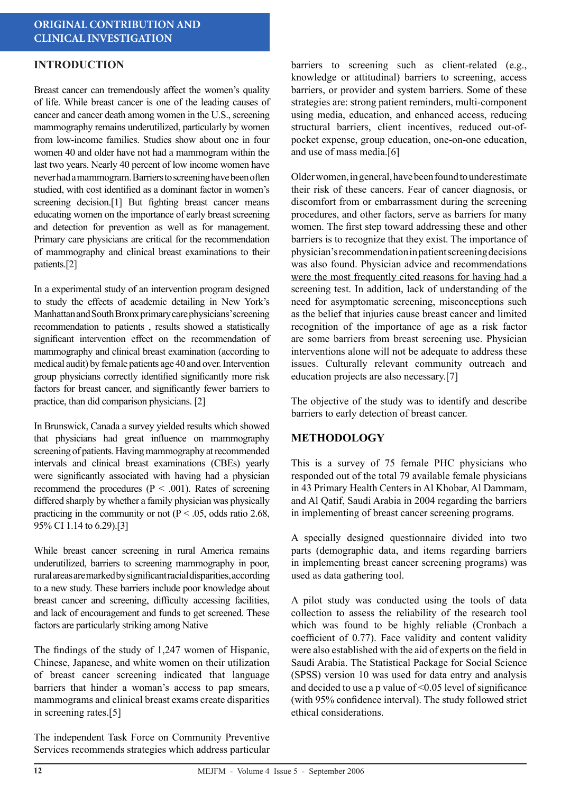# **INTRODUCTION**

Breast cancer can tremendously affect the women's quality of life. While breast cancer is one of the leading causes of cancer and cancer death among women in the U.S., screening mammography remains underutilized, particularly by women from low-income families. Studies show about one in four women 40 and older have not had a mammogram within the last two years. Nearly 40 percent of low income women have never had a mammogram. Barriers to screening have been often studied, with cost identified as a dominant factor in women's screening decision.<sup>[1]</sup> But fighting breast cancer means educating women on the importance of early breast screening and detection for prevention as well as for management. Primary care physicians are critical for the recommendation of mammography and clinical breast examinations to their patients.[2]

In a experimental study of an intervention program designed to study the effects of academic detailing in New York's Manhattan and South Bronx primary care physicians' screening recommendation to patients , results showed a statistically significant intervention effect on the recommendation of mammography and clinical breast examination (according to medical audit) by female patients age 40 and over. Intervention group physicians correctly identified significantly more risk factors for breast cancer, and significantly fewer barriers to practice, than did comparison physicians. [2]

In Brunswick, Canada a survey yielded results which showed that physicians had great influence on mammography screening of patients. Having mammography at recommended intervals and clinical breast examinations (CBEs) yearly were significantly associated with having had a physician recommend the procedures ( $P < .001$ ). Rates of screening differed sharply by whether a family physician was physically practicing in the community or not ( $P < .05$ , odds ratio 2.68, 95% CI 1.14 to 6.29).[3]

While breast cancer screening in rural America remains underutilized, barriers to screening mammography in poor, rural areas are marked by significant racial disparities, according to a new study. These barriers include poor knowledge about breast cancer and screening, difficulty accessing facilities, and lack of encouragement and funds to get screened. These factors are particularly striking among Native

The findings of the study of 1,247 women of Hispanic, Chinese, Japanese, and white women on their utilization of breast cancer screening indicated that language barriers that hinder a woman's access to pap smears, mammograms and clinical breast exams create disparities in screening rates.[5]

The independent Task Force on Community Preventive Services recommends strategies which address particular

barriers to screening such as client-related (e.g., knowledge or attitudinal) barriers to screening, access barriers, or provider and system barriers. Some of these strategies are: strong patient reminders, multi-component using media, education, and enhanced access, reducing structural barriers, client incentives, reduced out-ofpocket expense, group education, one-on-one education, and use of mass media.[6]

Older women, in general, have been found to underestimate their risk of these cancers. Fear of cancer diagnosis, or discomfort from or embarrassment during the screening procedures, and other factors, serve as barriers for many women. The first step toward addressing these and other barriers is to recognize that they exist. The importance of physician's recommendation in patient screening decisions was also found. Physician advice and recommendations were the most frequently cited reasons for having had a screening test. In addition, lack of understanding of the need for asymptomatic screening, misconceptions such as the belief that injuries cause breast cancer and limited recognition of the importance of age as a risk factor are some barriers from breast screening use. Physician interventions alone will not be adequate to address these issues. Culturally relevant community outreach and education projects are also necessary.[7]

The objective of the study was to identify and describe barriers to early detection of breast cancer.

# **METHODOLOGY**

This is a survey of 75 female PHC physicians who responded out of the total 79 available female physicians in 43 Primary Health Centers in Al Khobar, Al Dammam, and Al Qatif, Saudi Arabia in 2004 regarding the barriers in implementing of breast cancer screening programs.

A specially designed questionnaire divided into two parts (demographic data, and items regarding barriers in implementing breast cancer screening programs) was used as data gathering tool.

A pilot study was conducted using the tools of data collection to assess the reliability of the research tool which was found to be highly reliable (Cronbach a coefficient of 0.77). Face validity and content validity were also established with the aid of experts on the field in Saudi Arabia. The Statistical Package for Social Science (SPSS) version 10 was used for data entry and analysis and decided to use a p value of <0.05 level of significance (with 95% confidence interval). The study followed strict ethical considerations.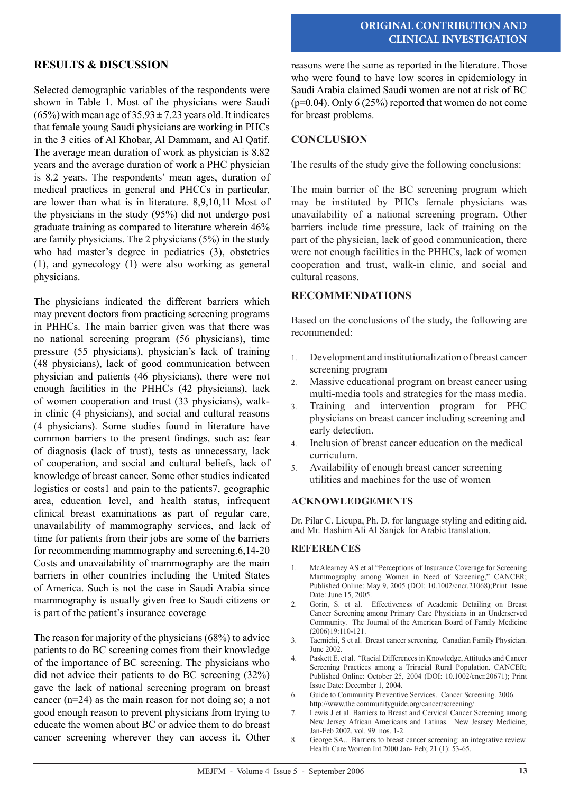# **ORIGINAL CONTRIBUTION AND CLINICAL INVESTIGATION**

### **RESULTS & DISCUSSION**

Selected demographic variables of the respondents were shown in Table 1. Most of the physicians were Saudi  $(65\%)$  with mean age of  $35.93 \pm 7.23$  years old. It indicates that female young Saudi physicians are working in PHCs in the 3 cities of Al Khobar, Al Dammam, and Al Qatif. The average mean duration of work as physician is 8.82 years and the average duration of work a PHC physician is 8.2 years. The respondents' mean ages, duration of medical practices in general and PHCCs in particular, are lower than what is in literature. 8,9,10,11 Most of the physicians in the study (95%) did not undergo post graduate training as compared to literature wherein 46% are family physicians. The 2 physicians (5%) in the study who had master's degree in pediatrics (3), obstetrics (1), and gynecology (1) were also working as general physicians.

The physicians indicated the different barriers which may prevent doctors from practicing screening programs in PHHCs. The main barrier given was that there was no national screening program (56 physicians), time pressure (55 physicians), physician's lack of training (48 physicians), lack of good communication between physician and patients (46 physicians), there were not enough facilities in the PHHCs (42 physicians), lack of women cooperation and trust (33 physicians), walkin clinic (4 physicians), and social and cultural reasons (4 physicians). Some studies found in literature have common barriers to the present findings, such as: fear of diagnosis (lack of trust), tests as unnecessary, lack of cooperation, and social and cultural beliefs, lack of knowledge of breast cancer. Some other studies indicated logistics or costs1 and pain to the patients7, geographic area, education level, and health status, infrequent clinical breast examinations as part of regular care, unavailability of mammography services, and lack of time for patients from their jobs are some of the barriers for recommending mammography and screening.6,14-20 Costs and unavailability of mammography are the main barriers in other countries including the United States of America. Such is not the case in Saudi Arabia since mammography is usually given free to Saudi citizens or is part of the patient's insurance coverage

The reason for majority of the physicians (68%) to advice patients to do BC screening comes from their knowledge of the importance of BC screening. The physicians who did not advice their patients to do BC screening (32%) gave the lack of national screening program on breast cancer (n=24) as the main reason for not doing so; a not good enough reason to prevent physicians from trying to educate the women about BC or advice them to do breast cancer screening wherever they can access it. Other reasons were the same as reported in the literature. Those who were found to have low scores in epidemiology in Saudi Arabia claimed Saudi women are not at risk of BC  $(p=0.04)$ . Only 6 (25%) reported that women do not come for breast problems.

# **CONCLUSION**

The results of the study give the following conclusions:

The main barrier of the BC screening program which may be instituted by PHCs female physicians was unavailability of a national screening program. Other barriers include time pressure, lack of training on the part of the physician, lack of good communication, there were not enough facilities in the PHHCs, lack of women cooperation and trust, walk-in clinic, and social and cultural reasons.

#### **RECOMMENDATIONS**

Based on the conclusions of the study, the following are recommended:

- 1. Development and institutionalization of breast cancer screening program
- 2. Massive educational program on breast cancer using multi-media tools and strategies for the mass media.
- 3. Training and intervention program for PHC physicians on breast cancer including screening and early detection.
- 4. Inclusion of breast cancer education on the medical curriculum.
- 5. Availability of enough breast cancer screening utilities and machines for the use of women

#### **ACKNOWLEDGEMENTS**

Dr. Pilar C. Licupa, Ph. D. for language styling and editing aid, and Mr. Hashim Ali Al Sanjek for Arabic translation.

#### **REFERENCES**

- 1. McAlearney AS et al "Perceptions of Insurance Coverage for Screening Mammography among Women in Need of Screening," CANCER; Published Online: May 9, 2005 (DOI: 10.1002/cncr.21068);Print Issue Date: June 15, 2005.
- 2. Gorin, S. et al. Effectiveness of Academic Detailing on Breast Cancer Screening among Primary Care Physicians in an Underserved Community. The Journal of the American Board of Family Medicine (2006)19:110-121.
- 3. Taemichi, S et al. Breast cancer screening. Canadian Family Physician. June 2002.
- 4. Paskett E. et al. "Racial Differences in Knowledge, Attitudes and Cancer Screening Practices among a Triracial Rural Population. CANCER; Published Online: October 25, 2004 (DOI: 10.1002/cncr.20671); Print Issue Date: December 1, 2004.
- 6. Guide to Community Preventive Services. Cancer Screening. 2006. http://www.the communityguide.org/cancer/screening/.
- 7. Lewis J et al. Barriers to Breast and Cervical Cancer Screening among New Jersey African Americans and Latinas. New Jesrsey Medicine; Jan-Feb 2002. vol. 99. nos. 1-2.
- 8. George SA.. Barriers to breast cancer screening: an integrative review. Health Care Women Int 2000 Jan- Feb; 21 (1): 53-65.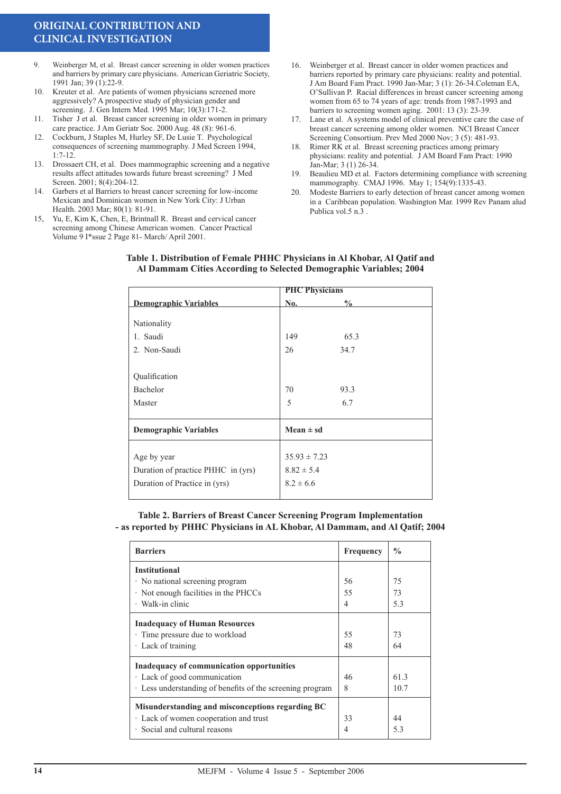# **ORIGINAL CONTRIBUTION AND CLINICAL INVESTIGATION**

- 9. Weinberger M, et al. Breast cancer screening in older women practices and barriers by primary care physicians. American Geriatric Society, 1991 Jan; 39 (1):22-9.
- 10. Kreuter et al. Are patients of women physicians screened more aggressively? A prospective study of physician gender and screening. J. Gen Intern Med. 1995 Mar; 10(3):171-2.
- 11. Tisher J et al. Breast cancer screening in older women in primary care practice. J Am Geriatr Soc. 2000 Aug. 48 (8): 961-6.
- 12. Cockburn, J Staples M, Hurley SF, De Lusie T. Psychological consequences of screening mammography. J Med Screen 1994,  $1:7-12$ .
- 13. Drossaert CH, et al. Does mammographic screening and a negative results affect attitudes towards future breast screening? J Med Screen. 2001; 8(4):204-12.
- 14. Garbers et al Barriers to breast cancer screening for low-income Mexican and Dominican women in New York City: J Urban Health. 2003 Mar; 80(1): 81-91.
- 15, Yu, E, Kim K, Chen, E, Brintnall R. Breast and cervical cancer screening among Chinese American women. Cancer Practical Volume 9 I\*ssue 2 Page 81- March/ April 2001.
- 16. Weinberger et al. Breast cancer in older women practices and barriers reported by primary care physicians: reality and potential. J Am Board Fam Pract. 1990 Jan-Mar; 3 (1): 26-34.Coleman EA, O'Sullivan P. Racial differences in breast cancer screening among women from 65 to 74 years of age: trends from 1987-1993 and barriers to screening women aging. 2001: 13 (3): 23-39.
- 17. Lane et al. A systems model of clinical preventive care the case of breast cancer screening among older women. NCI Breast Cancer Screening Consortium. Prev Med 2000 Nov; 3 (5): 481-93.
- 18. Rimer RK et al. Breast screening practices among primary physicians: reality and potential. J AM Board Fam Pract: 1990 Jan-Mar; 3 (1) 26-34.
- 19. Beaulieu MD et al. Factors determining compliance with screening mammography. CMAJ 1996. May 1; 154(9):1335-43.
- 20. Modeste Barriers to early detection of breast cancer among women in a Caribbean population. Washington Mar. 1999 Rev Panam alud Publica vol.5 n.3 .

|                                    | <b>PHC Physicians</b> |               |  |  |  |
|------------------------------------|-----------------------|---------------|--|--|--|
| <b>Demographic Variables</b>       | No.                   | $\frac{0}{0}$ |  |  |  |
|                                    |                       |               |  |  |  |
| Nationality                        |                       |               |  |  |  |
| 1. Saudi                           | 149                   | 65.3          |  |  |  |
| 2. Non-Saudi                       | 26                    | 34.7          |  |  |  |
|                                    |                       |               |  |  |  |
| Qualification                      |                       |               |  |  |  |
| Bachelor                           | 70                    | 93.3          |  |  |  |
| Master                             | 5                     | 6.7           |  |  |  |
|                                    |                       |               |  |  |  |
| <b>Demographic Variables</b>       | $Mean \pm sd$         |               |  |  |  |
|                                    | $35.93 \pm 7.23$      |               |  |  |  |
| Age by year                        |                       |               |  |  |  |
| Duration of practice PHHC in (yrs) | $8.82 \pm 5.4$        |               |  |  |  |
| Duration of Practice in (yrs)      | $8.2 \pm 6.6$         |               |  |  |  |
|                                    |                       |               |  |  |  |

#### **Table 1. Distribution of Female PHHC Physicians in Al Khobar, Al Qatif and Al Dammam Cities According to Selected Demographic Variables; 2004**

**Table 2. Barriers of Breast Cancer Screening Program Implementation - as reported by PHHC Physicians in AL Khobar, Al Dammam, and Al Qatif; 2004**

| <b>Barriers</b>                                          | Frequency | $\frac{0}{0}$ |
|----------------------------------------------------------|-----------|---------------|
| <b>Institutional</b>                                     |           |               |
| · No national screening program                          | 56        | 75            |
| $\cdot$ Not enough facilities in the PHCCs               | 55        | 73            |
| $\cdot$ Walk-in clinic                                   | 4         | 5.3           |
| <b>Inadequacy of Human Resources</b>                     |           |               |
| · Time pressure due to workload                          | 55        | 73            |
| $\cdot$ Lack of training                                 | 48        | 64            |
| <b>Inadequacy of communication opportunities</b>         |           |               |
| · Lack of good communication                             | 46        | 61.3          |
| Eless understanding of benefits of the screening program | 8         | 10.7          |
| Misunderstanding and misconceptions regarding BC         |           |               |
| · Lack of women cooperation and trust                    | 33        | 44            |
| · Social and cultural reasons                            | 4         | 5.3           |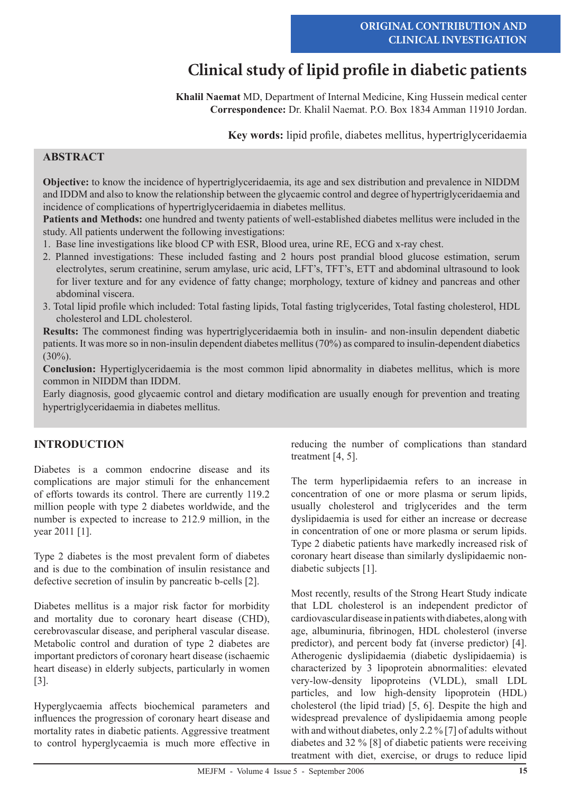# **Clinical study of lipid profile in diabetic patients**

**Khalil Naemat** MD, Department of Internal Medicine, King Hussein medical center **Correspondence:** Dr. Khalil Naemat. P.O. Box 1834 Amman 11910 Jordan.

**Key words:** lipid profile, diabetes mellitus, hypertriglyceridaemia

# **ABSTRACT**

**Objective:** to know the incidence of hypertriglyceridaemia, its age and sex distribution and prevalence in NIDDM and IDDM and also to know the relationship between the glycaemic control and degree of hypertriglyceridaemia and incidence of complications of hypertriglyceridaemia in diabetes mellitus.

**Patients and Methods:** one hundred and twenty patients of well-established diabetes mellitus were included in the study. All patients underwent the following investigations:

- 1. Base line investigations like blood CP with ESR, Blood urea, urine RE, ECG and x-ray chest.
- 2. Planned investigations: These included fasting and 2 hours post prandial blood glucose estimation, serum electrolytes, serum creatinine, serum amylase, uric acid, LFT's, TFT's, ETT and abdominal ultrasound to look for liver texture and for any evidence of fatty change; morphology, texture of kidney and pancreas and other abdominal viscera.
- 3. Total lipid profile which included: Total fasting lipids, Total fasting triglycerides, Total fasting cholesterol, HDL cholesterol and LDL cholesterol.

**Results:** The commonest finding was hypertriglyceridaemia both in insulin- and non-insulin dependent diabetic patients. It was more so in non-insulin dependent diabetes mellitus (70%) as compared to insulin-dependent diabetics  $(30\%)$ .

**Conclusion:** Hypertiglyceridaemia is the most common lipid abnormality in diabetes mellitus, which is more common in NIDDM than IDDM.

Early diagnosis, good glycaemic control and dietary modification are usually enough for prevention and treating hypertriglyceridaemia in diabetes mellitus.

# **INTRODUCTION**

Diabetes is a common endocrine disease and its complications are major stimuli for the enhancement of efforts towards its control. There are currently 119.2 million people with type 2 diabetes worldwide, and the number is expected to increase to 212.9 million, in the year 2011 [1].

Type 2 diabetes is the most prevalent form of diabetes and is due to the combination of insulin resistance and defective secretion of insulin by pancreatic b-cells [2].

Diabetes mellitus is a major risk factor for morbidity and mortality due to coronary heart disease (CHD), cerebrovascular disease, and peripheral vascular disease. Metabolic control and duration of type 2 diabetes are important predictors of coronary heart disease (ischaemic heart disease) in elderly subjects, particularly in women [3].

Hyperglycaemia affects biochemical parameters and influences the progression of coronary heart disease and mortality rates in diabetic patients. Aggressive treatment to control hyperglycaemia is much more effective in reducing the number of complications than standard treatment [4, 5].

The term hyperlipidaemia refers to an increase in concentration of one or more plasma or serum lipids, usually cholesterol and triglycerides and the term dyslipidaemia is used for either an increase or decrease in concentration of one or more plasma or serum lipids. Type 2 diabetic patients have markedly increased risk of coronary heart disease than similarly dyslipidaemic nondiabetic subjects [1].

Most recently, results of the Strong Heart Study indicate that LDL cholesterol is an independent predictor of cardiovascular disease in patients with diabetes, along with age, albuminuria, fibrinogen, HDL cholesterol (inverse predictor), and percent body fat (inverse predictor) [4]. Atherogenic dyslipidaemia (diabetic dyslipidaemia) is characterized by 3 lipoprotein abnormalities: elevated very-low-density lipoproteins (VLDL), small LDL particles, and low high-density lipoprotein (HDL) cholesterol (the lipid triad) [5, 6]. Despite the high and widespread prevalence of dyslipidaemia among people with and without diabetes, only 2.2 % [7] of adults without diabetes and 32 % [8] of diabetic patients were receiving treatment with diet, exercise, or drugs to reduce lipid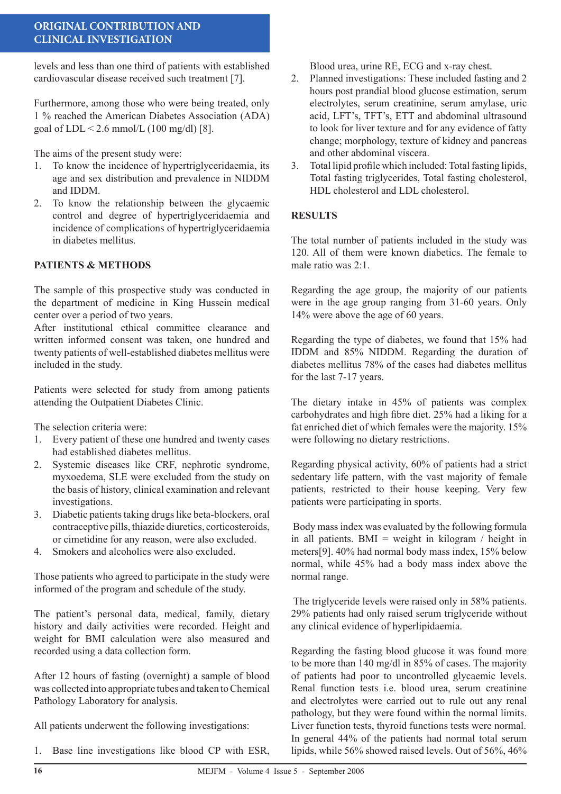# **ORIGINAL CONTRIBUTION AND CLINICAL INVESTIGATION**

levels and less than one third of patients with established cardiovascular disease received such treatment [7].

Furthermore, among those who were being treated, only 1 % reached the American Diabetes Association (ADA) goal of  $LDL < 2.6$  mmol/L (100 mg/dl) [8].

The aims of the present study were:

- 1. To know the incidence of hypertriglyceridaemia, its age and sex distribution and prevalence in NIDDM and IDDM.
- 2. To know the relationship between the glycaemic control and degree of hypertriglyceridaemia and incidence of complications of hypertriglyceridaemia in diabetes mellitus.

# **PATIENTS & METHODS**

The sample of this prospective study was conducted in the department of medicine in King Hussein medical center over a period of two years.

After institutional ethical committee clearance and written informed consent was taken, one hundred and twenty patients of well-established diabetes mellitus were included in the study.

Patients were selected for study from among patients attending the Outpatient Diabetes Clinic.

The selection criteria were:

- 1. Every patient of these one hundred and twenty cases had established diabetes mellitus.
- 2. Systemic diseases like CRF, nephrotic syndrome, myxoedema, SLE were excluded from the study on the basis of history, clinical examination and relevant investigations.
- 3. Diabetic patients taking drugs like beta-blockers, oral contraceptive pills, thiazide diuretics, corticosteroids, or cimetidine for any reason, were also excluded.
- 4. Smokers and alcoholics were also excluded.

Those patients who agreed to participate in the study were informed of the program and schedule of the study.

The patient's personal data, medical, family, dietary history and daily activities were recorded. Height and weight for BMI calculation were also measured and recorded using a data collection form.

After 12 hours of fasting (overnight) a sample of blood was collected into appropriate tubes and taken to Chemical Pathology Laboratory for analysis.

All patients underwent the following investigations:

1. Base line investigations like blood CP with ESR,

Blood urea, urine RE, ECG and x-ray chest.

- 2. Planned investigations: These included fasting and 2 hours post prandial blood glucose estimation, serum electrolytes, serum creatinine, serum amylase, uric acid, LFT's, TFT's, ETT and abdominal ultrasound to look for liver texture and for any evidence of fatty change; morphology, texture of kidney and pancreas and other abdominal viscera.
- 3. Total lipid profile which included: Total fasting lipids, Total fasting triglycerides, Total fasting cholesterol, HDL cholesterol and LDL cholesterol.

#### **RESULTS**

The total number of patients included in the study was 120. All of them were known diabetics. The female to male ratio was 2:1.

Regarding the age group, the majority of our patients were in the age group ranging from 31-60 years. Only 14% were above the age of 60 years.

Regarding the type of diabetes, we found that 15% had IDDM and 85% NIDDM. Regarding the duration of diabetes mellitus 78% of the cases had diabetes mellitus for the last 7-17 years.

The dietary intake in 45% of patients was complex carbohydrates and high fibre diet. 25% had a liking for a fat enriched diet of which females were the majority. 15% were following no dietary restrictions.

Regarding physical activity, 60% of patients had a strict sedentary life pattern, with the vast majority of female patients, restricted to their house keeping. Very few patients were participating in sports.

 Body mass index was evaluated by the following formula in all patients. BMI = weight in kilogram  $/$  height in meters[9]. 40% had normal body mass index, 15% below normal, while 45% had a body mass index above the normal range.

 The triglyceride levels were raised only in 58% patients. 29% patients had only raised serum triglyceride without any clinical evidence of hyperlipidaemia.

Regarding the fasting blood glucose it was found more to be more than 140 mg/dl in 85% of cases. The majority of patients had poor to uncontrolled glycaemic levels. Renal function tests i.e. blood urea, serum creatinine and electrolytes were carried out to rule out any renal pathology, but they were found within the normal limits. Liver function tests, thyroid functions tests were normal. In general 44% of the patients had normal total serum lipids, while 56% showed raised levels. Out of 56%, 46%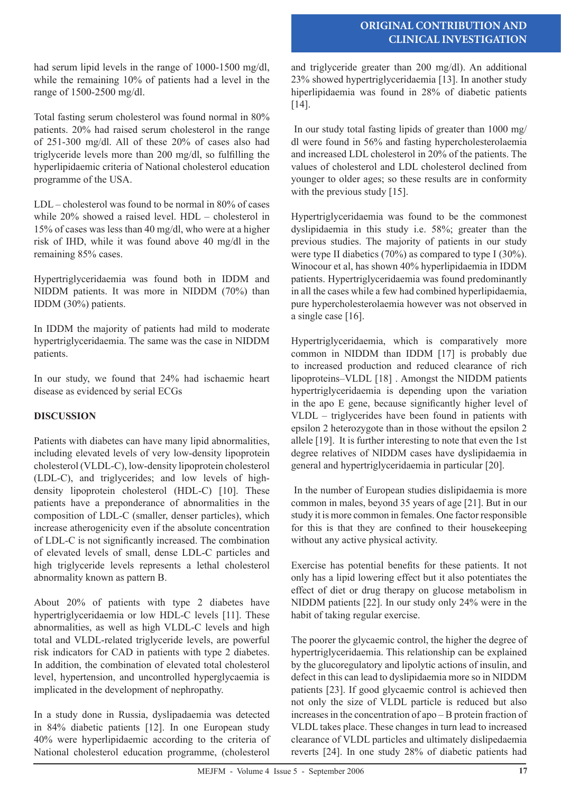# **ORIGINAL CONTRIBUTION AND CLINICAL INVESTIGATION**

had serum lipid levels in the range of 1000-1500 mg/dl, while the remaining 10% of patients had a level in the range of 1500-2500 mg/dl.

Total fasting serum cholesterol was found normal in 80% patients. 20% had raised serum cholesterol in the range of 251-300 mg/dl. All of these 20% of cases also had triglyceride levels more than 200 mg/dl, so fulfilling the hyperlipidaemic criteria of National cholesterol education programme of the USA.

LDL – cholesterol was found to be normal in 80% of cases while 20% showed a raised level. HDL – cholesterol in 15% of cases was less than 40 mg/dl, who were at a higher risk of IHD, while it was found above 40 mg/dl in the remaining 85% cases.

Hypertriglyceridaemia was found both in IDDM and NIDDM patients. It was more in NIDDM (70%) than IDDM (30%) patients.

In IDDM the majority of patients had mild to moderate hypertriglyceridaemia. The same was the case in NIDDM patients.

In our study, we found that 24% had ischaemic heart disease as evidenced by serial ECGs

# **DISCUSSION**

Patients with diabetes can have many lipid abnormalities, including elevated levels of very low-density lipoprotein cholesterol (VLDL-C), low-density lipoprotein cholesterol (LDL-C), and triglycerides; and low levels of highdensity lipoprotein cholesterol (HDL-C) [10]. These patients have a preponderance of abnormalities in the composition of LDL-C (smaller, denser particles), which increase atherogenicity even if the absolute concentration of LDL-C is not significantly increased. The combination of elevated levels of small, dense LDL-C particles and high triglyceride levels represents a lethal cholesterol abnormality known as pattern B.

About 20% of patients with type 2 diabetes have hypertriglyceridaemia or low HDL-C levels [11]. These abnormalities, as well as high VLDL-C levels and high total and VLDL-related triglyceride levels, are powerful risk indicators for CAD in patients with type 2 diabetes. In addition, the combination of elevated total cholesterol level, hypertension, and uncontrolled hyperglycaemia is implicated in the development of nephropathy.

In a study done in Russia, dyslipadaemia was detected in 84% diabetic patients [12]. In one European study 40% were hyperlipidaemic according to the criteria of National cholesterol education programme, (cholesterol

and triglyceride greater than 200 mg/dl). An additional 23% showed hypertriglyceridaemia [13]. In another study hiperlipidaemia was found in 28% of diabetic patients [14].

 In our study total fasting lipids of greater than 1000 mg/ dl were found in 56% and fasting hypercholesterolaemia and increased LDL cholesterol in 20% of the patients. The values of cholesterol and LDL cholesterol declined from younger to older ages; so these results are in conformity with the previous study [15].

Hypertriglyceridaemia was found to be the commonest dyslipidaemia in this study i.e. 58%; greater than the previous studies. The majority of patients in our study were type II diabetics  $(70\%)$  as compared to type I  $(30\%)$ . Winocour et al, has shown 40% hyperlipidaemia in IDDM patients. Hypertriglyceridaemia was found predominantly in all the cases while a few had combined hyperlipidaemia, pure hypercholesterolaemia however was not observed in a single case [16].

Hypertriglyceridaemia, which is comparatively more common in NIDDM than IDDM [17] is probably due to increased production and reduced clearance of rich lipoproteins–VLDL [18] . Amongst the NIDDM patients hypertriglyceridaemia is depending upon the variation in the apo E gene, because significantly higher level of VLDL – triglycerides have been found in patients with epsilon 2 heterozygote than in those without the epsilon 2 allele [19]. It is further interesting to note that even the 1st degree relatives of NIDDM cases have dyslipidaemia in general and hypertriglyceridaemia in particular [20].

 In the number of European studies dislipidaemia is more common in males, beyond 35 years of age [21]. But in our study it is more common in females. One factor responsible for this is that they are confined to their housekeeping without any active physical activity.

Exercise has potential benefits for these patients. It not only has a lipid lowering effect but it also potentiates the effect of diet or drug therapy on glucose metabolism in NIDDM patients [22]. In our study only 24% were in the habit of taking regular exercise.

The poorer the glycaemic control, the higher the degree of hypertriglyceridaemia. This relationship can be explained by the glucoregulatory and lipolytic actions of insulin, and defect in this can lead to dyslipidaemia more so in NIDDM patients [23]. If good glycaemic control is achieved then not only the size of VLDL particle is reduced but also increases in the concentration of apo – B protein fraction of VLDL takes place. These changes in turn lead to increased clearance of VLDL particles and ultimately dislipedaemia reverts [24]. In one study 28% of diabetic patients had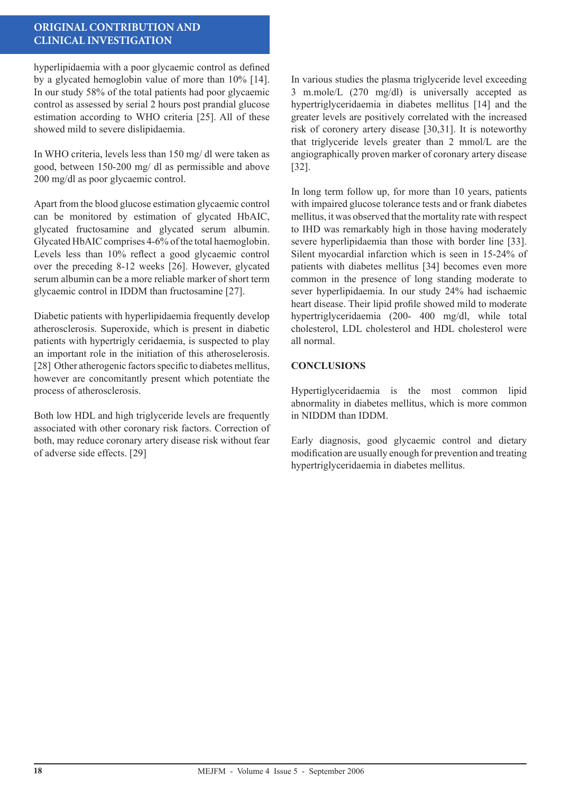# **ORIGINAL CONTRIBUTION AND CLINICAL INVESTIGATION**

hyperlipidaemia with a poor glycaemic control as defined by a glycated hemoglobin value of more than 10% [14]. In our study 58% of the total patients had poor glycaemic control as assessed by serial 2 hours post prandial glucose estimation according to WHO criteria [25]. All of these showed mild to severe dislipidaemia.

In WHO criteria, levels less than 150 mg/ dl were taken as good, between 150-200 mg/ dl as permissible and above 200 mg/dl as poor glycaemic control.

Apart from the blood glucose estimation glycaemic control can be monitored by estimation of glycated HbAIC, glycated fructosamine and glycated serum albumin. Glycated HbAIC comprises 4-6% of the total haemoglobin. Levels less than 10% reflect a good glycaemic control over the preceding 8-12 weeks [26]. However, glycated serum albumin can be a more reliable marker of short term glycaemic control in IDDM than fructosamine [27].

Diabetic patients with hyperlipidaemia frequently develop atherosclerosis. Superoxide, which is present in diabetic patients with hypertrigly ceridaemia, is suspected to play an important role in the initiation of this atheroselerosis. [28] Other atherogenic factors specific to diabetes mellitus, however are concomitantly present which potentiate the process of atherosclerosis.

Both low HDL and high triglyceride levels are frequently associated with other coronary risk factors. Correction of both, may reduce coronary artery disease risk without fear of adverse side effects. [29]

In various studies the plasma triglyceride level exceeding 3 m.mole/L (270 mg/dl) is universally accepted as hypertriglyceridaemia in diabetes mellitus [14] and the greater levels are positively correlated with the increased risk of coronery artery disease [30,31]. It is noteworthy that triglyceride levels greater than 2 mmol/L are the angiographically proven marker of coronary artery disease [32].

In long term follow up, for more than 10 years, patients with impaired glucose tolerance tests and or frank diabetes mellitus, it was observed that the mortality rate with respect to IHD was remarkably high in those having moderately severe hyperlipidaemia than those with border line [33]. Silent myocardial infarction which is seen in 15-24% of patients with diabetes mellitus [34] becomes even more common in the presence of long standing moderate to sever hyperlipidaemia. In our study 24% had ischaemic heart disease. Their lipid profile showed mild to moderate hypertriglyceridaemia (200- 400 mg/dl, while total cholesterol, LDL cholesterol and HDL cholesterol were all normal.

#### **CONCLUSIONS**

Hypertiglyceridaemia is the most common lipid abnormality in diabetes mellitus, which is more common in NIDDM than IDDM.

Early diagnosis, good glycaemic control and dietary modification are usually enough for prevention and treating hypertriglyceridaemia in diabetes mellitus.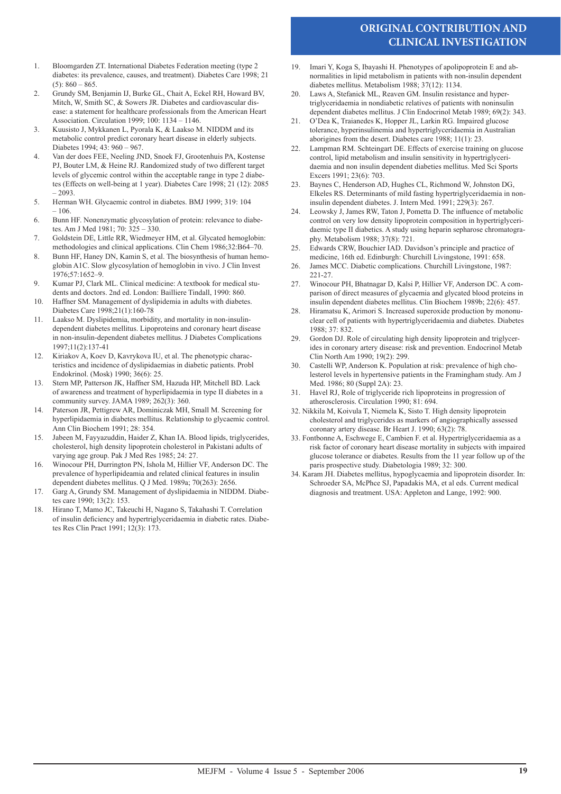# **ORIGINAL CONTRIBUTION AND CLINICAL INVESTIGATION**

- 1. Bloomgarden ZT. International Diabetes Federation meeting (type 2 diabetes: its prevalence, causes, and treatment). Diabetes Care 1998; 21  $(5): 860 - 865.$
- 2. Grundy SM, Benjamin IJ, Burke GL, Chait A, Eckel RH, Howard BV, Mitch, W, Smith SC, & Sowers JR. Diabetes and cardiovascular disease: a statement for healthcare professionals from the American Heart Association. Circulation 1999; 100: 1134 – 1146.
- 3. Kuusisto J, Mykkanen L, Pyorala K, & Laakso M. NIDDM and its metabolic control predict coronary heart disease in elderly subjects. Diabetes 1994; 43: 960 – 967.
- 4. Van der does FEE, Neeling JND, Snoek FJ, Grootenhuis PA, Kostense PJ, Bouter LM, & Heine RJ. Randomized study of two different target levels of glycemic control within the acceptable range in type 2 diabetes (Effects on well-being at 1 year). Diabetes Care 1998; 21 (12): 2085 – 2093.
- 5. Herman WH. Glycaemic control in diabetes. BMJ 1999; 319: 104 – 106.
- 6. Bunn HF. Nonenzymatic glycosylation of protein: relevance to diabetes. Am J Med 1981; 70: 325 – 330.
- 7. Goldstein DE, Little RR, Wiedmeyer HM, et al. Glycated hemoglobin: methodologies and clinical applications. Clin Chem 1986;32:B64–70.
- 8. Bunn HF, Haney DN, Kamin S, et al. The biosynthesis of human hemoglobin A1C. Slow glycosylation of hemoglobin in vivo. J Clin Invest 1976;57:1652–9.
- 9. Kumar PJ, Clark ML. Clinical medicine: A textbook for medical students and doctors. 2nd ed. London: Bailliere Tindall, 1990: 860.
- 10. Haffner SM. Management of dyslipidemia in adults with diabetes. Diabetes Care 1998;21(1):160-78
- 11. Laakso M. Dyslipidemia, morbidity, and mortality in non-insulindependent diabetes mellitus. Lipoproteins and coronary heart disease in non-insulin-dependent diabetes mellitus. J Diabetes Complications 1997;11(2):137-41
- 12. Kiriakov A, Koev D, Kavrykova IU, et al. The phenotypic characteristics and incidence of dyslipidaemias in diabetic patients. Probl Endokrinol. (Mosk) 1990; 36(6): 25.
- 13. Stern MP, Patterson JK, Haffner SM, Hazuda HP, Mitchell BD. Lack of awareness and treatment of hyperlipidaemia in type II diabetes in a community survey. JAMA 1989; 262(3): 360.
- 14. Paterson JR, Pettigrew AR, Dominiczak MH, Small M. Screening for hyperlipidaemia in diabetes mellitus. Relationship to glycaemic control. Ann Clin Biochem 1991; 28: 354.
- 15. Jabeen M, Fayyazuddin, Haider Z, Khan IA. Blood lipids, triglycerides, cholesterol, high density lipoprotein cholesterol in Pakistani adults of varying age group. Pak J Med Res 1985; 24: 27.
- 16. Winocour PH, Durrington PN, Ishola M, Hillier VF, Anderson DC. The prevalence of hyperlipideamia and related clinical features in insulin dependent diabetes mellitus. Q J Med. 1989a; 70(263): 2656.
- 17. Garg A, Grundy SM. Management of dyslipidaemia in NIDDM. Diabetes care 1990; 13(2): 153.
- 18. Hirano T, Mamo JC, Takeuchi H, Nagano S, Takahashi T. Correlation of insulin deficiency and hypertriglyceridaemia in diabetic rates. Diabetes Res Clin Pract 1991; 12(3): 173.
- 19. Imari Y, Koga S, Ibayashi H. Phenotypes of apolipoprotein E and abnormalities in lipid metabolism in patients with non-insulin dependent diabetes mellitus. Metabolism 1988; 37(12): 1134.
- 20. Laws A, Stefanick ML, Reaven GM. Insulin resistance and hypertriglyceridaemia in nondiabetic relatives of patients with noninsulin dependent diabetes mellitus. J Clin Endocrinol Metab 1989; 69(2): 343.
- 21. O'Dea K, Traianedes K, Hopper JL, Larkin RG. Impaired glucose tolerance, hyperinsulinemia and hypertriglyceridaemia in Australian aborigines from the desert. Diabetes care 1988; 11(1): 23.
- 22. Lampman RM. Schteingart DE. Effects of exercise training on glucose control, lipid metabolism and insulin sensitivity in hypertriglyceridaemia and non insulin dependent diabeties mellitus. Med Sci Sports Excers 1991; 23(6): 703.
- 23. Baynes C, Henderson AD, Hughes CL, Richmond W, Johnston DG, Elkeles RS. Determinants of mild fasting hypertriglyceridaemia in noninsulin dependent diabetes. J. Intern Med. 1991; 229(3): 267.
- 24. Leowsky J, James RW, Taton J, Pometta D. The influence of metabolic control on very low density lipoprotein composition in hypertriglyceridaemic type II diabetics. A study using heparin sepharose chromatography. Metabolism 1988; 37(8): 721.
- 25. Edwards CRW, Bouchier IAD. Davidson's principle and practice of medicine, 16th ed. Edinburgh: Churchill Livingstone, 1991: 658.
- 26. James MCC. Diabetic complications. Churchill Livingstone, 1987: 221-27.
- 27. Winocour PH, Bhatnagar D, Kalsi P, Hillier VF, Anderson DC. A comparison of direct measures of glycaemia and glycated blood proteins in insulin dependent diabetes mellitus. Clin Biochem 1989b; 22(6): 457.
- 28. Hiramatsu K, Arimori S. Increased superoxide production by mononuclear cell of patients with hypertriglyceridaemia and diabetes. Diabetes 1988; 37: 832.
- 29. Gordon DJ. Role of circulating high density lipoprotein and triglycerides in coronary artery disease: risk and prevention. Endocrinol Metab Clin North Am 1990; 19(2): 299.
- 30. Castelli WP, Anderson K. Population at risk: prevalence of high cholesterol levels in hypertensive patients in the Framingham study. Am J Med. 1986; 80 (Suppl 2A): 23.
- 31. Havel RJ, Role of triglyceride rich lipoproteins in progression of atherosclerosis. Circulation 1990; 81: 694.
- 32. Nikkila M, Koivula T, Niemela K, Sisto T. High density lipoprotein cholesterol and triglycerides as markers of angiographically assessed coronary artery disease. Br Heart J. 1990; 63(2): 78.
- 33. Fontbonne A, Eschwege E, Cambien F. et al. Hypertriglyceridaemia as a risk factor of coronary heart disease mortality in subjects with impaired glucose tolerance or diabetes. Results from the 11 year follow up of the paris prospective study. Diabetologia 1989; 32: 300.
- 34. Karam JH. Diabetes mellitus, hypoglycaemia and lipoprotein disorder. In: Schroeder SA, McPhce SJ, Papadakis MA, et al eds. Current medical diagnosis and treatment. USA: Appleton and Lange, 1992: 900.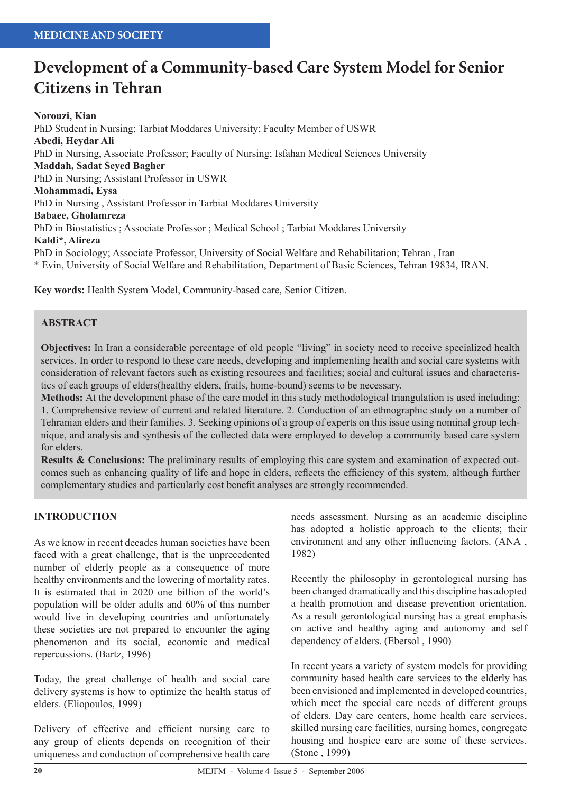# **Development of a Community-based Care System Model for Senior Citizens in Tehran**

**Norouzi, Kian** PhD Student in Nursing; Tarbiat Moddares University; Faculty Member of USWR **Abedi, Heydar Ali** PhD in Nursing, Associate Professor; Faculty of Nursing; Isfahan Medical Sciences University **Maddah, Sadat Seyed Bagher** PhD in Nursing; Assistant Professor in USWR **Mohammadi, Eysa** PhD in Nursing , Assistant Professor in Tarbiat Moddares University **Babaee, Gholamreza** PhD in Biostatistics ; Associate Professor ; Medical School ; Tarbiat Moddares University **Kaldi\*, Alireza** PhD in Sociology; Associate Professor, University of Social Welfare and Rehabilitation; Tehran , Iran \* Evin, University of Social Welfare and Rehabilitation, Department of Basic Sciences, Tehran 19834, IRAN.

**Key words:** Health System Model, Community-based care, Senior Citizen.

#### **ABSTRACT**

**Objectives:** In Iran a considerable percentage of old people "living" in society need to receive specialized health services. In order to respond to these care needs, developing and implementing health and social care systems with consideration of relevant factors such as existing resources and facilities; social and cultural issues and characteristics of each groups of elders(healthy elders, frails, home-bound) seems to be necessary.

**Methods:** At the development phase of the care model in this study methodological triangulation is used including: 1. Comprehensive review of current and related literature. 2. Conduction of an ethnographic study on a number of Tehranian elders and their families. 3. Seeking opinions of a group of experts on this issue using nominal group technique, and analysis and synthesis of the collected data were employed to develop a community based care system for elders.

**Results & Conclusions:** The preliminary results of employing this care system and examination of expected outcomes such as enhancing quality of life and hope in elders, reflects the efficiency of this system, although further complementary studies and particularly cost benefit analyses are strongly recommended.

#### **INTRODUCTION**

As we know in recent decades human societies have been faced with a great challenge, that is the unprecedented number of elderly people as a consequence of more healthy environments and the lowering of mortality rates. It is estimated that in 2020 one billion of the world's population will be older adults and 60% of this number would live in developing countries and unfortunately these societies are not prepared to encounter the aging phenomenon and its social, economic and medical repercussions. (Bartz, 1996)

Today, the great challenge of health and social care delivery systems is how to optimize the health status of elders. (Eliopoulos, 1999)

Delivery of effective and efficient nursing care to any group of clients depends on recognition of their uniqueness and conduction of comprehensive health care

needs assessment. Nursing as an academic discipline has adopted a holistic approach to the clients; their environment and any other influencing factors. (ANA , 1982)

Recently the philosophy in gerontological nursing has been changed dramatically and this discipline has adopted a health promotion and disease prevention orientation. As a result gerontological nursing has a great emphasis on active and healthy aging and autonomy and self dependency of elders. (Ebersol , 1990)

In recent years a variety of system models for providing community based health care services to the elderly has been envisioned and implemented in developed countries, which meet the special care needs of different groups of elders. Day care centers, home health care services, skilled nursing care facilities, nursing homes, congregate housing and hospice care are some of these services. (Stone , 1999)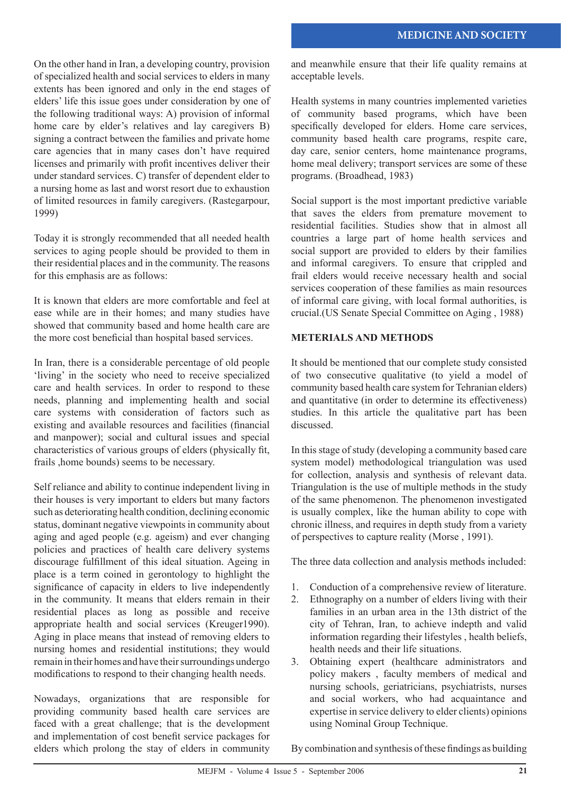On the other hand in Iran, a developing country, provision of specialized health and social services to elders in many extents has been ignored and only in the end stages of elders' life this issue goes under consideration by one of the following traditional ways: A) provision of informal home care by elder's relatives and lay caregivers B) signing a contract between the families and private home care agencies that in many cases don't have required licenses and primarily with profit incentives deliver their under standard services. C) transfer of dependent elder to a nursing home as last and worst resort due to exhaustion of limited resources in family caregivers. (Rastegarpour, 1999)

Today it is strongly recommended that all needed health services to aging people should be provided to them in their residential places and in the community. The reasons for this emphasis are as follows:

It is known that elders are more comfortable and feel at ease while are in their homes; and many studies have showed that community based and home health care are the more cost beneficial than hospital based services.

In Iran, there is a considerable percentage of old people 'living' in the society who need to receive specialized care and health services. In order to respond to these needs, planning and implementing health and social care systems with consideration of factors such as existing and available resources and facilities (financial and manpower); social and cultural issues and special characteristics of various groups of elders (physically fit, frails ,home bounds) seems to be necessary.

Self reliance and ability to continue independent living in their houses is very important to elders but many factors such as deteriorating health condition, declining economic status, dominant negative viewpoints in community about aging and aged people (e.g. ageism) and ever changing policies and practices of health care delivery systems discourage fulfillment of this ideal situation. Ageing in place is a term coined in gerontology to highlight the significance of capacity in elders to live independently in the community. It means that elders remain in their residential places as long as possible and receive appropriate health and social services (Kreuger1990). Aging in place means that instead of removing elders to nursing homes and residential institutions; they would remain in their homes and have their surroundings undergo modifications to respond to their changing health needs.

Nowadays, organizations that are responsible for providing community based health care services are faced with a great challenge; that is the development and implementation of cost benefit service packages for elders which prolong the stay of elders in community and meanwhile ensure that their life quality remains at acceptable levels.

Health systems in many countries implemented varieties of community based programs, which have been specifically developed for elders. Home care services, community based health care programs, respite care, day care, senior centers, home maintenance programs, home meal delivery; transport services are some of these programs. (Broadhead, 1983)

Social support is the most important predictive variable that saves the elders from premature movement to residential facilities. Studies show that in almost all countries a large part of home health services and social support are provided to elders by their families and informal caregivers. To ensure that crippled and frail elders would receive necessary health and social services cooperation of these families as main resources of informal care giving, with local formal authorities, is crucial.(US Senate Special Committee on Aging , 1988)

# **METERIALS AND METHODS**

It should be mentioned that our complete study consisted of two consecutive qualitative (to yield a model of community based health care system for Tehranian elders) and quantitative (in order to determine its effectiveness) studies. In this article the qualitative part has been discussed.

In this stage of study (developing a community based care system model) methodological triangulation was used for collection, analysis and synthesis of relevant data. Triangulation is the use of multiple methods in the study of the same phenomenon. The phenomenon investigated is usually complex, like the human ability to cope with chronic illness, and requires in depth study from a variety of perspectives to capture reality (Morse , 1991).

The three data collection and analysis methods included:

- 1. Conduction of a comprehensive review of literature.
- 2. Ethnography on a number of elders living with their families in an urban area in the 13th district of the city of Tehran, Iran, to achieve indepth and valid information regarding their lifestyles , health beliefs, health needs and their life situations.
- 3. Obtaining expert (healthcare administrators and policy makers , faculty members of medical and nursing schools, geriatricians, psychiatrists, nurses and social workers, who had acquaintance and expertise in service delivery to elder clients) opinions using Nominal Group Technique.

By combination and synthesis of these findings as building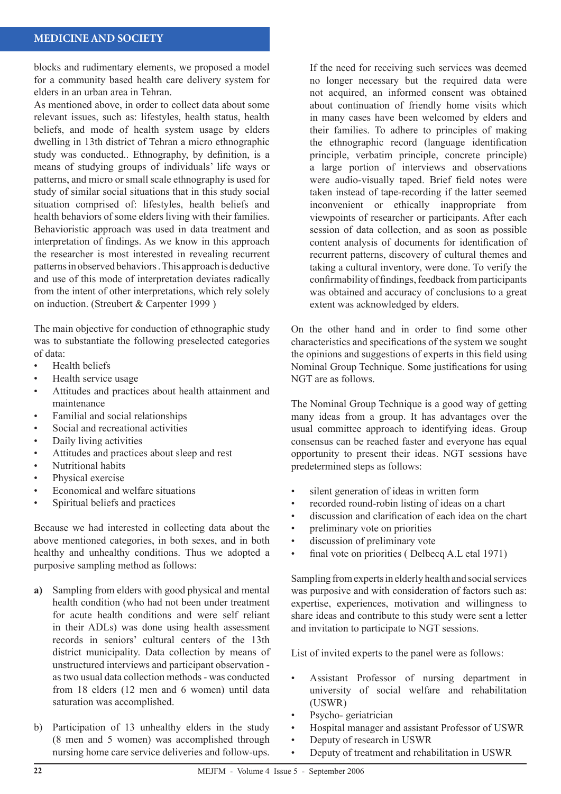#### **MEDICINE AND SOCIETY**

blocks and rudimentary elements, we proposed a model for a community based health care delivery system for elders in an urban area in Tehran.

As mentioned above, in order to collect data about some relevant issues, such as: lifestyles, health status, health beliefs, and mode of health system usage by elders dwelling in 13th district of Tehran a micro ethnographic study was conducted.. Ethnography, by definition, is a means of studying groups of individuals' life ways or patterns, and micro or small scale ethnography is used for study of similar social situations that in this study social situation comprised of: lifestyles, health beliefs and health behaviors of some elders living with their families. Behavioristic approach was used in data treatment and interpretation of findings. As we know in this approach the researcher is most interested in revealing recurrent patterns in observed behaviors . This approach is deductive and use of this mode of interpretation deviates radically from the intent of other interpretations, which rely solely on induction. (Streubert & Carpenter 1999 )

The main objective for conduction of ethnographic study was to substantiate the following preselected categories of data:

- Health beliefs •
- Health service usage •
- Attitudes and practices about health attainment and maintenance •
- Familial and social relationships •
- Social and recreational activities •
- Daily living activities •
- Attitudes and practices about sleep and rest •
- Nutritional habits •
- Physical exercise •
- Economical and welfare situations •
- Spiritual beliefs and practices •

Because we had interested in collecting data about the above mentioned categories, in both sexes, and in both healthy and unhealthy conditions. Thus we adopted a purposive sampling method as follows:

- **a)** Sampling from elders with good physical and mental health condition (who had not been under treatment for acute health conditions and were self reliant in their ADLs) was done using health assessment records in seniors' cultural centers of the 13th district municipality. Data collection by means of unstructured interviews and participant observation as two usual data collection methods - was conducted from 18 elders (12 men and 6 women) until data saturation was accomplished.
- b) Participation of 13 unhealthy elders in the study (8 men and 5 women) was accomplished through nursing home care service deliveries and follow-ups.

If the need for receiving such services was deemed no longer necessary but the required data were not acquired, an informed consent was obtained about continuation of friendly home visits which in many cases have been welcomed by elders and their families. To adhere to principles of making the ethnographic record (language identification principle, verbatim principle, concrete principle) a large portion of interviews and observations were audio-visually taped. Brief field notes were taken instead of tape-recording if the latter seemed inconvenient or ethically inappropriate from viewpoints of researcher or participants. After each session of data collection, and as soon as possible content analysis of documents for identification of recurrent patterns, discovery of cultural themes and taking a cultural inventory, were done. To verify the confirmability of findings, feedback from participants was obtained and accuracy of conclusions to a great extent was acknowledged by elders.

On the other hand and in order to find some other characteristics and specifications of the system we sought the opinions and suggestions of experts in this field using Nominal Group Technique. Some justifications for using NGT are as follows.

The Nominal Group Technique is a good way of getting many ideas from a group. It has advantages over the usual committee approach to identifying ideas. Group consensus can be reached faster and everyone has equal opportunity to present their ideas. NGT sessions have predetermined steps as follows:

- silent generation of ideas in written form •
- recorded round-robin listing of ideas on a chart •
- discussion and clarification of each idea on the chart •
- preliminary vote on priorities •
- discussion of preliminary vote •
- final vote on priorities ( Delbecq A.L etal 1971) •

Sampling from experts in elderly health and social services was purposive and with consideration of factors such as: expertise, experiences, motivation and willingness to share ideas and contribute to this study were sent a letter and invitation to participate to NGT sessions.

List of invited experts to the panel were as follows:

- Assistant Professor of nursing department in university of social welfare and rehabilitation (USWR) •
- Psycho- geriatrician •
- Hospital manager and assistant Professor of USWR •
- Deputy of research in USWR •
- Deputy of treatment and rehabilitation in USWR •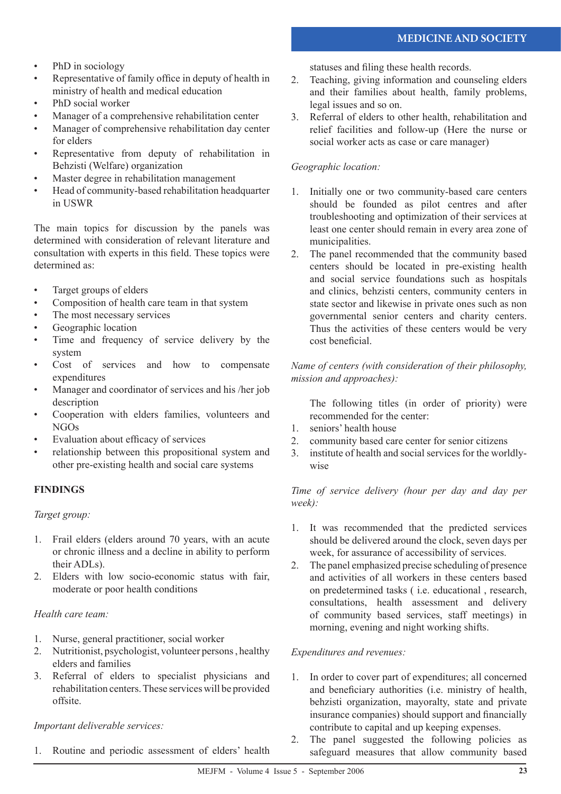- PhD in sociology •
- Representative of family office in deputy of health in ministry of health and medical education •
- PhD social worker •
- Manager of a comprehensive rehabilitation center •
- Manager of comprehensive rehabilitation day center for elders •
- Representative from deputy of rehabilitation in Behzisti (Welfare) organization •
- Master degree in rehabilitation management •
- Head of community-based rehabilitation headquarter in USWR •

The main topics for discussion by the panels was determined with consideration of relevant literature and consultation with experts in this field. These topics were determined as:

- Target groups of elders •
- Composition of health care team in that system •
- The most necessary services •
- Geographic location •
- Time and frequency of service delivery by the system •
- Cost of services and how to compensate expenditures •
- Manager and coordinator of services and his /her job description •
- Cooperation with elders families, volunteers and NGOs •
- Evaluation about efficacy of services •
- relationship between this propositional system and other pre-existing health and social care systems •

### **FINDINGS**

#### *Target group:*

- Frail elders (elders around 70 years, with an acute 1. or chronic illness and a decline in ability to perform their ADLs).
- Elders with low socio-economic status with fair, 2. moderate or poor health conditions

#### *Health care team:*

- Nurse, general practitioner, social worker 1.
- 2. Nutritionist, psychologist, volunteer persons, healthy elders and families
- Referral of elders to specialist physicians and 3. rehabilitation centers. These services will be provided offsite.

#### *Important deliverable services:*

1. Routine and periodic assessment of elders' health

statuses and filing these health records.

- Teaching, giving information and counseling elders 2. and their families about health, family problems, legal issues and so on.
- Referral of elders to other health, rehabilitation and relief facilities and follow-up (Here the nurse or social worker acts as case or care manager) 3.

#### *Geographic location:*

- 1. Initially one or two community-based care centers should be founded as pilot centres and after troubleshooting and optimization of their services at least one center should remain in every area zone of municipalities.
- 2. The panel recommended that the community based centers should be located in pre-existing health and social service foundations such as hospitals and clinics, behzisti centers, community centers in state sector and likewise in private ones such as non governmental senior centers and charity centers. Thus the activities of these centers would be very cost beneficial.

#### *Name of centers (with consideration of their philosophy, mission and approaches):*

The following titles (in order of priority) were recommended for the center:

- seniors' health house 1.
- community based care center for senior citizens 2.
- institute of health and social services for the worldly-3. wise

*Time of service delivery (hour per day and day per week):* 

- It was recommended that the predicted services 1. should be delivered around the clock, seven days per week, for assurance of accessibility of services.
- The panel emphasized precise scheduling of presence and activities of all workers in these centers based on predetermined tasks ( i.e. educational , research, consultations, health assessment and delivery of community based services, staff meetings) in morning, evening and night working shifts. 2.

#### *Expenditures and revenues:*

- In order to cover part of expenditures; all concerned and beneficiary authorities (i.e. ministry of health, behzisti organization, mayoralty, state and private insurance companies) should support and financially contribute to capital and up keeping expenses. 1.
- 2. The panel suggested the following policies as safeguard measures that allow community based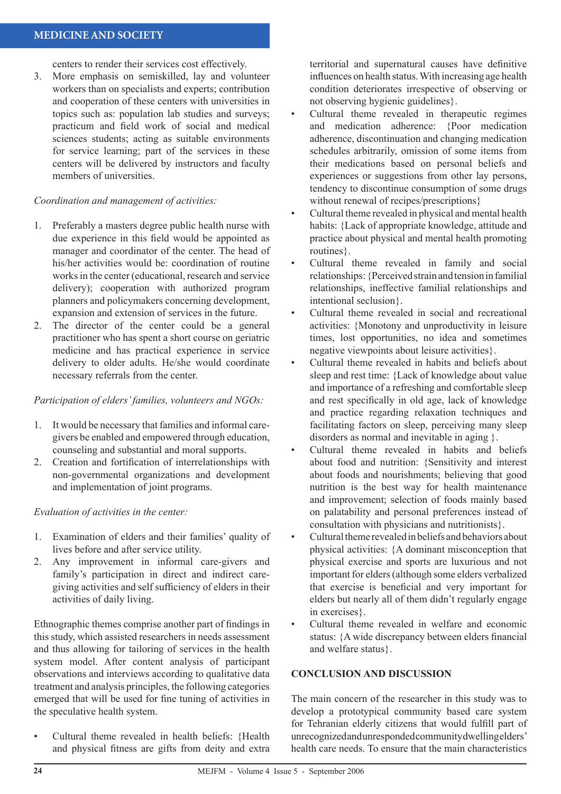### **MEDICINE AND SOCIETY**

centers to render their services cost effectively.

More emphasis on semiskilled, lay and volunteer workers than on specialists and experts; contribution and cooperation of these centers with universities in topics such as: population lab studies and surveys; practicum and field work of social and medical sciences students; acting as suitable environments for service learning; part of the services in these centers will be delivered by instructors and faculty members of universities. 3.

#### *Coordination and management of activities:*

- Preferably a masters degree public health nurse with 1. due experience in this field would be appointed as manager and coordinator of the center. The head of his/her activities would be: coordination of routine works in the center (educational, research and service delivery); cooperation with authorized program planners and policymakers concerning development, expansion and extension of services in the future.
- The director of the center could be a general practitioner who has spent a short course on geriatric medicine and has practical experience in service delivery to older adults. He/she would coordinate necessary referrals from the center. 2.

#### *Participation of elders' families, volunteers and NGOs:*

- It would be necessary that families and informal caregivers be enabled and empowered through education, counseling and substantial and moral supports. 1.
- Creation and fortification of interrelationships with 2. non-governmental organizations and development and implementation of joint programs.

#### *Evaluation of activities in the center:*

- Examination of elders and their families' quality of 1. lives before and after service utility.
- Any improvement in informal care-givers and family's participation in direct and indirect caregiving activities and self sufficiency of elders in their activities of daily living. 2.

Ethnographic themes comprise another part of findings in this study, which assisted researchers in needs assessment and thus allowing for tailoring of services in the health system model. After content analysis of participant observations and interviews according to qualitative data treatment and analysis principles, the following categories emerged that will be used for fine tuning of activities in the speculative health system.

Cultural theme revealed in health beliefs: {Health and physical fitness are gifts from deity and extra •

territorial and supernatural causes have definitive influences on health status. With increasing age health condition deteriorates irrespective of observing or not observing hygienic guidelines}.

- Cultural theme revealed in therapeutic regimes and medication adherence: {Poor medication adherence, discontinuation and changing medication schedules arbitrarily, omission of some items from their medications based on personal beliefs and experiences or suggestions from other lay persons, tendency to discontinue consumption of some drugs without renewal of recipes/prescriptions} •
- Cultural theme revealed in physical and mental health habits: {Lack of appropriate knowledge, attitude and practice about physical and mental health promoting routines}. •
- Cultural theme revealed in family and social relationships: {Perceived strain and tension in familial relationships, ineffective familial relationships and intentional seclusion}. •
- Cultural theme revealed in social and recreational activities: {Monotony and unproductivity in leisure times, lost opportunities, no idea and sometimes negative viewpoints about leisure activities}. •
- Cultural theme revealed in habits and beliefs about sleep and rest time: {Lack of knowledge about value and importance of a refreshing and comfortable sleep and rest specifically in old age, lack of knowledge and practice regarding relaxation techniques and facilitating factors on sleep, perceiving many sleep disorders as normal and inevitable in aging }. •
- Cultural theme revealed in habits and beliefs about food and nutrition: {Sensitivity and interest about foods and nourishments; believing that good nutrition is the best way for health maintenance and improvement; selection of foods mainly based on palatability and personal preferences instead of consultation with physicians and nutritionists}. •
- Cultural theme revealed in beliefs and behaviors about physical activities: {A dominant misconception that physical exercise and sports are luxurious and not important for elders (although some elders verbalized that exercise is beneficial and very important for elders but nearly all of them didn't regularly engage in exercises}. •
- Cultural theme revealed in welfare and economic status: {A wide discrepancy between elders financial and welfare status}. •

#### **CONCLUSION AND DISCUSSION**

The main concern of the researcher in this study was to develop a prototypical community based care system for Tehranian elderly citizens that would fulfill part of unrecognized and unresponded community dwelling elders' health care needs. To ensure that the main characteristics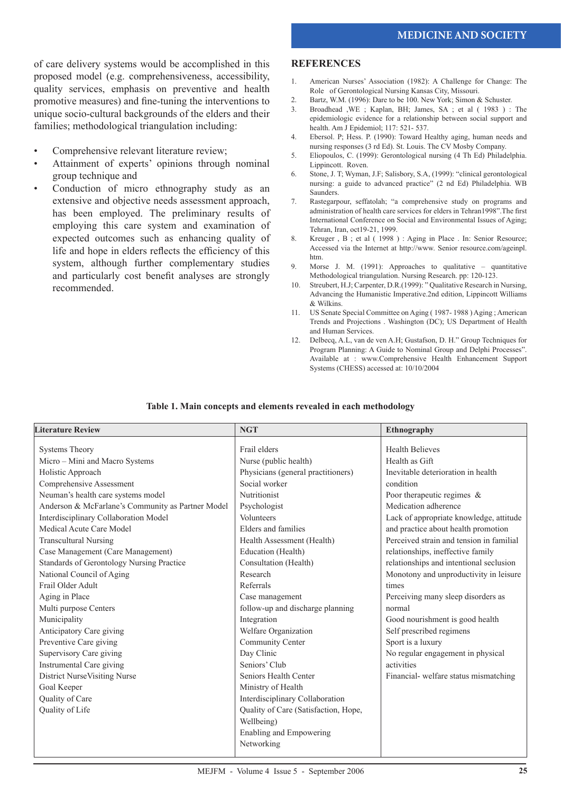of care delivery systems would be accomplished in this proposed model (e.g. comprehensiveness, accessibility, quality services, emphasis on preventive and health promotive measures) and fine-tuning the interventions to unique socio-cultural backgrounds of the elders and their families; methodological triangulation including:

- Comprehensive relevant literature review; •
- Attainment of experts' opinions through nominal group technique and •
- Conduction of micro ethnography study as an extensive and objective needs assessment approach, has been employed. The preliminary results of employing this care system and examination of expected outcomes such as enhancing quality of life and hope in elders reflects the efficiency of this system, although further complementary studies and particularly cost benefit analyses are strongly recommended. •

#### **REFERENCES**

- 1. American Nurses' Association (1982): A Challenge for Change: The Role of Gerontological Nursing Kansas City, Missouri.
- 2. Bartz, W.M. (1996): Dare to be 100. New York; Simon & Schuster.<br>3. Broadhead WE : Kanlan BH: James SA : et al. (1983)
- 3. Broadhead ,WE ; Kaplan, BH; James, SA ; et al ( 1983 ) : The epidemiologic evidence for a relationship between social support and health. Am J Epidemiol; 117: 521- 537.
- 4. Ebersol. P; Hess. P. (1990): Toward Healthy aging, human needs and nursing responses (3 rd Ed). St. Louis. The CV Mosby Company.
- 5. Eliopoulos, C. (1999): Gerontological nursing (4 Th Ed) Philadelphia. Lippincott. Roven.
- 6. Stone, J. T; Wyman, J.F; Salisbory, S.A, (1999): "clinical gerontological nursing: a guide to advanced practice" (2 nd Ed) Philadelphia. WB Saunders.
- 7. Rastegarpour, seffatolah; "a comprehensive study on programs and administration of health care services for elders in Tehran1998".The first International Conference on Social and Environmental Issues of Aging; Tehran, Iran, oct19-21, 1999.
- 8. Kreuger , B ; et al ( 1998 ) : Aging in Place . In: Senior Resource; Accessed via the Internet at http://www. Senior resource.com/ageinpl. htm.
- 9. Morse J. M. (1991): Approaches to qualitative quantitative Methodological triangulation. Nursing Research. pp: 120-123.
- 10. Streubert, H.J; Carpenter, D.R.(1999): " Qualitative Research in Nursing, Advancing the Humanistic Imperative.2nd edition, Lippincott Williams & Wilkins.
- 11. US Senate Special Committee on Aging ( 1987- 1988 ) Aging ; American Trends and Projections . Washington (DC); US Department of Health and Human Services.
- 12. Delbecq, A.L, van de ven A.H; Gustafson, D. H." Group Techniques for Program Planning: A Guide to Nominal Group and Delphi Processes". Available at : www.Comprehensive Health Enhancement Support Systems (CHESS) accessed at: 10/10/2004

| <b>Literature Review</b>                          | <b>NGT</b>                           | Ethnography                              |
|---------------------------------------------------|--------------------------------------|------------------------------------------|
|                                                   |                                      |                                          |
| <b>Systems Theory</b>                             | Frail elders                         | <b>Health Believes</b>                   |
| Micro - Mini and Macro Systems                    | Nurse (public health)                | Health as Gift                           |
| Holistic Approach                                 | Physicians (general practitioners)   | Inevitable deterioration in health       |
| Comprehensive Assessment                          | Social worker                        | condition                                |
| Neuman's health care systems model                | Nutritionist                         | Poor therapeutic regimes $\&$            |
| Anderson & McFarlane's Community as Partner Model | Psychologist                         | Medication adherence                     |
| Interdisciplinary Collaboration Model             | Volunteers                           | Lack of appropriate knowledge, attitude  |
| Medical Acute Care Model                          | Elders and families                  | and practice about health promotion      |
| <b>Transcultural Nursing</b>                      | Health Assessment (Health)           | Perceived strain and tension in familial |
| Case Management (Care Management)                 | Education (Health)                   | relationships, ineffective family        |
| Standards of Gerontology Nursing Practice         | Consultation (Health)                | relationships and intentional seclusion  |
| National Council of Aging                         | Research                             | Monotony and unproductivity in leisure   |
| Frail Older Adult                                 | Referrals                            | times                                    |
| Aging in Place                                    | Case management                      | Perceiving many sleep disorders as       |
| Multi purpose Centers                             | follow-up and discharge planning     | normal                                   |
| Municipality                                      | Integration                          | Good nourishment is good health          |
| Anticipatory Care giving                          | Welfare Organization                 | Self prescribed regimens                 |
| Preventive Care giving                            | Community Center                     | Sport is a luxury                        |
| Supervisory Care giving                           | Day Clinic                           | No regular engagement in physical        |
| Instrumental Care giving                          | Seniors' Club                        | activities                               |
| District NurseVisiting Nurse                      | Seniors Health Center                | Financial-welfare status mismatching     |
| Goal Keeper                                       | Ministry of Health                   |                                          |
| Quality of Care                                   | Interdisciplinary Collaboration      |                                          |
| Quality of Life                                   | Quality of Care (Satisfaction, Hope, |                                          |
|                                                   | Wellbeing)                           |                                          |
|                                                   | Enabling and Empowering              |                                          |
|                                                   | Networking                           |                                          |
|                                                   |                                      |                                          |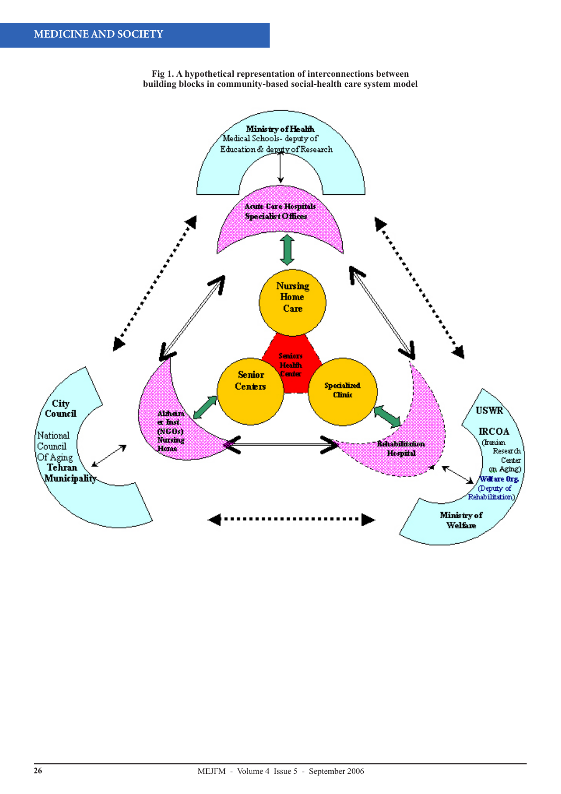

**Fig 1. A hypothetical representation of interconnections between building blocks in community-based social-health care system model**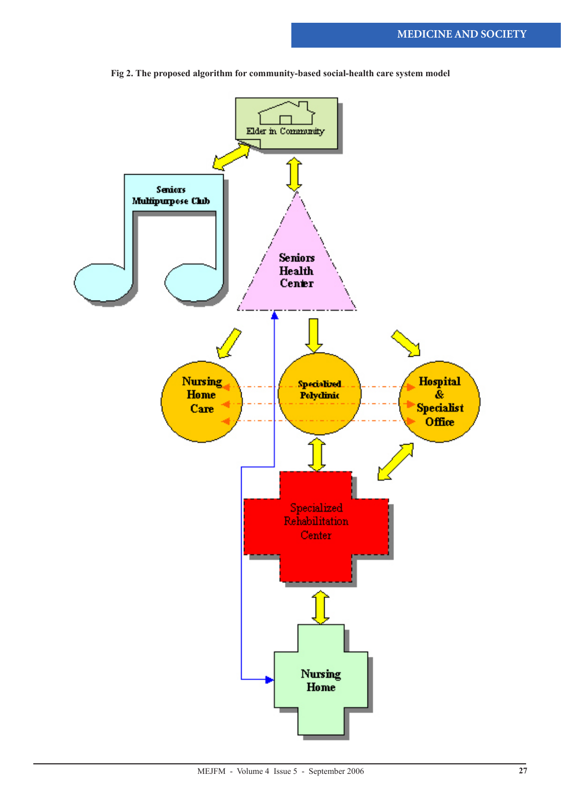

**Fig 2. The proposed algorithm for community-based social-health care system model**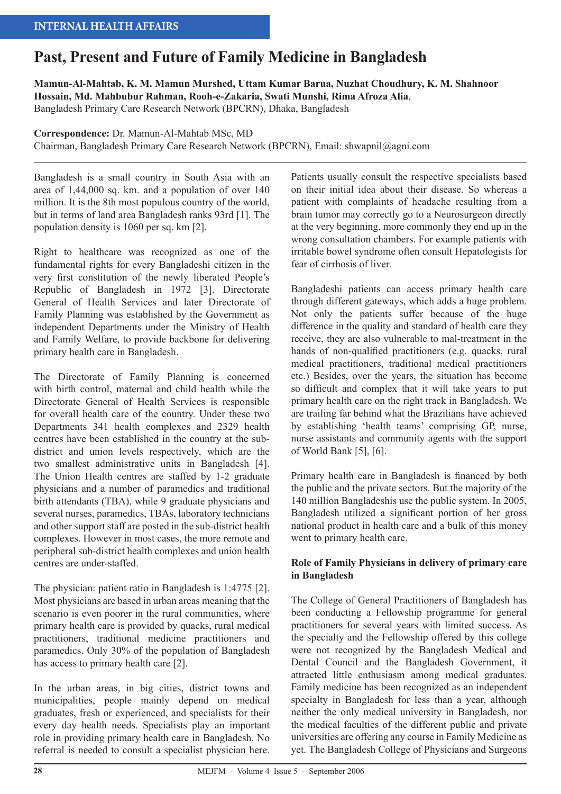# **Past, Present and Future of Family Medicine in Bangladesh**

**Mamun-Al-Mahtab, K. M. Mamun Murshed, Uttam Kumar Barua, Nuzhat Choudhury, K. M. Shahnoor Hossain, Md. Mahbubur Rahman, Rooh-e-Zakaria, Swati Munshi, Rima Afroza Alia**,

Bangladesh Primary Care Research Network (BPCRN), Dhaka, Bangladesh

**Correspondence:** Dr. Mamun-Al-Mahtab MSc, MD

Chairman, Bangladesh Primary Care Research Network (BPCRN), Email: shwapnil@agni.com

Bangladesh is a small country in South Asia with an area of 1,44,000 sq. km. and a population of over 140 million. It is the 8th most populous country of the world, but in terms of land area Bangladesh ranks 93rd [1]. The population density is 1060 per sq. km [2].

Right to healthcare was recognized as one of the fundamental rights for every Bangladeshi citizen in the very first constitution of the newly liberated People's Republic of Bangladesh in 1972 [3]. Directorate General of Health Services and later Directorate of Family Planning was established by the Government as independent Departments under the Ministry of Health and Family Welfare, to provide backbone for delivering primary health care in Bangladesh.

The Directorate of Family Planning is concerned with birth control, maternal and child health while the Directorate General of Health Services is responsible for overall health care of the country. Under these two Departments 341 health complexes and 2329 health centres have been established in the country at the subdistrict and union levels respectively, which are the two smallest administrative units in Bangladesh [4]. The Union Health centres are staffed by 1-2 graduate physicians and a number of paramedics and traditional birth attendants (TBA), while 9 graduate physicians and several nurses, paramedics, TBAs, laboratory technicians and other support staff are posted in the sub-district health complexes. However in most cases, the more remote and peripheral sub-district health complexes and union health centres are under-staffed.

The physician: patient ratio in Bangladesh is 1:4775 [2]. Most physicians are based in urban areas meaning that the scenario is even poorer in the rural communities, where primary health care is provided by quacks, rural medical practitioners, traditional medicine practitioners and paramedics. Only 30% of the population of Bangladesh has access to primary health care [2].

In the urban areas, in big cities, district towns and municipalities, people mainly depend on medical graduates, fresh or experienced, and specialists for their every day health needs. Specialists play an important role in providing primary health care in Bangladesh. No referral is needed to consult a specialist physician here.

Patients usually consult the respective specialists based on their initial idea about their disease. So whereas a patient with complaints of headache resulting from a brain tumor may correctly go to a Neurosurgeon directly at the very beginning, more commonly they end up in the wrong consultation chambers. For example patients with irritable bowel syndrome often consult Hepatologists for fear of cirrhosis of liver.

Bangladeshi patients can access primary health care through different gateways, which adds a huge problem. Not only the patients suffer because of the huge difference in the quality and standard of health care they receive, they are also vulnerable to mal-treatment in the hands of non-qualified practitioners (e.g. quacks, rural medical practitioners, traditional medical practitioners etc.) Besides, over the years, the situation has become so difficult and complex that it will take years to put primary health care on the right track in Bangladesh. We are trailing far behind what the Brazilians have achieved by establishing 'health teams' comprising GP, nurse, nurse assistants and community agents with the support of World Bank [5], [6].

Primary health care in Bangladesh is financed by both the public and the private sectors. But the majority of the 140 million Bangladeshis use the public system. In 2005, Bangladesh utilized a significant portion of her gross national product in health care and a bulk of this money went to primary health care.

# **Role of Family Physicians in delivery of primary care in Bangladesh**

The College of General Practitioners of Bangladesh has been conducting a Fellowship programme for general practitioners for several years with limited success. As the specialty and the Fellowship offered by this college were not recognized by the Bangladesh Medical and Dental Council and the Bangladesh Government, it attracted little enthusiasm among medical graduates. Family medicine has been recognized as an independent specialty in Bangladesh for less than a year, although neither the only medical university in Bangladesh, nor the medical faculties of the different public and private universities are offering any course in Family Medicine as yet. The Bangladesh College of Physicians and Surgeons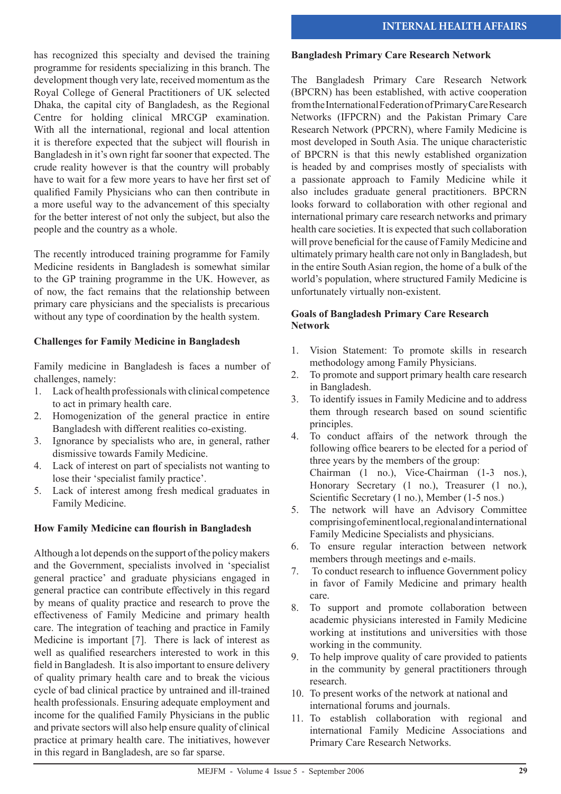has recognized this specialty and devised the training programme for residents specializing in this branch. The development though very late, received momentum as the Royal College of General Practitioners of UK selected Dhaka, the capital city of Bangladesh, as the Regional Centre for holding clinical MRCGP examination. With all the international, regional and local attention it is therefore expected that the subject will flourish in Bangladesh in it's own right far sooner that expected. The crude reality however is that the country will probably have to wait for a few more years to have her first set of qualified Family Physicians who can then contribute in a more useful way to the advancement of this specialty for the better interest of not only the subject, but also the people and the country as a whole.

The recently introduced training programme for Family Medicine residents in Bangladesh is somewhat similar to the GP training programme in the UK. However, as of now, the fact remains that the relationship between primary care physicians and the specialists is precarious without any type of coordination by the health system.

# **Challenges for Family Medicine in Bangladesh**

Family medicine in Bangladesh is faces a number of challenges, namely:

- 1. Lack of health professionals with clinical competence to act in primary health care.
- 2. Homogenization of the general practice in entire Bangladesh with different realities co-existing.
- 3. Ignorance by specialists who are, in general, rather dismissive towards Family Medicine.
- 4. Lack of interest on part of specialists not wanting to lose their 'specialist family practice'.
- 5. Lack of interest among fresh medical graduates in Family Medicine.

# **How Family Medicine can flourish in Bangladesh**

Although a lot depends on the support of the policy makers and the Government, specialists involved in 'specialist general practice' and graduate physicians engaged in general practice can contribute effectively in this regard by means of quality practice and research to prove the effectiveness of Family Medicine and primary health care. The integration of teaching and practice in Family Medicine is important [7]. There is lack of interest as well as qualified researchers interested to work in this field in Bangladesh. It is also important to ensure delivery of quality primary health care and to break the vicious cycle of bad clinical practice by untrained and ill-trained health professionals. Ensuring adequate employment and income for the qualified Family Physicians in the public and private sectors will also help ensure quality of clinical practice at primary health care. The initiatives, however in this regard in Bangladesh, are so far sparse.

#### **Bangladesh Primary Care Research Network**

The Bangladesh Primary Care Research Network (BPCRN) has been established, with active cooperation from the International Federation of Primary Care Research Networks (IFPCRN) and the Pakistan Primary Care Research Network (PPCRN), where Family Medicine is most developed in South Asia. The unique characteristic of BPCRN is that this newly established organization is headed by and comprises mostly of specialists with a passionate approach to Family Medicine while it also includes graduate general practitioners. BPCRN looks forward to collaboration with other regional and international primary care research networks and primary health care societies. It is expected that such collaboration will prove beneficial for the cause of Family Medicine and ultimately primary health care not only in Bangladesh, but in the entire South Asian region, the home of a bulk of the world's population, where structured Family Medicine is unfortunately virtually non-existent.

#### **Goals of Bangladesh Primary Care Research Network**

- 1. Vision Statement: To promote skills in research methodology among Family Physicians.
- 2. To promote and support primary health care research in Bangladesh.
- 3. To identify issues in Family Medicine and to address them through research based on sound scientific principles.
- 4. To conduct affairs of the network through the following office bearers to be elected for a period of three years by the members of the group: Chairman (1 no.), Vice-Chairman (1-3 nos.), Honorary Secretary (1 no.), Treasurer (1 no.), Scientific Secretary (1 no.), Member (1-5 nos.)
- 5. The network will have an Advisory Committee comprising of eminent local, regional and international Family Medicine Specialists and physicians.
- 6. To ensure regular interaction between network members through meetings and e-mails.
- 7. To conduct research to influence Government policy in favor of Family Medicine and primary health care.
- 8. To support and promote collaboration between academic physicians interested in Family Medicine working at institutions and universities with those working in the community.
- 9. To help improve quality of care provided to patients in the community by general practitioners through research.
- 10. To present works of the network at national and international forums and journals.
- 11. To establish collaboration with regional and international Family Medicine Associations and Primary Care Research Networks.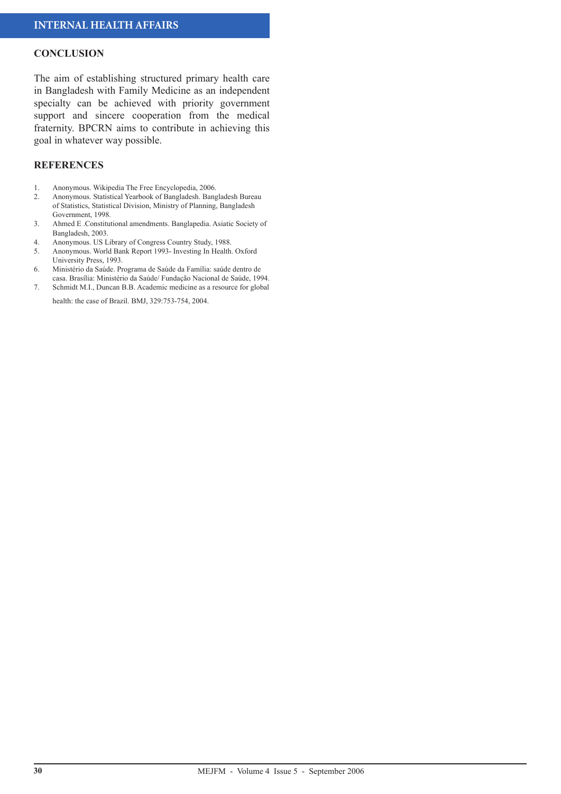#### **CONCLUSION**

The aim of establishing structured primary health care in Bangladesh with Family Medicine as an independent specialty can be achieved with priority government support and sincere cooperation from the medical fraternity. BPCRN aims to contribute in achieving this goal in whatever way possible.

#### **REFERENCES**

- 1. Anonymous. Wikipedia The Free Encyclopedia, 2006.
- 2. Anonymous. Statistical Yearbook of Bangladesh. Bangladesh Bureau of Statistics, Statistical Division, Ministry of Planning, Bangladesh Government, 1998.
- 3. Ahmed E .Constitutional amendments. Banglapedia. Asiatic Society of Bangladesh, 2003.
- 4. Anonymous. US Library of Congress Country Study, 1988.
- 5. Anonymous. World Bank Report 1993- Investing In Health. Oxford University Press, 1993.
- 6. Ministério da Saúde. Programa de Saúde da Família: saúde dentro de casa. Brasília: Ministério da Saúde/ Fundação Nacional de Saúde, 1994.
- 7. Schmidt M.I., Duncan B.B. Academic medicine as a resource for global health: the case of Brazil. BMJ, 329:753-754, 2004.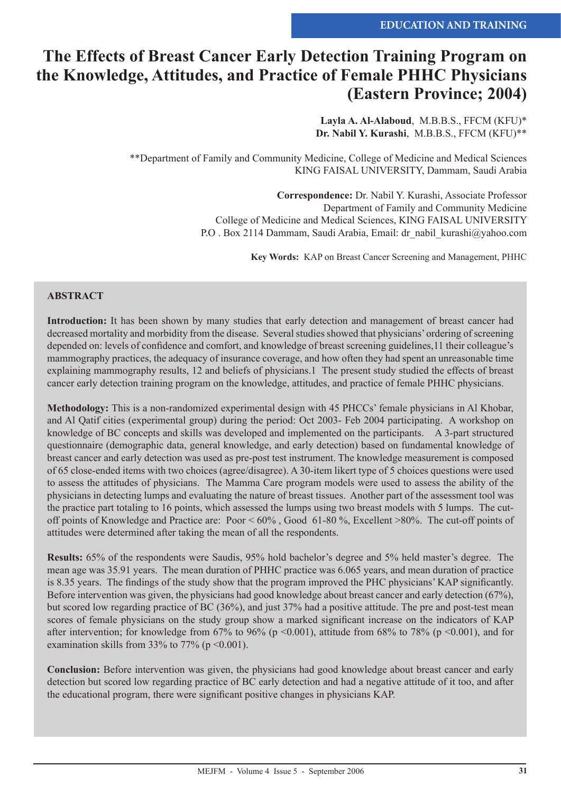# **The Effects of Breast Cancer Early Detection Training Program on the Knowledge, Attitudes, and Practice of Female PHHC Physicians (Eastern Province; 2004)**

**Layla A. Al-Alaboud**, M.B.B.S., FFCM (KFU)\* **Dr. Nabil Y. Kurashi**, M.B.B.S., FFCM (KFU)\*\*

\*\*Department of Family and Community Medicine, College of Medicine and Medical Sciences KING FAISAL UNIVERSITY, Dammam, Saudi Arabia

> **Correspondence:** Dr. Nabil Y. Kurashi, Associate Professor Department of Family and Community Medicine College of Medicine and Medical Sciences, KING FAISAL UNIVERSITY P.O . Box 2114 Dammam, Saudi Arabia, Email: dr\_nabil\_kurashi@yahoo.com

> > **Key Words:** KAP on Breast Cancer Screening and Management, PHHC

#### **ABSTRACT**

**Introduction:** It has been shown by many studies that early detection and management of breast cancer had decreased mortality and morbidity from the disease. Several studies showed that physicians' ordering of screening depended on: levels of confidence and comfort, and knowledge of breast screening guidelines,11 their colleague's mammography practices, the adequacy of insurance coverage, and how often they had spent an unreasonable time explaining mammography results, 12 and beliefs of physicians.1 The present study studied the effects of breast cancer early detection training program on the knowledge, attitudes, and practice of female PHHC physicians.

**Methodology:** This is a non-randomized experimental design with 45 PHCCs' female physicians in Al Khobar, and Al Qatif cities (experimental group) during the period: Oct 2003- Feb 2004 participating. A workshop on knowledge of BC concepts and skills was developed and implemented on the participants. A 3-part structured questionnaire (demographic data, general knowledge, and early detection) based on fundamental knowledge of breast cancer and early detection was used as pre-post test instrument. The knowledge measurement is composed of 65 close-ended items with two choices (agree/disagree). A 30-item likert type of 5 choices questions were used to assess the attitudes of physicians. The Mamma Care program models were used to assess the ability of the physicians in detecting lumps and evaluating the nature of breast tissues. Another part of the assessment tool was the practice part totaling to 16 points, which assessed the lumps using two breast models with 5 lumps. The cutoff points of Knowledge and Practice are: Poor < 60% , Good 61-80 %, Excellent >80%. The cut-off points of attitudes were determined after taking the mean of all the respondents.

**Results:** 65% of the respondents were Saudis, 95% hold bachelor's degree and 5% held master's degree. The mean age was 35.91 years. The mean duration of PHHC practice was 6.065 years, and mean duration of practice is 8.35 years. The findings of the study show that the program improved the PHC physicians' KAP significantly. Before intervention was given, the physicians had good knowledge about breast cancer and early detection (67%), but scored low regarding practice of BC (36%), and just 37% had a positive attitude. The pre and post-test mean scores of female physicians on the study group show a marked significant increase on the indicators of KAP after intervention; for knowledge from 67% to 96% (p <0.001), attitude from 68% to 78% (p <0.001), and for examination skills from 33% to 77% ( $p \le 0.001$ ).

**Conclusion:** Before intervention was given, the physicians had good knowledge about breast cancer and early detection but scored low regarding practice of BC early detection and had a negative attitude of it too, and after the educational program, there were significant positive changes in physicians KAP.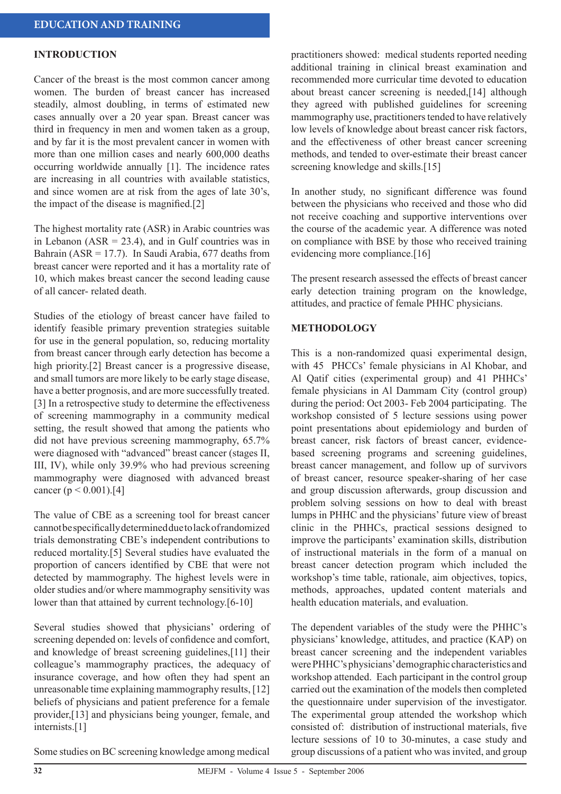#### **INTRODUCTION**

Cancer of the breast is the most common cancer among women. The burden of breast cancer has increased steadily, almost doubling, in terms of estimated new cases annually over a 20 year span. Breast cancer was third in frequency in men and women taken as a group, and by far it is the most prevalent cancer in women with more than one million cases and nearly 600,000 deaths occurring worldwide annually [1]. The incidence rates are increasing in all countries with available statistics, and since women are at risk from the ages of late 30's, the impact of the disease is magnified.[2]

The highest mortality rate (ASR) in Arabic countries was in Lebanon ( $ASR = 23.4$ ), and in Gulf countries was in Bahrain ( $ASR = 17.7$ ). In Saudi Arabia, 677 deaths from breast cancer were reported and it has a mortality rate of 10, which makes breast cancer the second leading cause of all cancer- related death.

Studies of the etiology of breast cancer have failed to identify feasible primary prevention strategies suitable for use in the general population, so, reducing mortality from breast cancer through early detection has become a high priority.[2] Breast cancer is a progressive disease, and small tumors are more likely to be early stage disease, have a better prognosis, and are more successfully treated. [3] In a retrospective study to determine the effectiveness of screening mammography in a community medical setting, the result showed that among the patients who did not have previous screening mammography, 65.7% were diagnosed with "advanced" breast cancer (stages II, III, IV), while only 39.9% who had previous screening mammography were diagnosed with advanced breast cancer ( $p < 0.001$ ).[4]

The value of CBE as a screening tool for breast cancer cannot be specifically determined due to lack of randomized trials demonstrating CBE's independent contributions to reduced mortality.[5] Several studies have evaluated the proportion of cancers identified by CBE that were not detected by mammography. The highest levels were in older studies and/or where mammography sensitivity was lower than that attained by current technology.[6-10]

Several studies showed that physicians' ordering of screening depended on: levels of confidence and comfort, and knowledge of breast screening guidelines,[11] their colleague's mammography practices, the adequacy of insurance coverage, and how often they had spent an unreasonable time explaining mammography results, [12] beliefs of physicians and patient preference for a female provider,[13] and physicians being younger, female, and internists.[1]

practitioners showed: medical students reported needing additional training in clinical breast examination and recommended more curricular time devoted to education about breast cancer screening is needed,[14] although they agreed with published guidelines for screening mammography use, practitioners tended to have relatively low levels of knowledge about breast cancer risk factors, and the effectiveness of other breast cancer screening methods, and tended to over-estimate their breast cancer screening knowledge and skills.[15]

In another study, no significant difference was found between the physicians who received and those who did not receive coaching and supportive interventions over the course of the academic year. A difference was noted on compliance with BSE by those who received training evidencing more compliance.[16]

The present research assessed the effects of breast cancer early detection training program on the knowledge, attitudes, and practice of female PHHC physicians.

#### **METHODOLOGY**

This is a non-randomized quasi experimental design, with 45 PHCCs' female physicians in Al Khobar, and Al Qatif cities (experimental group) and 41 PHHCs' female physicians in Al Dammam City (control group) during the period: Oct 2003- Feb 2004 participating. The workshop consisted of 5 lecture sessions using power point presentations about epidemiology and burden of breast cancer, risk factors of breast cancer, evidencebased screening programs and screening guidelines, breast cancer management, and follow up of survivors of breast cancer, resource speaker-sharing of her case and group discussion afterwards, group discussion and problem solving sessions on how to deal with breast lumps in PHHC and the physicians' future view of breast clinic in the PHHCs, practical sessions designed to improve the participants' examination skills, distribution of instructional materials in the form of a manual on breast cancer detection program which included the workshop's time table, rationale, aim objectives, topics, methods, approaches, updated content materials and health education materials, and evaluation.

The dependent variables of the study were the PHHC's physicians' knowledge, attitudes, and practice (KAP) on breast cancer screening and the independent variables were PHHC's physicians' demographic characteristics and workshop attended. Each participant in the control group carried out the examination of the models then completed the questionnaire under supervision of the investigator. The experimental group attended the workshop which consisted of: distribution of instructional materials, five lecture sessions of 10 to 30-minutes, a case study and group discussions of a patient who was invited, and group

Some studies on BC screening knowledge among medical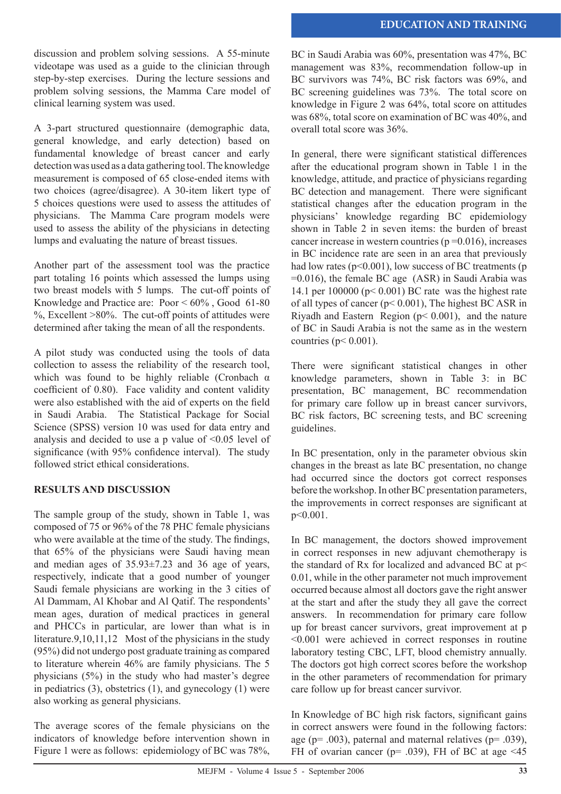discussion and problem solving sessions. A 55-minute videotape was used as a guide to the clinician through step-by-step exercises. During the lecture sessions and problem solving sessions, the Mamma Care model of clinical learning system was used.

A 3-part structured questionnaire (demographic data, general knowledge, and early detection) based on fundamental knowledge of breast cancer and early detection was used as a data gathering tool. The knowledge measurement is composed of 65 close-ended items with two choices (agree/disagree). A 30-item likert type of 5 choices questions were used to assess the attitudes of physicians. The Mamma Care program models were used to assess the ability of the physicians in detecting lumps and evaluating the nature of breast tissues.

Another part of the assessment tool was the practice part totaling 16 points which assessed the lumps using two breast models with 5 lumps. The cut-off points of Knowledge and Practice are: Poor < 60% , Good 61-80  $\%$ , Excellent >80%. The cut-off points of attitudes were determined after taking the mean of all the respondents.

A pilot study was conducted using the tools of data collection to assess the reliability of the research tool, which was found to be highly reliable (Cronbach  $\alpha$ ) coefficient of 0.80). Face validity and content validity were also established with the aid of experts on the field in Saudi Arabia. The Statistical Package for Social Science (SPSS) version 10 was used for data entry and analysis and decided to use a p value of <0.05 level of significance (with 95% confidence interval). The study followed strict ethical considerations.

# **RESULTS AND DISCUSSION**

The sample group of the study, shown in Table 1, was composed of 75 or 96% of the 78 PHC female physicians who were available at the time of the study. The findings, that 65% of the physicians were Saudi having mean and median ages of 35.93±7.23 and 36 age of years, respectively, indicate that a good number of younger Saudi female physicians are working in the 3 cities of Al Dammam, Al Khobar and Al Qatif. The respondents' mean ages, duration of medical practices in general and PHCCs in particular, are lower than what is in literature.9,10,11,12 Most of the physicians in the study (95%) did not undergo post graduate training as compared to literature wherein 46% are family physicians. The 5 physicians (5%) in the study who had master's degree in pediatrics  $(3)$ , obstetrics  $(1)$ , and gynecology  $(1)$  were also working as general physicians.

The average scores of the female physicians on the indicators of knowledge before intervention shown in Figure 1 were as follows: epidemiology of BC was 78%, BC in Saudi Arabia was 60%, presentation was 47%, BC management was 83%, recommendation follow-up in BC survivors was 74%, BC risk factors was 69%, and BC screening guidelines was 73%. The total score on knowledge in Figure 2 was 64%, total score on attitudes was 68%, total score on examination of BC was 40%, and overall total score was 36%.

In general, there were significant statistical differences after the educational program shown in Table 1 in the knowledge, attitude, and practice of physicians regarding BC detection and management. There were significant statistical changes after the education program in the physicians' knowledge regarding BC epidemiology shown in Table 2 in seven items: the burden of breast cancer increase in western countries  $(p=0.016)$ , increases in BC incidence rate are seen in an area that previously had low rates ( $p<0.001$ ), low success of BC treatments ( $p$ ) =0.016), the female BC age (ASR) in Saudi Arabia was 14.1 per 100000 (p< 0.001) BC rate was the highest rate of all types of cancer (p< 0.001), The highest BC ASR in Riyadh and Eastern Region  $(p < 0.001)$ , and the nature of BC in Saudi Arabia is not the same as in the western countries ( $p < 0.001$ ).

There were significant statistical changes in other knowledge parameters, shown in Table 3: in BC presentation, BC management, BC recommendation for primary care follow up in breast cancer survivors, BC risk factors, BC screening tests, and BC screening guidelines.

In BC presentation, only in the parameter obvious skin changes in the breast as late BC presentation, no change had occurred since the doctors got correct responses before the workshop. In other BC presentation parameters, the improvements in correct responses are significant at p<0.001.

In BC management, the doctors showed improvement in correct responses in new adjuvant chemotherapy is the standard of Rx for localized and advanced BC at p< 0.01, while in the other parameter not much improvement occurred because almost all doctors gave the right answer at the start and after the study they all gave the correct answers. In recommendation for primary care follow up for breast cancer survivors, great improvement at p <0.001 were achieved in correct responses in routine laboratory testing CBC, LFT, blood chemistry annually. The doctors got high correct scores before the workshop in the other parameters of recommendation for primary care follow up for breast cancer survivor.

In Knowledge of BC high risk factors, significant gains in correct answers were found in the following factors: age ( $p = .003$ ), paternal and maternal relatives ( $p = .039$ ), FH of ovarian cancer ( $p=$  .039), FH of BC at age <45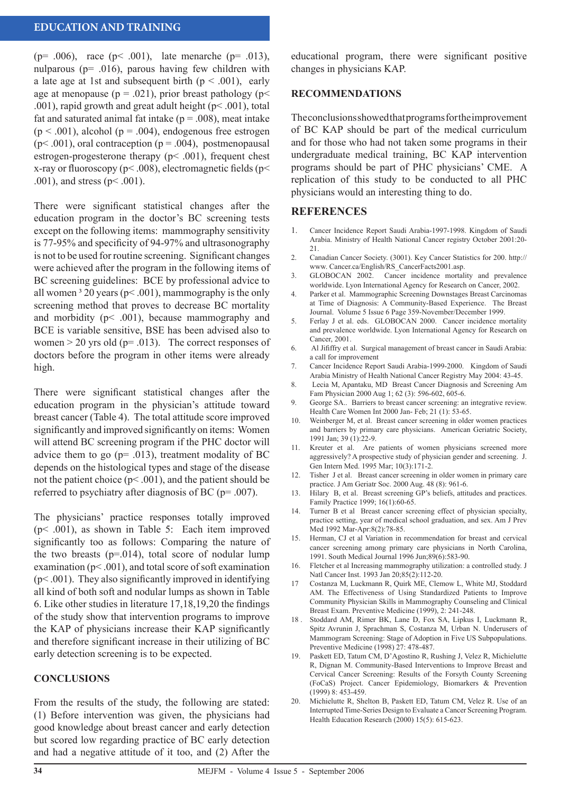### **EDUCATION AND TRAINING**

( $p= .006$ ), race ( $p< .001$ ), late menarche ( $p= .013$ ), nulparous (p= .016), parous having few children with a late age at 1st and subsequent birth  $(p < .001)$ , early age at menopause ( $p = .021$ ), prior breast pathology ( $p <$ .001), rapid growth and great adult height (p< .001), total fat and saturated animal fat intake ( $p = .008$ ), meat intake  $(p < .001)$ , alcohol  $(p = .004)$ , endogenous free estrogen  $(p< .001)$ , oral contraception  $(p = .004)$ , postmenopausal estrogen-progesterone therapy ( $p$ < .001), frequent chest x-ray or fluoroscopy ( $p$ < .008), electromagnetic fields ( $p$ < .001), and stress (p< .001).

There were significant statistical changes after the education program in the doctor's BC screening tests except on the following items: mammography sensitivity is 77-95% and specificity of 94-97% and ultrasonography is not to be used for routine screening. Significant changes were achieved after the program in the following items of BC screening guidelines: BCE by professional advice to all women  $3$  20 years (p< .001), mammography is the only screening method that proves to decrease BC mortality and morbidity ( $p$ < .001), because mammography and BCE is variable sensitive, BSE has been advised also to women  $> 20$  yrs old ( $p = .013$ ). The correct responses of doctors before the program in other items were already high.

There were significant statistical changes after the education program in the physician's attitude toward breast cancer (Table 4). The total attitude score improved significantly and improved significantly on items: Women will attend BC screening program if the PHC doctor will advice them to go ( $p = .013$ ), treatment modality of BC depends on the histological types and stage of the disease not the patient choice ( $p$ < .001), and the patient should be referred to psychiatry after diagnosis of BC (p= .007).

The physicians' practice responses totally improved (p< .001), as shown in Table 5: Each item improved significantly too as follows: Comparing the nature of the two breasts  $(p=0.014)$ , total score of nodular lump examination ( $p$ < .001), and total score of soft examination  $(p<.001)$ . They also significantly improved in identifying all kind of both soft and nodular lumps as shown in Table 6. Like other studies in literature 17,18,19,20 the findings of the study show that intervention programs to improve the KAP of physicians increase their KAP significantly and therefore significant increase in their utilizing of BC early detection screening is to be expected.

#### **CONCLUSIONS**

From the results of the study, the following are stated: (1) Before intervention was given, the physicians had good knowledge about breast cancer and early detection but scored low regarding practice of BC early detection and had a negative attitude of it too, and (2) After the

educational program, there were significant positive changes in physicians KAP.

#### **RECOMMENDATIONS**

The conclusions showed that programs for the improvement of BC KAP should be part of the medical curriculum and for those who had not taken some programs in their undergraduate medical training, BC KAP intervention programs should be part of PHC physicians' CME. A replication of this study to be conducted to all PHC physicians would an interesting thing to do.

#### **REFERENCES**

- 1. Cancer Incidence Report Saudi Arabia-1997-1998. Kingdom of Saudi Arabia. Ministry of Health National Cancer registry October 2001:20- 21.
- 2. Canadian Cancer Society. (3001). Key Cancer Statistics for 200. http:// www. Cancer.ca/English/RS\_CancerFacts2001.asp.
- 3. GLOBOCAN 2002. Cancer incidence mortality and prevalence worldwide. Lyon International Agency for Research on Cancer, 2002.
- 4. Parker et al. Mammographic Screening Downstages Breast Carcinomas at Time of Diagnosis: A Community-Based Experience. The Breast Journal. Volume 5 Issue 6 Page 359-November/December 1999.
- 5. Ferlay J et al. eds. GLOBOCAN 2000. Cancer incidence mortality and prevalence worldwide. Lyon International Agency for Research on Cancer, 2001.
- 6. Al Jififfry et al. Surgical management of breast cancer in Saudi Arabia: a call for improvement
- 7. Cancer Incidence Report Saudi Arabia-1999-2000. Kingdom of Saudi Arabia Ministry of Health National Cancer Registry May 2004: 43-45.
- 8. Lecia M, Apantaku, MD Breast Cancer Diagnosis and Screening Am Fam Physician 2000 Aug 1; 62 (3): 596-602, 605-6.
- 9. George SA.. Barriers to breast cancer screening: an integrative review. Health Care Women Int 2000 Jan- Feb; 21 (1): 53-65.
- 10. Weinberger M, et al. Breast cancer screening in older women practices and barriers by primary care physicians. American Geriatric Society, 1991 Jan; 39 (1):22-9.
- 11. Kreuter et al. Are patients of women physicians screened more aggressively? A prospective study of physician gender and screening. J. Gen Intern Med. 1995 Mar; 10(3):171-2.
- 12. Tisher J et al. Breast cancer screening in older women in primary care practice. J Am Geriatr Soc. 2000 Aug. 48 (8): 961-6.
- 13. Hilary B, et al. Breast screening GP's beliefs, attitudes and practices. Family Practice 1999; 16(1):60-65.
- 14. Turner B et al Breast cancer screening effect of physician specialty, practice setting, year of medical school graduation, and sex. Am J Prev Med 1992 Mar-Apr:8(2):78-85.
- 15. Herman, CJ et al Variation in recommendation for breast and cervical cancer screening among primary care physicians in North Carolina, 1991. South Medical Journal 1996 Jun;89(6):583-90.
- 16. Fletcher et al Increasing mammography utilization: a controlled study. J Natl Cancer Inst. 1993 Jan 20;85(2):112-20.
- 17 Costanza M, Luckmann R, Quirk ME, Clemow L, White MJ, Stoddard AM. The Effectiveness of Using Standardized Patients to Improve Community Physician Skills in Mammography Counseling and Clinical Breast Exam. Preventive Medicine (1999), 2: 241-248.
- 18 . Stoddard AM, Rimer BK, Lane D, Fox SA, Lipkus I, Luckmann R, Spitz Avrunin J, Sprachman S, Costanza M, Urban N. Underusers of Mammogram Screening: Stage of Adoption in Five US Subpopulations. Preventive Medicine (1998) 27: 478-487.
- 19. Paskett ED, Tatum CM, D'Agostino R, Rushing J, Velez R, Michielutte R, Dignan M. Community-Based Interventions to Improve Breast and Cervical Cancer Screening: Results of the Forsyth County Screening (FoCaS) Project. Cancer Epidemiology, Biomarkers & Prevention (1999) 8: 453-459.
- 20. Michielutte R, Shelton B, Paskett ED, Tatum CM, Velez R. Use of an Interrupted Time-Series Design to Evaluate a Cancer Screening Program. Health Education Research (2000) 15(5): 615-623.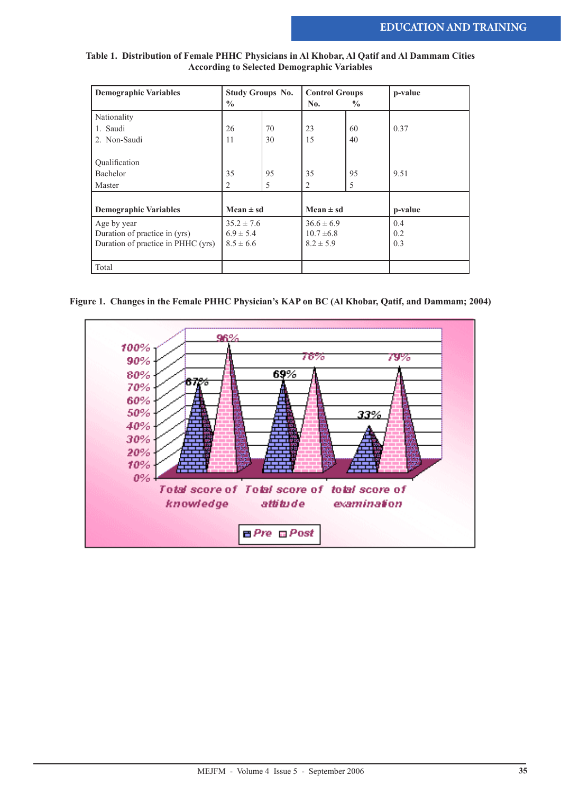| Table 1. Distribution of Female PHHC Physicians in Al Khobar, Al Qatif and Al Dammam Cities |  |
|---------------------------------------------------------------------------------------------|--|
| <b>According to Selected Demographic Variables</b>                                          |  |

| <b>Demographic Variables</b>       | <b>Study Groups No.</b> |    | <b>Control Groups</b> |               | p-value |
|------------------------------------|-------------------------|----|-----------------------|---------------|---------|
|                                    | $\frac{0}{0}$           |    | No.                   | $\frac{0}{0}$ |         |
| Nationality                        |                         |    |                       |               |         |
| 1. Saudi                           | 26                      | 70 | 23                    | 60            | 0.37    |
| 2. Non-Saudi                       | 11                      | 30 | 15                    | 40            |         |
|                                    |                         |    |                       |               |         |
| Qualification                      |                         |    |                       |               |         |
| Bachelor                           | 35                      | 95 | 35                    | 95            | 9.51    |
| Master                             | 2                       | 5  | 2                     | 5             |         |
|                                    |                         |    |                       |               |         |
| <b>Demographic Variables</b>       | Mean $\pm$ sd           |    | Mean $\pm$ sd         |               | p-value |
| Age by year                        | $35.2 \pm 7.6$          |    | $36.6 \pm 6.9$        |               | 0.4     |
| Duration of practice in (yrs)      | $6.9 \pm 5.4$           |    | $10.7 \pm 6.8$        |               | 0.2     |
| Duration of practice in PHHC (yrs) | $8.5 \pm 6.6$           |    | $8.2 \pm 5.9$         |               | 0.3     |
|                                    |                         |    |                       |               |         |
| Total                              |                         |    |                       |               |         |

#### **Figure 1. Changes in the Female PHHC Physician's KAP on BC (Al Khobar, Qatif, and Dammam; 2004)**

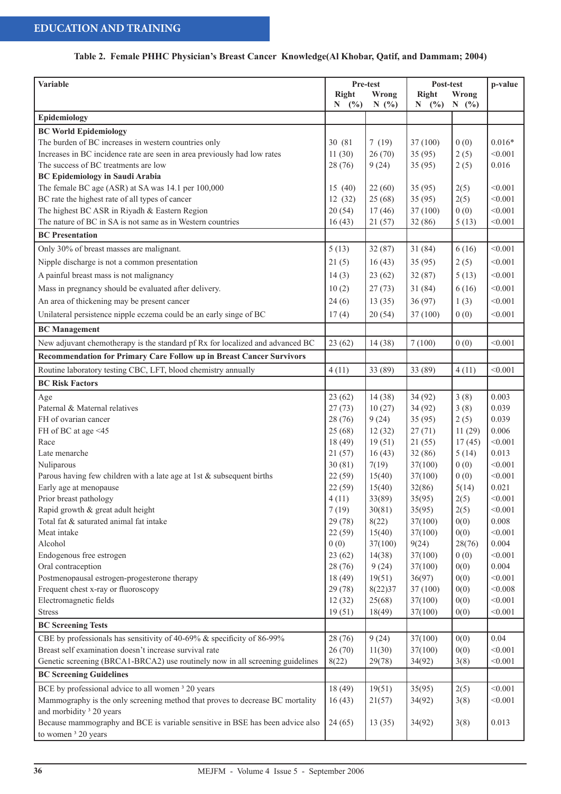# **Table 2. Female PHHC Physician's Breast Cancer Knowledge(Al Khobar, Qatif, and Dammam; 2004)**

| Variable                                                                                                             |              | Pre-test | Post-test |        | p-value  |  |
|----------------------------------------------------------------------------------------------------------------------|--------------|----------|-----------|--------|----------|--|
|                                                                                                                      | <b>Right</b> | Wrong    | Right     | Wrong  |          |  |
|                                                                                                                      | (%)<br>N     | N(%)     | N<br>(%)  | N(%)   |          |  |
| Epidemiology                                                                                                         |              |          |           |        |          |  |
| <b>BC World Epidemiology</b>                                                                                         |              |          |           |        |          |  |
| The burden of BC increases in western countries only                                                                 | 30 (81)      | 7(19)    | 37(100)   | 0(0)   | $0.016*$ |  |
| Increases in BC incidence rate are seen in area previously had low rates                                             | 11(30)       | 26(70)   | 35(95)    | 2(5)   | < 0.001  |  |
| The success of BC treatments are low                                                                                 | 28(76)       | 9(24)    | 35(95)    | 2(5)   | 0.016    |  |
| <b>BC Epidemiology in Saudi Arabia</b>                                                                               |              |          |           |        |          |  |
| The female BC age (ASR) at SA was 14.1 per 100,000                                                                   | 15(40)       | 22(60)   | 35(95)    | 2(5)   | < 0.001  |  |
| BC rate the highest rate of all types of cancer                                                                      | 12(32)       | 25(68)   | 35(95)    | 2(5)   | < 0.001  |  |
| The highest BC ASR in Riyadh & Eastern Region                                                                        | 20(54)       | 17(46)   | 37(100)   | 0(0)   | < 0.001  |  |
| The nature of BC in SA is not same as in Western countries                                                           | 16(43)       | 21(57)   | 32(86)    | 5(13)  | < 0.001  |  |
| <b>BC</b> Presentation                                                                                               |              |          |           |        |          |  |
|                                                                                                                      |              |          |           |        |          |  |
| Only 30% of breast masses are malignant.                                                                             | 5(13)        | 32(87)   | 31(84)    | 6(16)  | < 0.001  |  |
| Nipple discharge is not a common presentation                                                                        | 21(5)        | 16(43)   | 35(95)    | 2(5)   | < 0.001  |  |
| A painful breast mass is not malignancy                                                                              | 14(3)        | 23(62)   | 32(87)    | 5(13)  | < 0.001  |  |
| Mass in pregnancy should be evaluated after delivery.                                                                | 10(2)        | 27(73)   | 31(84)    | 6(16)  | < 0.001  |  |
| An area of thickening may be present cancer                                                                          | 24(6)        | 13(35)   | 36(97)    | 1(3)   | < 0.001  |  |
| Unilateral persistence nipple eczema could be an early singe of BC                                                   | 17(4)        | 20(54)   | 37(100)   | 0(0)   | < 0.001  |  |
| <b>BC</b> Management                                                                                                 |              |          |           |        |          |  |
| New adjuvant chemotherapy is the standard pf Rx for localized and advanced BC                                        | 23(62)       | 14(38)   | 7(100)    | 0(0)   | < 0.001  |  |
| Recommendation for Primary Care Follow up in Breast Cancer Survivors                                                 |              |          |           |        |          |  |
| Routine laboratory testing CBC, LFT, blood chemistry annually                                                        | 4(11)        | 33 (89)  | 33 (89)   | 4(11)  | < 0.001  |  |
|                                                                                                                      |              |          |           |        |          |  |
| <b>BC Risk Factors</b>                                                                                               |              |          |           |        |          |  |
| Age                                                                                                                  | 23(62)       | 14(38)   | 34(92)    | 3(8)   | 0.003    |  |
| Paternal & Maternal relatives                                                                                        | 27(73)       | 10(27)   | 34(92)    | 3(8)   | 0.039    |  |
| FH of ovarian cancer                                                                                                 | 28 (76)      | 9(24)    | 35(95)    | 2(5)   | 0.039    |  |
| FH of BC at age <45                                                                                                  | 25(68)       | 12(32)   | 27(71)    | 11(29) | 0.006    |  |
| Race                                                                                                                 | 18(49)       | 19(51)   | 21(55)    | 17(45) | < 0.001  |  |
| Late menarche                                                                                                        | 21(57)       | 16(43)   | 32(86)    | 5(14)  | 0.013    |  |
| Nuliparous                                                                                                           | 30(81)       | 7(19)    | 37(100)   | 0(0)   | < 0.001  |  |
| Parous having few children with a late age at 1st $&$ subsequent births                                              | 22(59)       | 15(40)   | 37(100)   | 0(0)   | < 0.001  |  |
| Early age at menopause                                                                                               | 22(59)       | 15(40)   | 32(86)    | 5(14)  | 0.021    |  |
| Prior breast pathology                                                                                               | 4(11)        | 33(89)   | 35(95)    | 2(5)   | < 0.001  |  |
| Rapid growth & great adult height                                                                                    | 7(19)        | 30(81)   | 35(95)    | 2(5)   | < 0.001  |  |
| Total fat & saturated animal fat intake                                                                              | 29 (78)      | 8(22)    | 37(100)   | 0(0)   | 0.008    |  |
| Meat intake                                                                                                          | 22(59)       | 15(40)   | 37(100)   | 0(0)   | < 0.001  |  |
| Alcohol                                                                                                              | 0(0)         | 37(100)  | 9(24)     | 28(76) | 0.004    |  |
| Endogenous free estrogen                                                                                             | 23(62)       | 14(38)   | 37(100)   | 0(0)   | < 0.001  |  |
| Oral contraception                                                                                                   | 28 (76)      | 9(24)    | 37(100)   | 0(0)   | 0.004    |  |
| Postmenopausal estrogen-progesterone therapy                                                                         | 18(49)       | 19(51)   | 36(97)    | 0(0)   | < 0.001  |  |
| Frequent chest x-ray or fluoroscopy                                                                                  | 29 (78)      | 8(22)37  | 37(100)   | 0(0)   | < 0.008  |  |
| Electromagnetic fields                                                                                               | 12(32)       | 25(68)   | 37(100)   | 0(0)   | < 0.001  |  |
| <b>Stress</b>                                                                                                        | 19(51)       | 18(49)   | 37(100)   | 0(0)   | < 0.001  |  |
| <b>BC Screening Tests</b>                                                                                            |              |          |           |        |          |  |
| CBE by professionals has sensitivity of 40-69% & specificity of 86-99%                                               | 28 (76)      | 9(24)    | 37(100)   | 0(0)   | 0.04     |  |
| Breast self examination doesn't increase survival rate                                                               | 26(70)       | 11(30)   | 37(100)   | 0(0)   | < 0.001  |  |
| Genetic screening (BRCA1-BRCA2) use routinely now in all screening guidelines                                        | 8(22)        | 29(78)   | 34(92)    | 3(8)   | < 0.001  |  |
| <b>BC Screening Guidelines</b>                                                                                       |              |          |           |        |          |  |
|                                                                                                                      |              |          |           |        |          |  |
| BCE by professional advice to all women <sup>3</sup> 20 years                                                        | 18(49)       | 19(51)   | 35(95)    | 2(5)   | < 0.001  |  |
| Mammography is the only screening method that proves to decrease BC mortality<br>and morbidity <sup>3</sup> 20 years | 16(43)       | 21(57)   | 34(92)    | 3(8)   | < 0.001  |  |
| Because mammography and BCE is variable sensitive in BSE has been advice also                                        | 24(65)       | 13(35)   | 34(92)    | 3(8)   | 0.013    |  |
| to women <sup>3</sup> 20 years                                                                                       |              |          |           |        |          |  |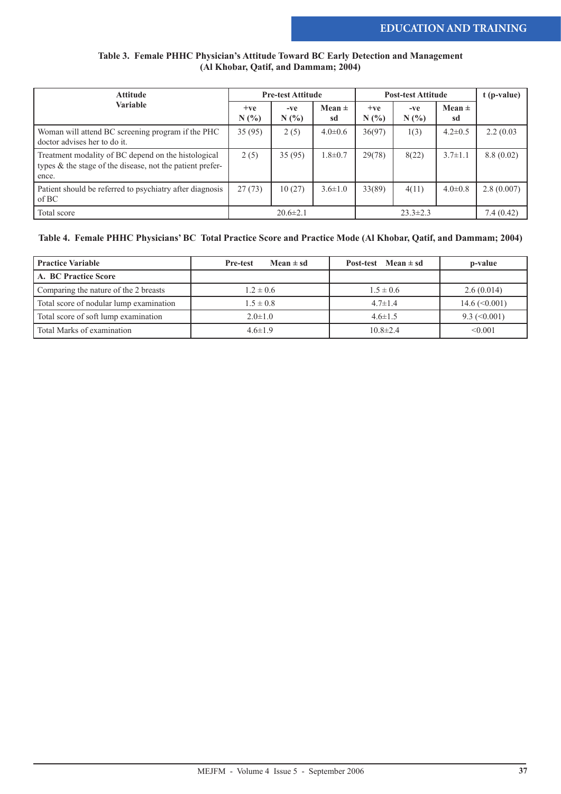#### **Table 3. Female PHHC Physician's Attitude Toward BC Early Detection and Management (Al Khobar, Qatif, and Dammam; 2004)**

| <b>Attitude</b>                                                                                                           | <b>Pre-test Attitude</b> |                |                  | <b>Post-test Attitude</b> | t (p-value)    |                  |            |
|---------------------------------------------------------------------------------------------------------------------------|--------------------------|----------------|------------------|---------------------------|----------------|------------------|------------|
| <b>Variable</b>                                                                                                           | $+ve$<br>N(%)            | $-ve$<br>N(%   | Mean $\pm$<br>sd | $+ve$<br>N(%              | $-ve$<br>N(%   | Mean $\pm$<br>sd |            |
| Woman will attend BC screening program if the PHC<br>doctor advises her to do it.                                         | 35(95)                   | 2(5)           | $4.0 \pm 0.6$    | 36(97)                    | 1(3)           | $4.2 \pm 0.5$    | 2.2(0.03)  |
| Treatment modality of BC depend on the histological<br>types & the stage of the disease, not the patient prefer-<br>ence. | 2(5)                     | 35(95)         | $1.8 \pm 0.7$    | 29(78)                    | 8(22)          | $3.7 \pm 1.1$    | 8.8(0.02)  |
| Patient should be referred to psychiatry after diagnosis<br>of BC                                                         | 27(73)                   | 10(27)         | $3.6 \pm 1.0$    | 33(89)                    | 4(11)          | $4.0 \pm 0.8$    | 2.8(0.007) |
| Total score                                                                                                               |                          | $20.6 \pm 2.1$ |                  |                           | $23.3 \pm 2.3$ |                  | 7.4(0.42)  |

#### **Table 4. Female PHHC Physicians' BC Total Practice Score and Practice Mode (Al Khobar, Qatif, and Dammam; 2004)**

| <b>Practice Variable</b>                | Mean $\pm$ sd<br><b>Pre-test</b> | Post-test Mean $\pm$ sd | p-value                          |
|-----------------------------------------|----------------------------------|-------------------------|----------------------------------|
| A. BC Practice Score                    |                                  |                         |                                  |
| Comparing the nature of the 2 breasts   | $1.2 \pm 0.6$                    | $1.5 \pm 0.6$           | 2.6(0.014)                       |
| Total score of nodular lump examination | $1.5 \pm 0.8$                    | $4.7 \pm 1.4$           | $14.6 \left( \leq 0.001 \right)$ |
| Total score of soft lump examination    | $2.0 \pm 1.0$                    | $4.6 \pm 1.5$           | $9.3 \approx (0.001)$            |
| Total Marks of examination              | $4.6 \pm 1.9$                    | $10.8 \pm 2.4$          | < 0.001                          |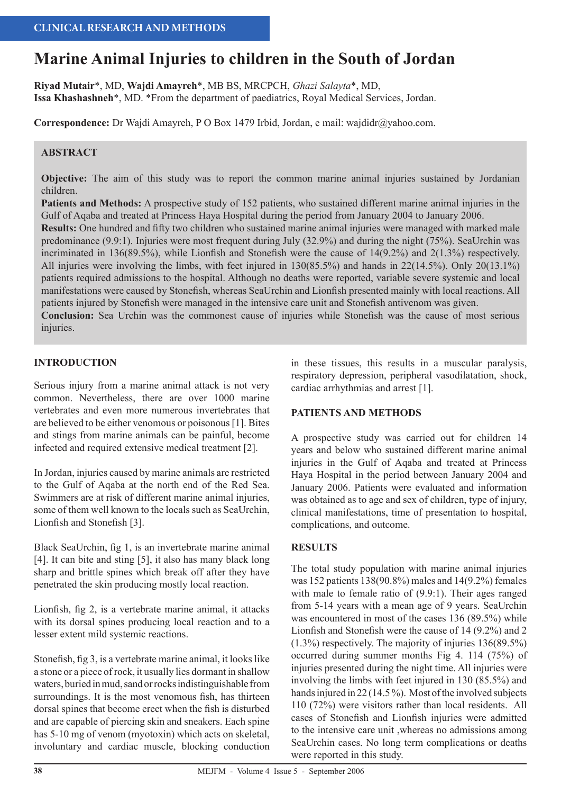# **Marine Animal Injuries to children in the South of Jordan**

**Riyad Mutair**\*, MD, **Wajdi Amayreh**\*, MB BS, MRCPCH, *Ghazi Salayta*\*, MD, **Issa Khashashneh**\*, MD. \*From the department of paediatrics, Royal Medical Services, Jordan.

**Correspondence:** Dr Wajdi Amayreh, P O Box 1479 Irbid, Jordan, e mail: wajdidr@yahoo.com.

### **ABSTRACT**

**Objective:** The aim of this study was to report the common marine animal injuries sustained by Jordanian children.

**Patients and Methods:** A prospective study of 152 patients, who sustained different marine animal injuries in the Gulf of Aqaba and treated at Princess Haya Hospital during the period from January 2004 to January 2006.

**Results:** One hundred and fifty two children who sustained marine animal injuries were managed with marked male predominance (9.9:1). Injuries were most frequent during July (32.9%) and during the night (75%). SeaUrchin was incriminated in 136(89.5%), while Lionfish and Stonefish were the cause of 14(9.2%) and 2(1.3%) respectively. All injuries were involving the limbs, with feet injured in 130(85.5%) and hands in 22(14.5%). Only 20(13.1%) patients required admissions to the hospital. Although no deaths were reported, variable severe systemic and local manifestations were caused by Stonefish, whereas SeaUrchin and Lionfish presented mainly with local reactions. All patients injured by Stonefish were managed in the intensive care unit and Stonefish antivenom was given. **Conclusion:** Sea Urchin was the commonest cause of injuries while Stonefish was the cause of most serious

injuries.

#### **INTRODUCTION**

Serious injury from a marine animal attack is not very common. Nevertheless, there are over 1000 marine vertebrates and even more numerous invertebrates that are believed to be either venomous or poisonous [1]. Bites and stings from marine animals can be painful, become infected and required extensive medical treatment [2].

In Jordan, injuries caused by marine animals are restricted to the Gulf of Aqaba at the north end of the Red Sea. Swimmers are at risk of different marine animal injuries, some of them well known to the locals such as SeaUrchin, Lionfish and Stonefish [3].

Black SeaUrchin, fig 1, is an invertebrate marine animal [4]. It can bite and sting [5], it also has many black long sharp and brittle spines which break off after they have penetrated the skin producing mostly local reaction.

Lionfish, fig 2, is a vertebrate marine animal, it attacks with its dorsal spines producing local reaction and to a lesser extent mild systemic reactions.

Stonefish, fig 3, is a vertebrate marine animal, it looks like a stone or a piece of rock, it usually lies dormant in shallow waters, buried in mud, sand or rocks indistinguishable from surroundings. It is the most venomous fish, has thirteen dorsal spines that become erect when the fish is disturbed and are capable of piercing skin and sneakers. Each spine has 5-10 mg of venom (myotoxin) which acts on skeletal, involuntary and cardiac muscle, blocking conduction

in these tissues, this results in a muscular paralysis, respiratory depression, peripheral vasodilatation, shock, cardiac arrhythmias and arrest [1].

#### **PATIENTS AND METHODS**

A prospective study was carried out for children 14 years and below who sustained different marine animal injuries in the Gulf of Aqaba and treated at Princess Haya Hospital in the period between January 2004 and January 2006. Patients were evaluated and information was obtained as to age and sex of children, type of injury, clinical manifestations, time of presentation to hospital, complications, and outcome.

#### **RESULTS**

The total study population with marine animal injuries was 152 patients 138(90.8%) males and 14(9.2%) females with male to female ratio of (9.9:1). Their ages ranged from 5-14 years with a mean age of 9 years. SeaUrchin was encountered in most of the cases 136 (89.5%) while Lionfish and Stonefish were the cause of 14 (9.2%) and 2 (1.3%) respectively. The majority of injuries 136(89.5%) occurred during summer months Fig 4. 114 (75%) of injuries presented during the night time. All injuries were involving the limbs with feet injured in 130 (85.5%) and hands injured in 22 (14.5%). Most of the involved subjects 110 (72%) were visitors rather than local residents. All cases of Stonefish and Lionfish injuries were admitted to the intensive care unit ,whereas no admissions among SeaUrchin cases. No long term complications or deaths were reported in this study.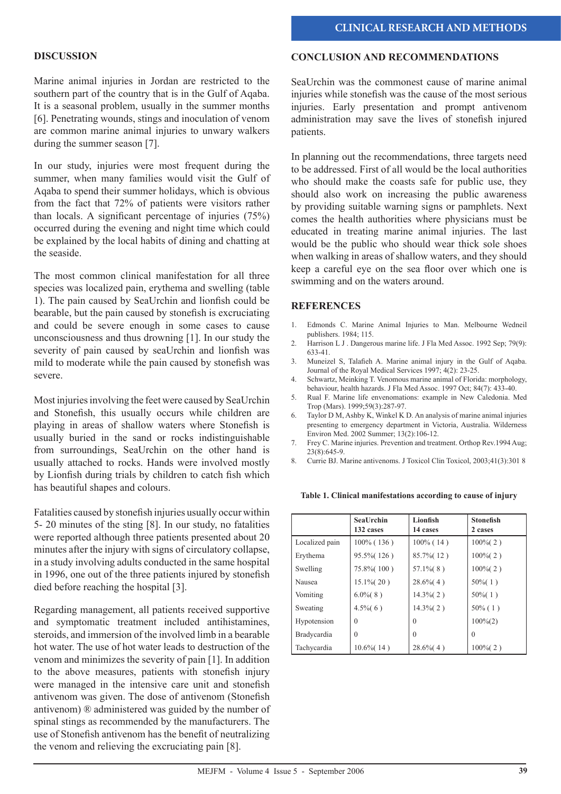#### **DISCUSSION**

Marine animal injuries in Jordan are restricted to the southern part of the country that is in the Gulf of Aqaba. It is a seasonal problem, usually in the summer months [6]. Penetrating wounds, stings and inoculation of venom are common marine animal injuries to unwary walkers during the summer season [7].

In our study, injuries were most frequent during the summer, when many families would visit the Gulf of Aqaba to spend their summer holidays, which is obvious from the fact that 72% of patients were visitors rather than locals. A significant percentage of injuries (75%) occurred during the evening and night time which could be explained by the local habits of dining and chatting at the seaside.

The most common clinical manifestation for all three species was localized pain, erythema and swelling (table 1). The pain caused by SeaUrchin and lionfish could be bearable, but the pain caused by stonefish is excruciating and could be severe enough in some cases to cause unconsciousness and thus drowning [1]. In our study the severity of pain caused by seaUrchin and lionfish was mild to moderate while the pain caused by stonefish was severe.

Most injuries involving the feet were caused by SeaUrchin and Stonefish, this usually occurs while children are playing in areas of shallow waters where Stonefish is usually buried in the sand or rocks indistinguishable from surroundings, SeaUrchin on the other hand is usually attached to rocks. Hands were involved mostly by Lionfish during trials by children to catch fish which has beautiful shapes and colours.

Fatalities caused by stonefish injuries usually occur within 5- 20 minutes of the sting [8]. In our study, no fatalities were reported although three patients presented about 20 minutes after the injury with signs of circulatory collapse, in a study involving adults conducted in the same hospital in 1996, one out of the three patients injured by stonefish died before reaching the hospital [3].

Regarding management, all patients received supportive and symptomatic treatment included antihistamines, steroids, and immersion of the involved limb in a bearable hot water. The use of hot water leads to destruction of the venom and minimizes the severity of pain [1]. In addition to the above measures, patients with stonefish injury were managed in the intensive care unit and stonefish antivenom was given. The dose of antivenom (Stonefish antivenom) ® administered was guided by the number of spinal stings as recommended by the manufacturers. The use of Stonefish antivenom has the benefit of neutralizing the venom and relieving the excruciating pain [8].

#### **CONCLUSION AND RECOMMENDATIONS**

SeaUrchin was the commonest cause of marine animal injuries while stonefish was the cause of the most serious injuries. Early presentation and prompt antivenom administration may save the lives of stonefish injured patients.

In planning out the recommendations, three targets need to be addressed. First of all would be the local authorities who should make the coasts safe for public use, they should also work on increasing the public awareness by providing suitable warning signs or pamphlets. Next comes the health authorities where physicians must be educated in treating marine animal injuries. The last would be the public who should wear thick sole shoes when walking in areas of shallow waters, and they should keep a careful eye on the sea floor over which one is swimming and on the waters around.

#### **REFERENCES**

- 1. Edmonds C. Marine Animal Injuries to Man. Melbourne Wedneil publishers. 1984; 115.
- 2. Harrison L J . Dangerous marine life. J Fla Med Assoc. 1992 Sep; 79(9): 633-41.
- 3. Muneizel S, Talafieh A. Marine animal injury in the Gulf of Aqaba. Journal of the Royal Medical Services 1997; 4(2): 23-25.
- 4. Schwartz, Meinking T. Venomous marine animal of Florida: morphology, behaviour, health hazards. J Fla Med Assoc. 1997 Oct; 84(7): 433-40.
- 5. Rual F. Marine life envenomations: example in New Caledonia. Med Trop (Mars). 1999;59(3):287-97.
- 6. Taylor D M, Ashby K, Winkel K D. An analysis of marine animal injuries presenting to emergency department in Victoria, Australia. Wilderness Environ Med. 2002 Summer; 13(2):106-12.
- 7. Frey C. Marine injuries. Prevention and treatment. Orthop Rev.1994 Aug; 23(8):645-9.
- 8. Currie BJ. Marine antivenoms. J Toxicol Clin Toxicol, 2003;41(3):301 8

**Table 1. Clinical manifestations according to cause of injury**

|                    | <b>SeaUrchin</b><br>132 cases | Lionfish<br>14 cases | <b>Stonefish</b><br>2 cases |
|--------------------|-------------------------------|----------------------|-----------------------------|
| Localized pain     | $100\%$ (136)                 | $100\%$ (14)         | $100\%$ (2)                 |
| Erythema           | 95.5% (126)                   | 85.7% (12)           | $100\%$ (2)                 |
| Swelling           | 75.8% (100)                   | $57.1\%$ $(8)$       | $100\%$ (2)                 |
| Nausea             | $15.1\%$ (20)                 | $28.6\%$ (4)         | $50\%$ (1)                  |
| Vomiting           | $6.0\%$ (8)                   | $14.3\%$ (2)         | $50\%$ (1)                  |
| Sweating           | $4.5\%$ (6)                   | $14.3\%$ (2)         | $50\%$ (1)                  |
| Hypotension        | $\theta$                      | $\Omega$             | $100\%(2)$                  |
| <b>Bradycardia</b> | $\theta$                      | $\Omega$             | $\theta$                    |
| Tachycardia        | $10.6\%$ (14)                 | $28.6\%$ (4)         | $100\%$ (2)                 |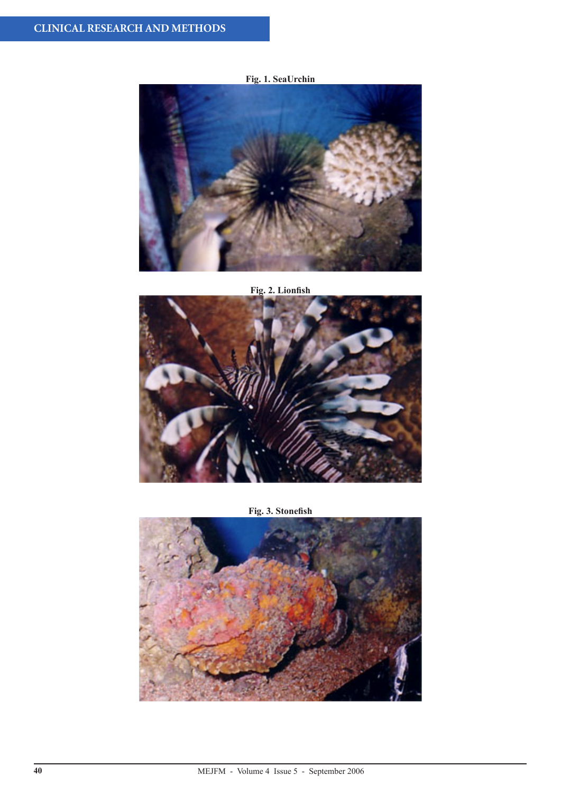# **Fig. 1. SeaUrchin**



**Fig. 2. Lionfish**



**Fig. 3. Stonefish**

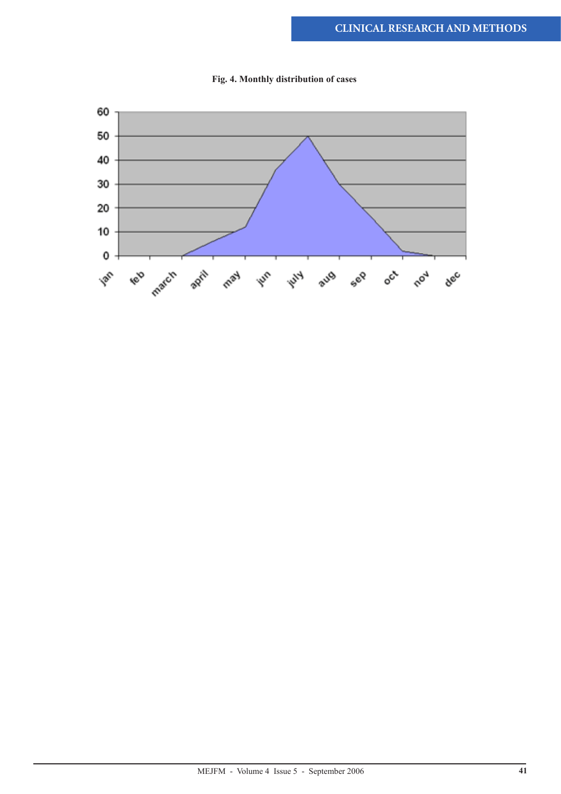

**Fig. 4. Monthly distribution of cases**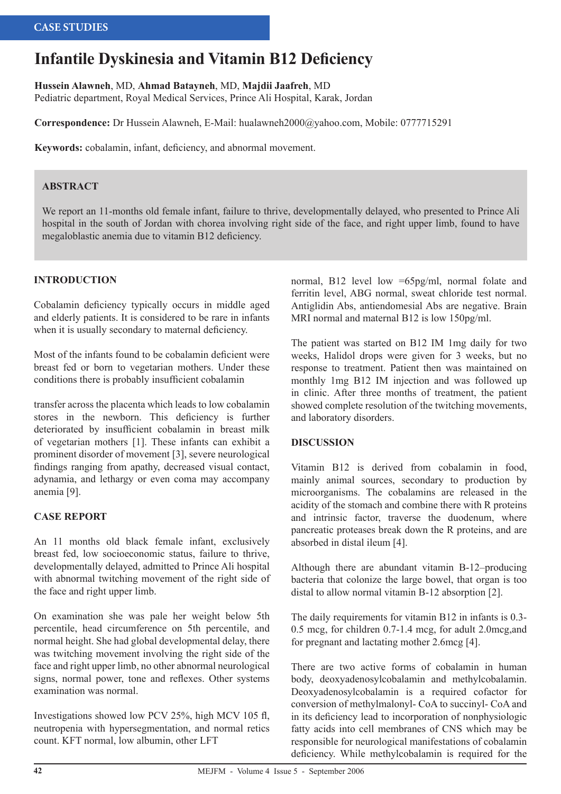# **Infantile Dyskinesia and Vitamin B12 Deficiency**

**Hussein Alawneh**, MD, **Ahmad Batayneh**, MD, **Majdii Jaafreh**, MD

Pediatric department, Royal Medical Services, Prince Ali Hospital, Karak, Jordan

**Correspondence:** Dr Hussein Alawneh, E-Mail: hualawneh2000@yahoo.com, Mobile: 0777715291

**Keywords:** cobalamin, infant, deficiency, and abnormal movement.

#### **ABSTRACT**

We report an 11-months old female infant, failure to thrive, developmentally delayed, who presented to Prince Ali hospital in the south of Jordan with chorea involving right side of the face, and right upper limb, found to have megaloblastic anemia due to vitamin B12 deficiency.

#### **INTRODUCTION**

Cobalamin deficiency typically occurs in middle aged and elderly patients. It is considered to be rare in infants when it is usually secondary to maternal deficiency.

Most of the infants found to be cobalamin deficient were breast fed or born to vegetarian mothers. Under these conditions there is probably insufficient cobalamin

transfer across the placenta which leads to low cobalamin stores in the newborn. This deficiency is further deteriorated by insufficient cobalamin in breast milk of vegetarian mothers [1]. These infants can exhibit a prominent disorder of movement [3], severe neurological findings ranging from apathy, decreased visual contact, adynamia, and lethargy or even coma may accompany anemia [9].

#### **CASE REPORT**

An 11 months old black female infant, exclusively breast fed, low socioeconomic status, failure to thrive, developmentally delayed, admitted to Prince Ali hospital with abnormal twitching movement of the right side of the face and right upper limb.

On examination she was pale her weight below 5th percentile, head circumference on 5th percentile, and normal height. She had global developmental delay, there was twitching movement involving the right side of the face and right upper limb, no other abnormal neurological signs, normal power, tone and reflexes. Other systems examination was normal.

Investigations showed low PCV 25%, high MCV 105 fl, neutropenia with hypersegmentation, and normal retics count. KFT normal, low albumin, other LFT

normal, B12 level low =65pg/ml, normal folate and ferritin level, ABG normal, sweat chloride test normal. Antiglidin Abs, antiendomesial Abs are negative. Brain MRI normal and maternal B12 is low 150pg/ml.

The patient was started on B12 IM 1mg daily for two weeks, Halidol drops were given for 3 weeks, but no response to treatment. Patient then was maintained on monthly 1mg B12 IM injection and was followed up in clinic. After three months of treatment, the patient showed complete resolution of the twitching movements, and laboratory disorders.

#### **DISCUSSION**

Vitamin B12 is derived from cobalamin in food, mainly animal sources, secondary to production by microorganisms. The cobalamins are released in the acidity of the stomach and combine there with R proteins and intrinsic factor, traverse the duodenum, where pancreatic proteases break down the R proteins, and are absorbed in distal ileum [4].

Although there are abundant vitamin B-12–producing bacteria that colonize the large bowel, that organ is too distal to allow normal vitamin B-12 absorption [2].

The daily requirements for vitamin B12 in infants is 0.3- 0.5 mcg, for children 0.7-1.4 mcg, for adult 2.0mcg,and for pregnant and lactating mother 2.6mcg [4].

There are two active forms of cobalamin in human body, deoxyadenosylcobalamin and methylcobalamin. Deoxyadenosylcobalamin is a required cofactor for conversion of methylmalonyl- CoA to succinyl- CoA and in its deficiency lead to incorporation of nonphysiologic fatty acids into cell membranes of CNS which may be responsible for neurological manifestations of cobalamin deficiency. While methylcobalamin is required for the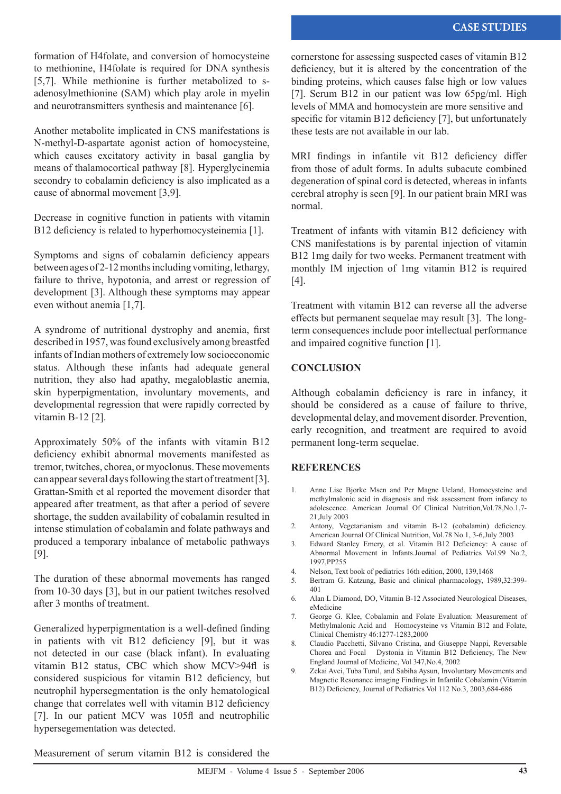formation of H4folate, and conversion of homocysteine to methionine, H4folate is required for DNA synthesis [5,7]. While methionine is further metabolized to sadenosylmethionine (SAM) which play arole in myelin and neurotransmitters synthesis and maintenance [6].

Another metabolite implicated in CNS manifestations is N-methyl-D-aspartate agonist action of homocysteine, which causes excitatory activity in basal ganglia by means of thalamocortical pathway [8]. Hyperglycinemia secondry to cobalamin deficiency is also implicated as a cause of abnormal movement [3,9].

Decrease in cognitive function in patients with vitamin B12 deficiency is related to hyperhomocysteinemia [1].

Symptoms and signs of cobalamin deficiency appears between ages of 2-12 months including vomiting, lethargy, failure to thrive, hypotonia, and arrest or regression of development [3]. Although these symptoms may appear even without anemia [1,7].

A syndrome of nutritional dystrophy and anemia, first described in 1957, was found exclusively among breastfed infants of Indian mothers of extremely low socioeconomic status. Although these infants had adequate general nutrition, they also had apathy, megaloblastic anemia, skin hyperpigmentation, involuntary movements, and developmental regression that were rapidly corrected by vitamin B-12 [2].

Approximately 50% of the infants with vitamin B12 deficiency exhibit abnormal movements manifested as tremor, twitches, chorea, or myoclonus. These movements can appear several days following the start of treatment [3]. Grattan-Smith et al reported the movement disorder that appeared after treatment, as that after a period of severe shortage, the sudden availability of cobalamin resulted in intense stimulation of cobalamin and folate pathways and produced a temporary inbalance of metabolic pathways [9].

The duration of these abnormal movements has ranged from 10-30 days [3], but in our patient twitches resolved after 3 months of treatment.

Generalized hyperpigmentation is a well-defined finding in patients with vit B12 deficiency [9], but it was not detected in our case (black infant). In evaluating vitamin B12 status, CBC which show MCV>94fl is considered suspicious for vitamin B12 deficiency, but neutrophil hypersegmentation is the only hematological change that correlates well with vitamin B12 deficiency [7]. In our patient MCV was 105fl and neutrophilic hypersegementation was detected.

cornerstone for assessing suspected cases of vitamin B12 deficiency, but it is altered by the concentration of the binding proteins, which causes false high or low values [7]. Serum B12 in our patient was low 65pg/ml. High levels of MMA and homocystein are more sensitive and specific for vitamin B12 deficiency [7], but unfortunately these tests are not available in our lab.

MRI findings in infantile vit B12 deficiency differ from those of adult forms. In adults subacute combined degeneration of spinal cord is detected, whereas in infants cerebral atrophy is seen [9]. In our patient brain MRI was normal.

Treatment of infants with vitamin B12 deficiency with CNS manifestations is by parental injection of vitamin B12 1mg daily for two weeks. Permanent treatment with monthly IM injection of 1mg vitamin B12 is required [4].

Treatment with vitamin B12 can reverse all the adverse effects but permanent sequelae may result [3]. The longterm consequences include poor intellectual performance and impaired cognitive function [1].

#### **CONCLUSION**

Although cobalamin deficiency is rare in infancy, it should be considered as a cause of failure to thrive, developmental delay, and movement disorder. Prevention, early recognition, and treatment are required to avoid permanent long-term sequelae.

#### **REFERENCES**

- 1. Anne Lise Bjorke Msen and Per Magne Ueland, Homocysteine and methylmalonic acid in diagnosis and risk assessment from infancy to adolescence. American Journal Of Clinical Nutrition,Vol.78,No.1,7- 21,July 2003
- 2. Antony, Vegetarianism and vitamin B-12 (cobalamin) deficiency. American Journal Of Clinical Nutrition, Vol.78 No.1, 3-6,July 2003
- 3. Edward Stanley Emery, et al. Vitamin B12 Deficiency: A cause of Abnormal Movement in Infants.Journal of Pediatrics Vol.99 No.2, 1997,PP255
- 4. Nelson, Text book of pediatrics 16th edition, 2000, 139,1468
- 5. Bertram G. Katzung, Basic and clinical pharmacology, 1989,32:399- 401
- 6. Alan L Diamond, DO, Vitamin B-12 Associated Neurological Diseases, eMedicine
- 7. George G. Klee, Cobalamin and Folate Evaluation: Measurement of Methylmalonic Acid and Homocysteine vs Vitamin B12 and Folate, Clinical Chemistry 46:1277-1283,2000
- 8. Claudio Pacchetti, Silvano Cristina, and Giuseppe Nappi, Reversable Chorea and Focal Dystonia in Vitamin B12 Deficiency, The New England Journal of Medicine, Vol 347,No.4, 2002
- 9. Zekai Avci, Tuba Turul, and Sabiha Aysun, Involuntary Movements and Magnetic Resonance imaging Findings in Infantile Cobalamin (Vitamin B12) Deficiency, Journal of Pediatrics Vol 112 No.3, 2003,684-686

Measurement of serum vitamin B12 is considered the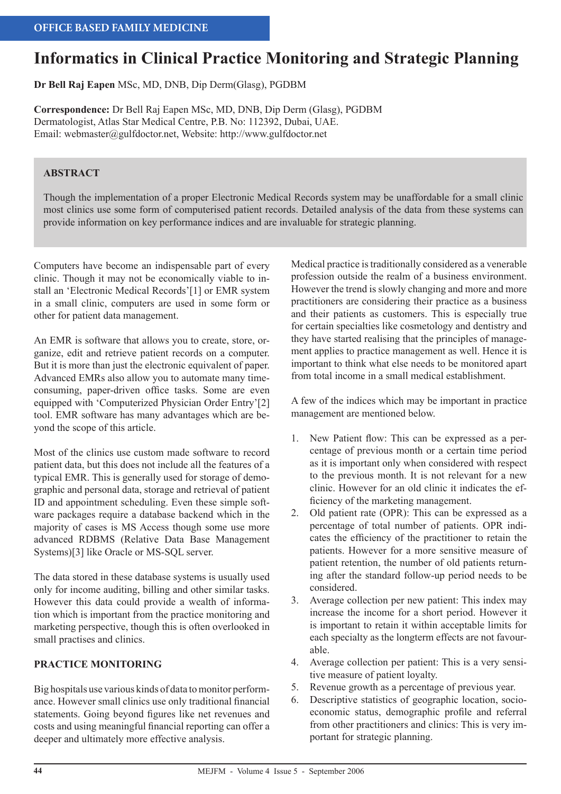# **Informatics in Clinical Practice Monitoring and Strategic Planning**

**Dr Bell Raj Eapen** MSc, MD, DNB, Dip Derm(Glasg), PGDBM

**Correspondence:** Dr Bell Raj Eapen MSc, MD, DNB, Dip Derm (Glasg), PGDBM Dermatologist, Atlas Star Medical Centre, P.B. No: 112392, Dubai, UAE. Email: webmaster@gulfdoctor.net, Website: http://www.gulfdoctor.net

# **ABSTRACT**

Though the implementation of a proper Electronic Medical Records system may be unaffordable for a small clinic most clinics use some form of computerised patient records. Detailed analysis of the data from these systems can provide information on key performance indices and are invaluable for strategic planning.

Computers have become an indispensable part of every clinic. Though it may not be economically viable to install an 'Electronic Medical Records'[1] or EMR system in a small clinic, computers are used in some form or other for patient data management.

An EMR is software that allows you to create, store, organize, edit and retrieve patient records on a computer. But it is more than just the electronic equivalent of paper. Advanced EMRs also allow you to automate many timeconsuming, paper-driven office tasks. Some are even equipped with 'Computerized Physician Order Entry'[2] tool. EMR software has many advantages which are beyond the scope of this article.

Most of the clinics use custom made software to record patient data, but this does not include all the features of a typical EMR. This is generally used for storage of demographic and personal data, storage and retrieval of patient ID and appointment scheduling. Even these simple software packages require a database backend which in the majority of cases is MS Access though some use more advanced RDBMS (Relative Data Base Management Systems)[3] like Oracle or MS-SQL server.

The data stored in these database systems is usually used only for income auditing, billing and other similar tasks. However this data could provide a wealth of information which is important from the practice monitoring and marketing perspective, though this is often overlooked in small practises and clinics.

# **PRACTICE MONITORING**

Big hospitals use various kinds of data to monitor performance. However small clinics use only traditional financial statements. Going beyond figures like net revenues and costs and using meaningful financial reporting can offer a deeper and ultimately more effective analysis.

Medical practice is traditionally considered as a venerable profession outside the realm of a business environment. However the trend is slowly changing and more and more practitioners are considering their practice as a business and their patients as customers. This is especially true for certain specialties like cosmetology and dentistry and they have started realising that the principles of management applies to practice management as well. Hence it is important to think what else needs to be monitored apart from total income in a small medical establishment.

A few of the indices which may be important in practice management are mentioned below.

- 1. New Patient flow: This can be expressed as a percentage of previous month or a certain time period as it is important only when considered with respect to the previous month. It is not relevant for a new clinic. However for an old clinic it indicates the efficiency of the marketing management.
- 2. Old patient rate (OPR): This can be expressed as a percentage of total number of patients. OPR indicates the efficiency of the practitioner to retain the patients. However for a more sensitive measure of patient retention, the number of old patients returning after the standard follow-up period needs to be considered.
- 3. Average collection per new patient: This index may increase the income for a short period. However it is important to retain it within acceptable limits for each specialty as the longterm effects are not favourable.
- 4. Average collection per patient: This is a very sensitive measure of patient loyalty.
- 5. Revenue growth as a percentage of previous year.
- 6. Descriptive statistics of geographic location, socioeconomic status, demographic profile and referral from other practitioners and clinics: This is very important for strategic planning.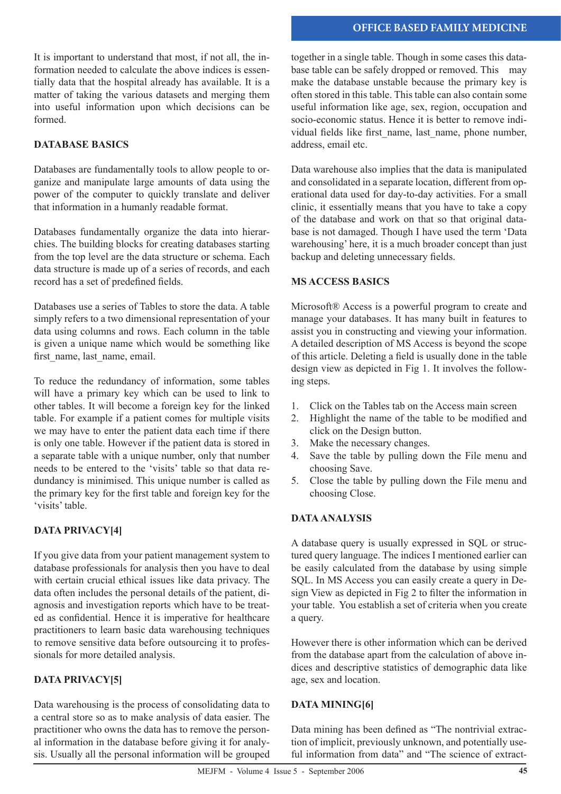It is important to understand that most, if not all, the information needed to calculate the above indices is essentially data that the hospital already has available. It is a matter of taking the various datasets and merging them into useful information upon which decisions can be formed.

# **DATABASE BASICS**

Databases are fundamentally tools to allow people to organize and manipulate large amounts of data using the power of the computer to quickly translate and deliver that information in a humanly readable format.

Databases fundamentally organize the data into hierarchies. The building blocks for creating databases starting from the top level are the data structure or schema. Each data structure is made up of a series of records, and each record has a set of predefined fields.

Databases use a series of Tables to store the data. A table simply refers to a two dimensional representation of your data using columns and rows. Each column in the table is given a unique name which would be something like first\_name, last\_name, email.

To reduce the redundancy of information, some tables will have a primary key which can be used to link to other tables. It will become a foreign key for the linked table. For example if a patient comes for multiple visits we may have to enter the patient data each time if there is only one table. However if the patient data is stored in a separate table with a unique number, only that number needs to be entered to the 'visits' table so that data redundancy is minimised. This unique number is called as the primary key for the first table and foreign key for the 'visits' table.

# **DATA PRIVACY[4]**

If you give data from your patient management system to database professionals for analysis then you have to deal with certain crucial ethical issues like data privacy. The data often includes the personal details of the patient, diagnosis and investigation reports which have to be treated as confidential. Hence it is imperative for healthcare practitioners to learn basic data warehousing techniques to remove sensitive data before outsourcing it to professionals for more detailed analysis.

#### **DATA PRIVACY[5]**

Data warehousing is the process of consolidating data to a central store so as to make analysis of data easier. The practitioner who owns the data has to remove the personal information in the database before giving it for analysis. Usually all the personal information will be grouped

together in a single table. Though in some cases this database table can be safely dropped or removed. This may make the database unstable because the primary key is often stored in this table. This table can also contain some useful information like age, sex, region, occupation and socio-economic status. Hence it is better to remove individual fields like first\_name, last\_name, phone number, address, email etc.

Data warehouse also implies that the data is manipulated and consolidated in a separate location, different from operational data used for day-to-day activities. For a small clinic, it essentially means that you have to take a copy of the database and work on that so that original database is not damaged. Though I have used the term 'Data warehousing' here, it is a much broader concept than just backup and deleting unnecessary fields.

#### **MS ACCESS BASICS**

Microsoft® Access is a powerful program to create and manage your databases. It has many built in features to assist you in constructing and viewing your information. A detailed description of MS Access is beyond the scope of this article. Deleting a field is usually done in the table design view as depicted in Fig 1. It involves the following steps.

- 1. Click on the Tables tab on the Access main screen
- 2. Highlight the name of the table to be modified and click on the Design button.
- 3. Make the necessary changes.
- 4. Save the table by pulling down the File menu and choosing Save.
- 5. Close the table by pulling down the File menu and choosing Close.

# **DATA ANALYSIS**

A database query is usually expressed in SQL or structured query language. The indices I mentioned earlier can be easily calculated from the database by using simple SQL. In MS Access you can easily create a query in Design View as depicted in Fig 2 to filter the information in your table. You establish a set of criteria when you create a query.

However there is other information which can be derived from the database apart from the calculation of above indices and descriptive statistics of demographic data like age, sex and location.

#### **DATA MINING[6]**

Data mining has been defined as "The nontrivial extraction of implicit, previously unknown, and potentially useful information from data" and "The science of extract-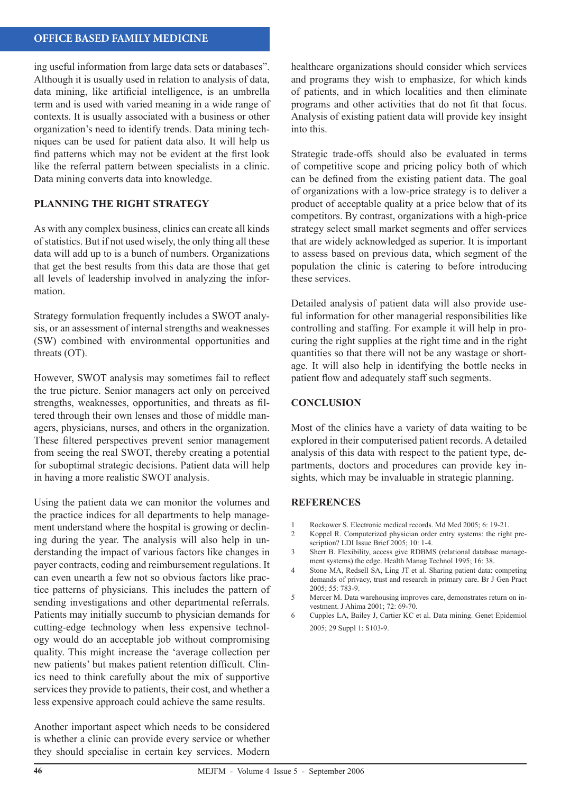#### **OFFICE BASED FAMILY MEDICINE**

ing useful information from large data sets or databases". Although it is usually used in relation to analysis of data, data mining, like artificial intelligence, is an umbrella term and is used with varied meaning in a wide range of contexts. It is usually associated with a business or other organization's need to identify trends. Data mining techniques can be used for patient data also. It will help us find patterns which may not be evident at the first look like the referral pattern between specialists in a clinic. Data mining converts data into knowledge.

#### **PLANNING THE RIGHT STRATEGY**

As with any complex business, clinics can create all kinds of statistics. But if not used wisely, the only thing all these data will add up to is a bunch of numbers. Organizations that get the best results from this data are those that get all levels of leadership involved in analyzing the information.

Strategy formulation frequently includes a SWOT analysis, or an assessment of internal strengths and weaknesses (SW) combined with environmental opportunities and threats (OT).

However, SWOT analysis may sometimes fail to reflect the true picture. Senior managers act only on perceived strengths, weaknesses, opportunities, and threats as filtered through their own lenses and those of middle managers, physicians, nurses, and others in the organization. These filtered perspectives prevent senior management from seeing the real SWOT, thereby creating a potential for suboptimal strategic decisions. Patient data will help in having a more realistic SWOT analysis.

Using the patient data we can monitor the volumes and the practice indices for all departments to help management understand where the hospital is growing or declining during the year. The analysis will also help in understanding the impact of various factors like changes in payer contracts, coding and reimbursement regulations. It can even unearth a few not so obvious factors like practice patterns of physicians. This includes the pattern of sending investigations and other departmental referrals. Patients may initially succumb to physician demands for cutting-edge technology when less expensive technology would do an acceptable job without compromising quality. This might increase the 'average collection per new patients' but makes patient retention difficult. Clinics need to think carefully about the mix of supportive services they provide to patients, their cost, and whether a less expensive approach could achieve the same results.

Another important aspect which needs to be considered is whether a clinic can provide every service or whether they should specialise in certain key services. Modern

healthcare organizations should consider which services and programs they wish to emphasize, for which kinds of patients, and in which localities and then eliminate programs and other activities that do not fit that focus. Analysis of existing patient data will provide key insight into this.

Strategic trade-offs should also be evaluated in terms of competitive scope and pricing policy both of which can be defined from the existing patient data. The goal of organizations with a low-price strategy is to deliver a product of acceptable quality at a price below that of its competitors. By contrast, organizations with a high-price strategy select small market segments and offer services that are widely acknowledged as superior. It is important to assess based on previous data, which segment of the population the clinic is catering to before introducing these services.

Detailed analysis of patient data will also provide useful information for other managerial responsibilities like controlling and staffing. For example it will help in procuring the right supplies at the right time and in the right quantities so that there will not be any wastage or shortage. It will also help in identifying the bottle necks in patient flow and adequately staff such segments.

#### **CONCLUSION**

Most of the clinics have a variety of data waiting to be explored in their computerised patient records. A detailed analysis of this data with respect to the patient type, departments, doctors and procedures can provide key insights, which may be invaluable in strategic planning.

#### **REFERENCES**

- 1 Rockower S. Electronic medical records. Md Med 2005; 6: 19-21.
- 2 Koppel R. Computerized physician order entry systems: the right prescription? LDI Issue Brief 2005; 10: 1-4.
- 3 Sherr B. Flexibility, access give RDBMS (relational database management systems) the edge. Health Manag Technol 1995; 16: 38.
- 4 Stone MA, Redsell SA, Ling JT et al. Sharing patient data: competing demands of privacy, trust and research in primary care. Br J Gen Pract  $2005: 55: 783-9$
- 5 Mercer M. Data warehousing improves care, demonstrates return on investment. J Ahima 2001; 72: 69-70.
- 6 Cupples LA, Bailey J, Cartier KC et al. Data mining. Genet Epidemiol 2005; 29 Suppl 1: S103-9.